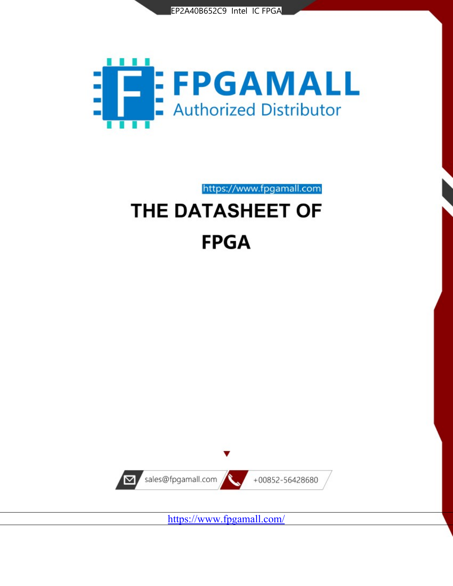



https://www.fpgamall.com THE DATASHEET OF

# **FPGA**



<https://www.fpgamall.com/>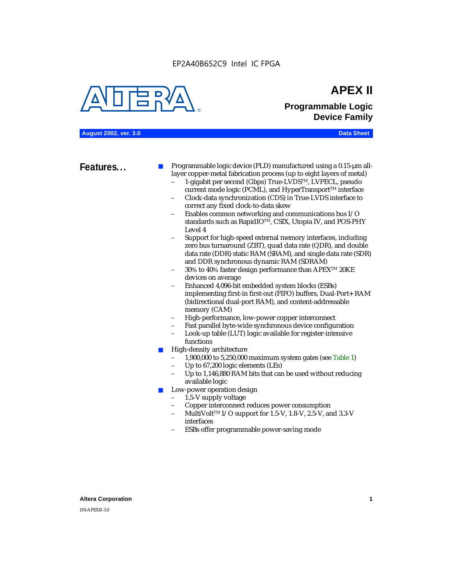EP2A40B652C9 Intel IC FPGA



# **APEX II Programmable Logic Device Family**

**August 2002, ver. 3.0 Data Sheet**

**Features...** ■ Programmable logic device (PLD) manufactured using a 0.15-µm alllayer copper-metal fabrication process (up to eight layers of metal)

- 1-gigabit per second (Gbps) True-LVDSTM, LVPECL, pseudo current mode logic (PCML), and HyperTransport<sup>™</sup> interface
- Clock-data synchronization (CDS) in True-LVDS interface to correct any fixed clock-to-data skew
- Enables common networking and communications bus I/O standards such as RapidIOTM, CSIX, Utopia IV, and POS-PHY Level 4
- Support for high-speed external memory interfaces, including zero bus turnaround (ZBT), quad data rate (QDR), and double data rate (DDR) static RAM (SRAM), and single data rate (SDR) and DDR synchronous dynamic RAM (SDRAM)
- 30% to 40% faster design performance than APEX<sup>™</sup> 20KE devices on average
- Enhanced 4,096-bit embedded system blocks (ESBs) implementing first-in first-out (FIFO) buffers, Dual-Port+ RAM (bidirectional dual-port RAM), and content-addressable memory (CAM)
- High-performance, low-power copper interconnect
- Fast parallel byte-wide synchronous device configuration
- Look-up table (LUT) logic available for register-intensive functions
- High-density architecture
	- 1,900,000 to 5,250,000 maximum system gates (see Table 1)
	- Up to 67,200 logic elements (LEs)
	- Up to 1,146,880 RAM bits that can be used without reducing available logic
- Low-power operation design
	- 1.5-V supply voltage
	- Copper interconnect reduces power consumption
	- MultiVolt<sup>™</sup> I/O support for 1.5-V, 1.8-V, 2.5-V, and 3.3-V interfaces
	- ESBs offer programmable power-saving mode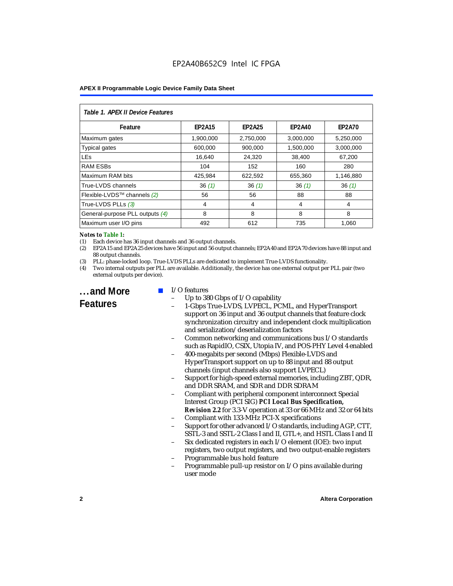| Table 1. APEX II Device Features |               |               |               |               |  |  |
|----------------------------------|---------------|---------------|---------------|---------------|--|--|
| Feature                          | <b>EP2A15</b> | <b>EP2A25</b> | <b>EP2A40</b> | <b>EP2A70</b> |  |  |
| Maximum gates                    | 1.900.000     | 2.750.000     | 3.000.000     | 5.250.000     |  |  |
| <b>Typical gates</b>             | 600,000       | 900,000       | 1,500,000     | 3,000,000     |  |  |
| <b>LEs</b>                       | 16,640        | 24,320        | 38,400        | 67,200        |  |  |
| <b>RAM ESBs</b>                  | 104           | 152           | 160           | 280           |  |  |
| Maximum RAM bits                 | 425,984       | 622,592       | 655,360       | 1,146,880     |  |  |
| True-LVDS channels               | 36(1)         | 36(1)         | 36(1)         | 36(1)         |  |  |
| Flexible-LVDS™ channels (2)      | 56            | 56            | 88            | 88            |  |  |
| True-LVDS PLLs (3)               | 4             | 4             | 4             | 4             |  |  |
| General-purpose PLL outputs (4)  | 8             | 8             | 8             | 8             |  |  |
| Maximum user I/O pins            | 492           | 612           | 735           | 1,060         |  |  |

#### *Notes to Table 1:*

(1) Each device has 36 input channels and 36 output channels.

(2) EP2A15 and EP2A25 devices have 56 input and 56 output channels; EP2A40 and EP2A70 devices have 88 input and 88 output channels.

(3) PLL: phase-locked loop. True-LVDS PLLs are dedicated to implement True-LVDS functionality.

(4) Two internal outputs per PLL are available. Additionally, the device has one external output per PLL pair (two external outputs per device).

**...and More Features**

#### I/O features

- Up to 380 Gbps of I/O capability
- 1-Gbps True-LVDS, LVPECL, PCML, and HyperTransport support on 36 input and 36 output channels that feature clock synchronization circuitry and independent clock multiplication and serialization/deserialization factors
- Common networking and communications bus I/O standards such as RapidIO, CSIX, Utopia IV, and POS-PHY Level 4 enabled
- 400-megabits per second (Mbps) Flexible-LVDS and HyperTransport support on up to 88 input and 88 output channels (input channels also support LVPECL)
- Support for high-speed external memories, including ZBT, QDR, and DDR SRAM, and SDR and DDR SDRAM
- Compliant with peripheral component interconnect Special Interest Group (PCI SIG) *PCI Local Bus Specification, Revision 2.2* for 3.3-V operation at 33 or 66 MHz and 32 or 64 bits
- Compliant with 133-MHz PCI-X specifications
- Support for other advanced I/O standards, including AGP, CTT, SSTL-3 and SSTL-2 Class I and II, GTL+, and HSTL Class I and II
- Six dedicated registers in each I/O element (IOE): two input registers, two output registers, and two output-enable registers
- Programmable bus hold feature
- Programmable pull-up resistor on I/O pins available during user mode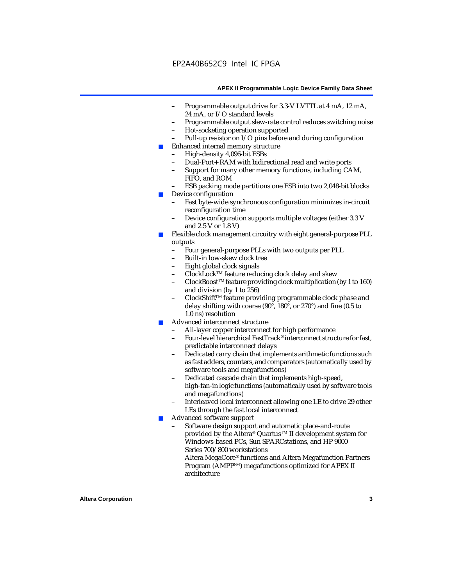- Programmable output drive for 3.3-V LVTTL at 4 mA, 12 mA, 24 mA, or I/O standard levels
- Programmable output slew-rate control reduces switching noise
- Hot-socketing operation supported
- Pull-up resistor on I/O pins before and during configuration
- Enhanced internal memory structure
	- High-density 4,096-bit ESBs
	- Dual-Port+ RAM with bidirectional read and write ports
	- Support for many other memory functions, including CAM, FIFO, and ROM
	- ESB packing mode partitions one ESB into two 2,048-bit blocks
- Device configuration
	- Fast byte-wide synchronous configuration minimizes in-circuit reconfiguration time
	- Device configuration supports multiple voltages (either 3.3 V and 2.5 V or 1.8 V)
- Flexible clock management circuitry with eight general-purpose PLL outputs
	- Four general-purpose PLLs with two outputs per PLL
	- Built-in low-skew clock tree
	- Eight global clock signals
	- ClockLockTM feature reducing clock delay and skew
	- ClockBoostTM feature providing clock multiplication (by 1 to 160) and division (by 1 to 256)
	- ClockShift™ feature providing programmable clock phase and delay shifting with coarse (90°, 180°, or 270°) and fine (0.5 to 1.0 ns) resolution
- Advanced interconnect structure
	- All-layer copper interconnect for high performance
	- Four-level hierarchical FastTrack® interconnect structure for fast, predictable interconnect delays
	- Dedicated carry chain that implements arithmetic functions such as fast adders, counters, and comparators (automatically used by software tools and megafunctions)
	- Dedicated cascade chain that implements high-speed, high-fan-in logic functions (automatically used by software tools and megafunctions)
	- Interleaved local interconnect allowing one LE to drive 29 other LEs through the fast local interconnect
- Advanced software support
	- Software design support and automatic place-and-route provided by the Altera® Quartus<sup>™</sup> II development system for Windows-based PCs, Sun SPARCstations, and HP 9000 Series 700/800 workstations
	- Altera MegaCore® functions and Altera Megafunction Partners Program (AMPPSM) megafunctions optimized for APEX II architecture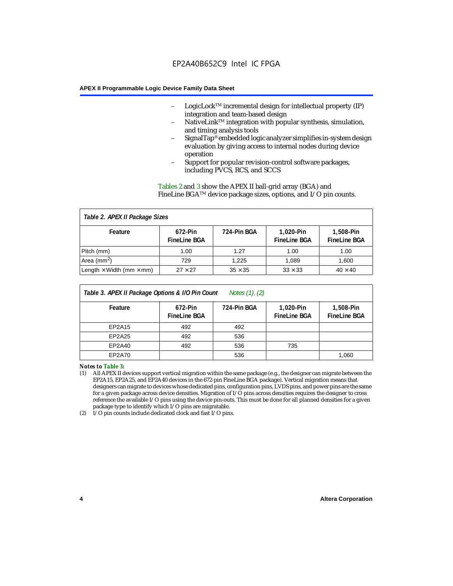- LogicLock<sup>TM</sup> incremental design for intellectual property  $(IP)$ integration and team-based design
- NativeLink™ integration with popular synthesis, simulation, and timing analysis tools
- SignalTap® embedded logic analyzer simplifies in-system design evaluation by giving access to internal nodes during device operation
- Support for popular revision-control software packages, including PVCS, RCS, and SCCS

Tables 2 and 3 show the APEX II ball-grid array (BGA) and FineLine BGATM device package sizes, options, and I/O pin counts.

#### *Table 2. APEX II Package Sizes* **Feature 672-Pin FineLine BGA 724-Pin BGA 1,020-Pin FineLine BGA 1,508-Pin FineLine BGA** Pitch (mm)  $\begin{array}{|c|c|c|c|c|c|c|c|} \hline \text{Pitch (mm)} & \text{1.00} & \text{1.00} & \text{1.00} \ \hline \end{array}$ Area (mm<sup>2</sup>) | 729 | 1,225 | 1,089 | 1,600 Length  $\times$  Width (mm  $\times$  mm)  $\begin{array}{|l|} \hline \end{array}$  27  $\times$  27  $\begin{array}{|l|} \hline \end{array}$  35  $\times$  35  $\begin{array}{|l|} \hline \end{array}$  33  $\times$  33  $\begin{array}{|l|} \hline \end{array}$  40  $\times$  40

| Table 3. APEX II Package Options & I/O Pin Count<br>Notes $(1)$ , $(2)$ |                                |             |                                  |                                  |  |
|-------------------------------------------------------------------------|--------------------------------|-------------|----------------------------------|----------------------------------|--|
| Feature                                                                 | 672-Pin<br><b>FineLine BGA</b> | 724-Pin BGA | 1,020-Pin<br><b>FineLine BGA</b> | 1,508-Pin<br><b>FineLine BGA</b> |  |
| EP2A15                                                                  | 492                            | 492         |                                  |                                  |  |
| EP2A25                                                                  | 492                            | 536         |                                  |                                  |  |
| EP2A40                                                                  | 492                            | 536         | 735                              |                                  |  |
| EP2A70                                                                  |                                | 536         |                                  | 1.060                            |  |

*Notes to Table 3:*

(1) All APEX II devices support vertical migration within the same package (e.g., the designer can migrate between the EP2A15, EP2A25, and EP2A40 devices in the 672-pin FineLine BGA package). Vertical migration means that designers can migrate to devices whose dedicated pins, configuration pins, LVDS pins, and power pins are the same for a given package across device densities. Migration of I/O pins across densities requires the designer to cross reference the available I/O pins using the device pin-outs. This must be done for all planned densities for a given package type to identify which I/O pins are migratable.

(2) I/O pin counts include dedicated clock and fast I/O pins.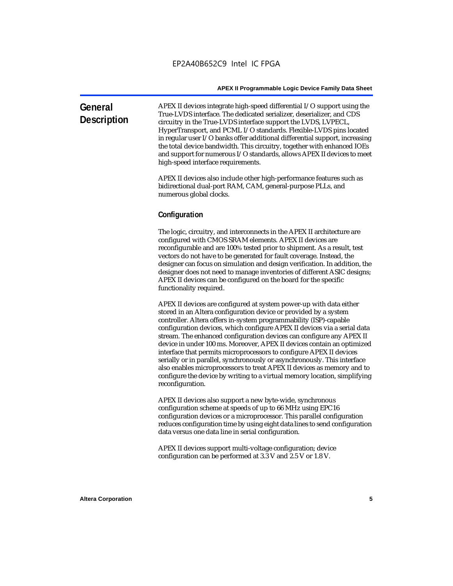| General<br><b>Description</b> | APEX II devices integrate high-speed differential I/O support using the<br>True-LVDS interface. The dedicated serializer, deserializer, and CDS<br>circuitry in the True-LVDS interface support the LVDS, LVPECL,<br>HyperTransport, and PCML I/O standards. Flexible-LVDS pins located<br>in regular user I/O banks offer additional differential support, increasing<br>the total device bandwidth. This circuitry, together with enhanced IOEs<br>and support for numerous I/O standards, allows APEX II devices to meet<br>high-speed interface requirements. |
|-------------------------------|-------------------------------------------------------------------------------------------------------------------------------------------------------------------------------------------------------------------------------------------------------------------------------------------------------------------------------------------------------------------------------------------------------------------------------------------------------------------------------------------------------------------------------------------------------------------|
|                               | APEX II devices also include other high-performance features such as                                                                                                                                                                                                                                                                                                                                                                                                                                                                                              |

vices also include other high-performance features such as bidirectional dual-port RAM, CAM, general-purpose PLLs, and numerous global clocks.

#### **Configuration**

The logic, circuitry, and interconnects in the APEX II architecture are configured with CMOS SRAM elements. APEX II devices are reconfigurable and are 100% tested prior to shipment. As a result, test vectors do not have to be generated for fault coverage. Instead, the designer can focus on simulation and design verification. In addition, the designer does not need to manage inventories of different ASIC designs; APEX II devices can be configured on the board for the specific functionality required.

APEX II devices are configured at system power-up with data either stored in an Altera configuration device or provided by a system controller. Altera offers in-system programmability (ISP)-capable configuration devices, which configure APEX II devices via a serial data stream. The enhanced configuration devices can configure any APEX II device in under 100 ms. Moreover, APEX II devices contain an optimized interface that permits microprocessors to configure APEX II devices serially or in parallel, synchronously or asynchronously. This interface also enables microprocessors to treat APEX II devices as memory and to configure the device by writing to a virtual memory location, simplifying reconfiguration.

APEX II devices also support a new byte-wide, synchronous configuration scheme at speeds of up to 66 MHz using EPC16 configuration devices or a microprocessor. This parallel configuration reduces configuration time by using eight data lines to send configuration data versus one data line in serial configuration.

APEX II devices support multi-voltage configuration; device configuration can be performed at 3.3 V and 2.5 V or 1.8 V.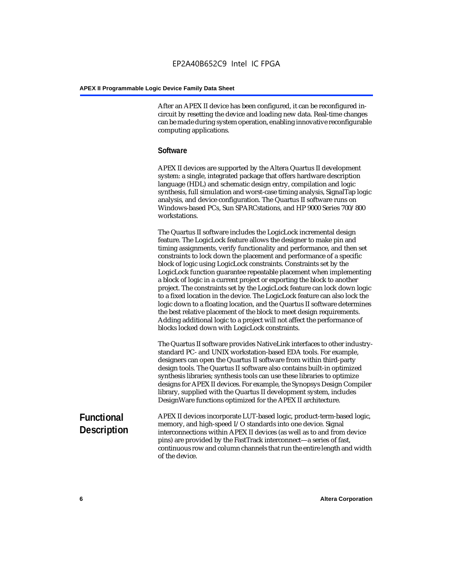After an APEX II device has been configured, it can be reconfigured incircuit by resetting the device and loading new data. Real-time changes can be made during system operation, enabling innovative reconfigurable computing applications.

#### **Software**

APEX II devices are supported by the Altera Quartus II development system: a single, integrated package that offers hardware description language (HDL) and schematic design entry, compilation and logic synthesis, full simulation and worst-case timing analysis, SignalTap logic analysis, and device configuration. The Quartus II software runs on Windows-based PCs, Sun SPARCstations, and HP 9000 Series 700/800 workstations.

The Quartus II software includes the LogicLock incremental design feature. The LogicLock feature allows the designer to make pin and timing assignments, verify functionality and performance, and then set constraints to lock down the placement and performance of a specific block of logic using LogicLock constraints. Constraints set by the LogicLock function guarantee repeatable placement when implementing a block of logic in a current project or exporting the block to another project. The constraints set by the LogicLock feature can lock down logic to a fixed location in the device. The LogicLock feature can also lock the logic down to a floating location, and the Quartus II software determines the best relative placement of the block to meet design requirements. Adding additional logic to a project will not affect the performance of blocks locked down with LogicLock constraints.

The Quartus II software provides NativeLink interfaces to other industrystandard PC- and UNIX workstation-based EDA tools. For example, designers can open the Quartus II software from within third-party design tools. The Quartus II software also contains built-in optimized synthesis libraries; synthesis tools can use these libraries to optimize designs for APEX II devices. For example, the Synopsys Design Compiler library, supplied with the Quartus II development system, includes DesignWare functions optimized for the APEX II architecture.

#### **Functional Description** APEX II devices incorporate LUT-based logic, product-term-based logic, memory, and high-speed I/O standards into one device. Signal interconnections within APEX II devices (as well as to and from device pins) are provided by the FastTrack interconnect—a series of fast, continuous row and column channels that run the entire length and width of the device.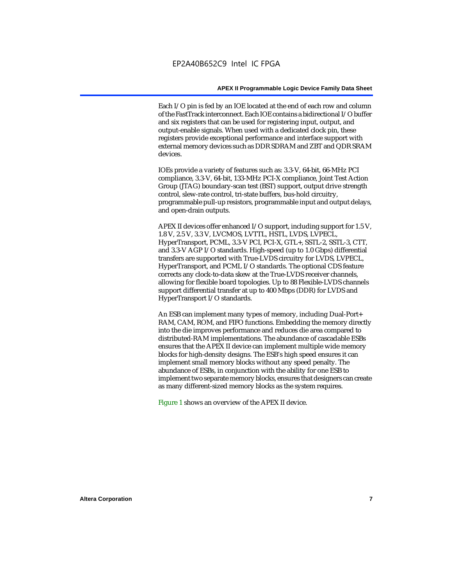Each I/O pin is fed by an IOE located at the end of each row and column of the FastTrack interconnect. Each IOE contains a bidirectional I/O buffer and six registers that can be used for registering input, output, and output-enable signals. When used with a dedicated clock pin, these registers provide exceptional performance and interface support with external memory devices such as DDR SDRAM and ZBT and QDR SRAM devices.

IOEs provide a variety of features such as: 3.3-V, 64-bit, 66-MHz PCI compliance, 3.3-V, 64-bit, 133-MHz PCI-X compliance, Joint Test Action Group (JTAG) boundary-scan test (BST) support, output drive strength control, slew-rate control, tri-state buffers, bus-hold circuitry, programmable pull-up resistors, programmable input and output delays, and open-drain outputs.

APEX II devices offer enhanced I/O support, including support for 1.5 V, 1.8 V, 2.5 V, 3.3 V, LVCMOS, LVTTL, HSTL, LVDS, LVPECL, HyperTransport, PCML, 3.3-V PCI, PCI-X, GTL+, SSTL-2, SSTL-3, CTT, and 3.3-V AGP I/O standards. High-speed (up to 1.0 Gbps) differential transfers are supported with True-LVDS circuitry for LVDS, LVPECL, HyperTransport, and PCML I/O standards. The optional CDS feature corrects any clock-to-data skew at the True-LVDS receiver channels, allowing for flexible board topologies. Up to 88 Flexible-LVDS channels support differential transfer at up to 400 Mbps (DDR) for LVDS and HyperTransport I/O standards.

An ESB can implement many types of memory, including Dual-Port+ RAM, CAM, ROM, and FIFO functions. Embedding the memory directly into the die improves performance and reduces die area compared to distributed-RAM implementations. The abundance of cascadable ESBs ensures that the APEX II device can implement multiple wide memory blocks for high-density designs. The ESB's high speed ensures it can implement small memory blocks without any speed penalty. The abundance of ESBs, in conjunction with the ability for one ESB to implement two separate memory blocks, ensures that designers can create as many different-sized memory blocks as the system requires.

Figure 1 shows an overview of the APEX II device.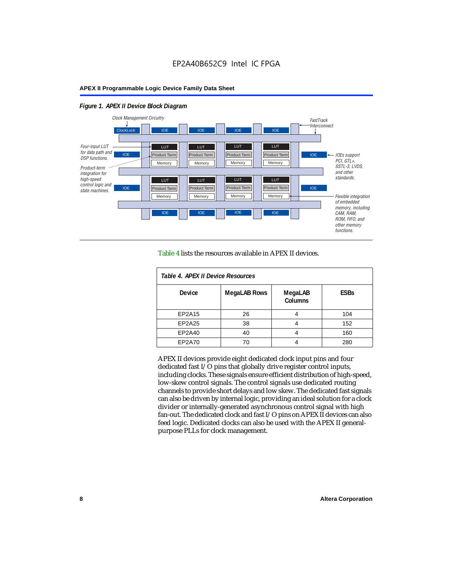#### *Figure 1. APEX II Device Block Diagram*



Table 4 lists the resources available in APEX II devices.

| Table 4. APEX II Device Resources |                     |                           |             |  |  |
|-----------------------------------|---------------------|---------------------------|-------------|--|--|
| <b>Device</b>                     | <b>MegaLAB Rows</b> | MegaLAB<br><b>Columns</b> | <b>ESBs</b> |  |  |
| EP2A15                            | 26                  | 4                         | 104         |  |  |
| EP2A25                            | 38                  |                           | 152         |  |  |
| EP2A40                            | 40                  |                           | 160         |  |  |
| EP2A70                            | 70                  | 4                         | 280         |  |  |

APEX II devices provide eight dedicated clock input pins and four dedicated fast I/O pins that globally drive register control inputs, including clocks. These signals ensure efficient distribution of high-speed, low-skew control signals. The control signals use dedicated routing channels to provide short delays and low skew. The dedicated fast signals can also be driven by internal logic, providing an ideal solution for a clock divider or internally-generated asynchronous control signal with high fan-out. The dedicated clock and fast I/O pins on APEX II devices can also feed logic. Dedicated clocks can also be used with the APEX II generalpurpose PLLs for clock management.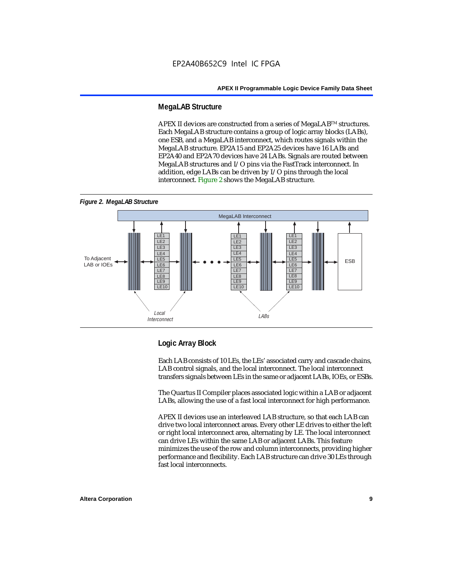#### **MegaLAB Structure**

APEX II devices are constructed from a series of MegaLAB<sup>TM</sup> structures. Each MegaLAB structure contains a group of logic array blocks (LABs), one ESB, and a MegaLAB interconnect, which routes signals within the MegaLAB structure. EP2A15 and EP2A25 devices have 16 LABs and EP2A40 and EP2A70 devices have 24 LABs. Signals are routed between MegaLAB structures and I/O pins via the FastTrack interconnect. In addition, edge LABs can be driven by I/O pins through the local interconnect. Figure 2 shows the MegaLAB structure.





#### **Logic Array Block**

Each LAB consists of 10 LEs, the LEs' associated carry and cascade chains, LAB control signals, and the local interconnect. The local interconnect transfers signals between LEs in the same or adjacent LABs, IOEs, or ESBs.

The Quartus II Compiler places associated logic within a LAB or adjacent LABs, allowing the use of a fast local interconnect for high performance.

APEX II devices use an interleaved LAB structure, so that each LAB can drive two local interconnect areas. Every other LE drives to either the left or right local interconnect area, alternating by LE. The local interconnect can drive LEs within the same LAB or adjacent LABs. This feature minimizes the use of the row and column interconnects, providing higher performance and flexibility. Each LAB structure can drive 30 LEs through fast local interconnects.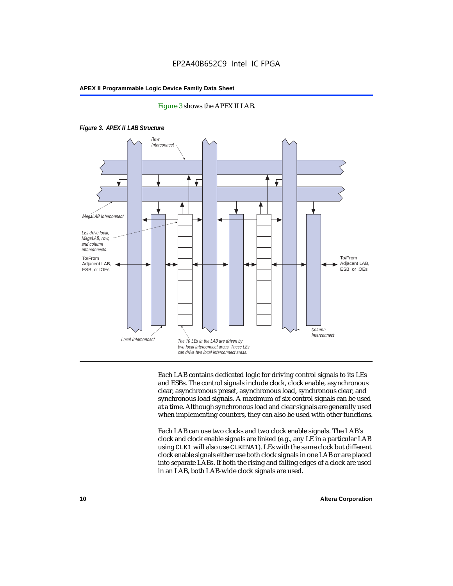

#### Figure 3 shows the APEX II LAB.

Each LAB contains dedicated logic for driving control signals to its LEs and ESBs. The control signals include clock, clock enable, asynchronous clear, asynchronous preset, asynchronous load, synchronous clear, and synchronous load signals. A maximum of six control signals can be used at a time. Although synchronous load and clear signals are generally used when implementing counters, they can also be used with other functions.

Each LAB can use two clocks and two clock enable signals. The LAB's clock and clock enable signals are linked (e.g., any LE in a particular LAB using CLK1 will also use CLKENA1). LEs with the same clock but different clock enable signals either use both clock signals in one LAB or are placed into separate LABs. If both the rising and falling edges of a clock are used in an LAB, both LAB-wide clock signals are used.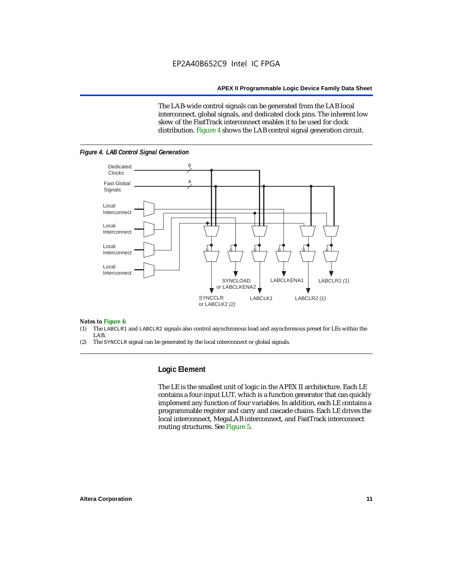The LAB-wide control signals can be generated from the LAB local interconnect, global signals, and dedicated clock pins. The inherent low skew of the FastTrack interconnect enables it to be used for clock distribution. Figure 4 shows the LAB control signal generation circuit.



#### *Figure 4. LAB Control Signal Generation*

#### *Notes to Figure 4:*

- (1) The LABCLR1 and LABCLR2 signals also control asynchronous load and asynchronous preset for LEs within the LAB.
- (2) The SYNCCLR signal can be generated by the local interconnect or global signals.

#### **Logic Element**

The LE is the smallest unit of logic in the APEX II architecture. Each LE contains a four-input LUT, which is a function generator that can quickly implement any function of four variables. In addition, each LE contains a programmable register and carry and cascade chains. Each LE drives the local interconnect, MegaLAB interconnect, and FastTrack interconnect routing structures. See Figure 5.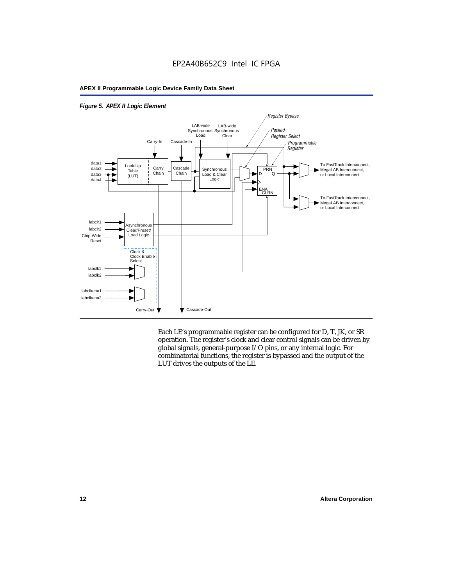

#### *Figure 5. APEX II Logic Element*

Each LE's programmable register can be configured for D, T, JK, or SR operation. The register's clock and clear control signals can be driven by global signals, general-purpose I/O pins, or any internal logic. For combinatorial functions, the register is bypassed and the output of the LUT drives the outputs of the LE.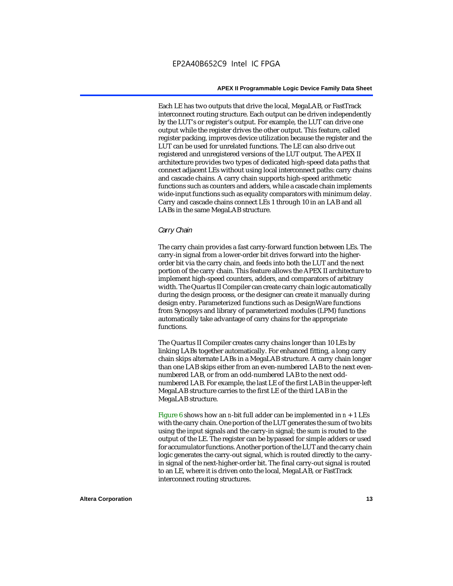Each LE has two outputs that drive the local, MegaLAB, or FastTrack interconnect routing structure. Each output can be driven independently by the LUT's or register's output. For example, the LUT can drive one output while the register drives the other output. This feature, called register packing, improves device utilization because the register and the LUT can be used for unrelated functions. The LE can also drive out registered and unregistered versions of the LUT output. The APEX II architecture provides two types of dedicated high-speed data paths that connect adjacent LEs without using local interconnect paths: carry chains and cascade chains. A carry chain supports high-speed arithmetic functions such as counters and adders, while a cascade chain implements wide-input functions such as equality comparators with minimum delay. Carry and cascade chains connect LEs 1 through 10 in an LAB and all LABs in the same MegaLAB structure.

#### *Carry Chain*

The carry chain provides a fast carry-forward function between LEs. The carry-in signal from a lower-order bit drives forward into the higherorder bit via the carry chain, and feeds into both the LUT and the next portion of the carry chain. This feature allows the APEX II architecture to implement high-speed counters, adders, and comparators of arbitrary width. The Quartus II Compiler can create carry chain logic automatically during the design process, or the designer can create it manually during design entry. Parameterized functions such as DesignWare functions from Synopsys and library of parameterized modules (LPM) functions automatically take advantage of carry chains for the appropriate functions.

The Quartus II Compiler creates carry chains longer than 10 LEs by linking LABs together automatically. For enhanced fitting, a long carry chain skips alternate LABs in a MegaLAB structure. A carry chain longer than one LAB skips either from an even-numbered LAB to the next evennumbered LAB, or from an odd-numbered LAB to the next oddnumbered LAB. For example, the last LE of the first LAB in the upper-left MegaLAB structure carries to the first LE of the third LAB in the MegaLAB structure.

Figure 6 shows how an *n*-bit full adder can be implemented in *n* + 1 LEs with the carry chain. One portion of the LUT generates the sum of two bits using the input signals and the carry-in signal; the sum is routed to the output of the LE. The register can be bypassed for simple adders or used for accumulator functions. Another portion of the LUT and the carry chain logic generates the carry-out signal, which is routed directly to the carryin signal of the next-higher-order bit. The final carry-out signal is routed to an LE, where it is driven onto the local, MegaLAB, or FastTrack interconnect routing structures.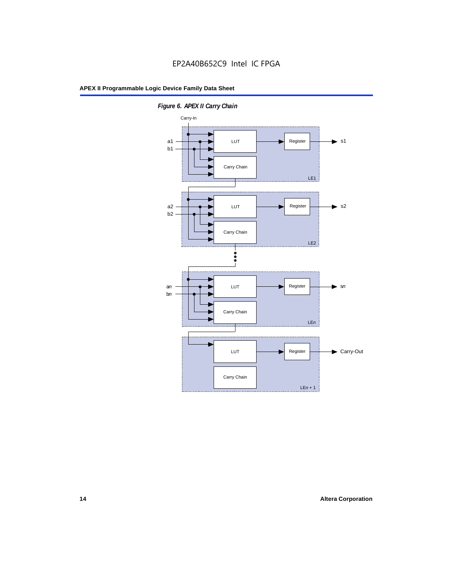

*Figure 6. APEX II Carry Chain*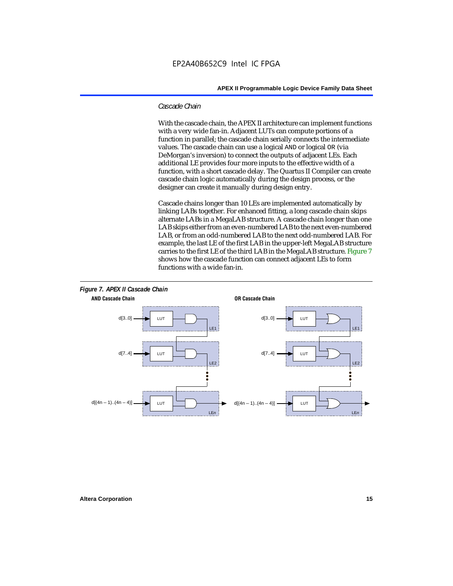#### *Cascade Chain*

With the cascade chain, the APEX II architecture can implement functions with a very wide fan-in. Adjacent LUTs can compute portions of a function in parallel; the cascade chain serially connects the intermediate values. The cascade chain can use a logical AND or logical OR (via DeMorgan's inversion) to connect the outputs of adjacent LEs. Each additional LE provides four more inputs to the effective width of a function, with a short cascade delay. The Quartus II Compiler can create cascade chain logic automatically during the design process, or the designer can create it manually during design entry.

Cascade chains longer than 10 LEs are implemented automatically by linking LABs together. For enhanced fitting, a long cascade chain skips alternate LABs in a MegaLAB structure. A cascade chain longer than one LAB skips either from an even-numbered LAB to the next even-numbered LAB, or from an odd-numbered LAB to the next odd-numbered LAB. For example, the last LE of the first LAB in the upper-left MegaLAB structure carries to the first LE of the third LAB in the MegaLAB structure. Figure 7 shows how the cascade function can connect adjacent LEs to form functions with a wide fan-in.

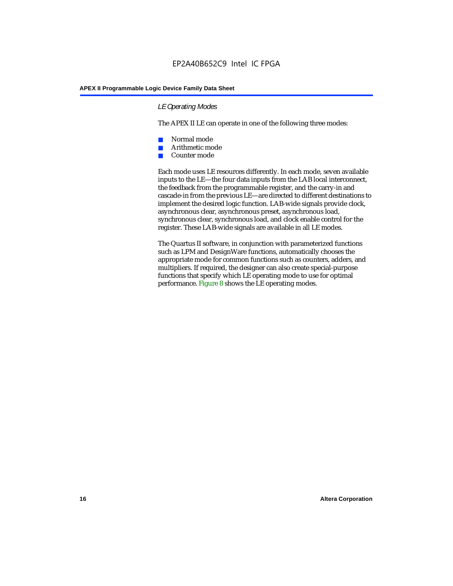#### *LE Operating Modes*

The APEX II LE can operate in one of the following three modes:

- Normal mode
- Arithmetic mode
- Counter mode

Each mode uses LE resources differently. In each mode, seven available inputs to the LE—the four data inputs from the LAB local interconnect, the feedback from the programmable register, and the carry-in and cascade-in from the previous LE—are directed to different destinations to implement the desired logic function. LAB-wide signals provide clock, asynchronous clear, asynchronous preset, asynchronous load, synchronous clear, synchronous load, and clock enable control for the register. These LAB-wide signals are available in all LE modes.

The Quartus II software, in conjunction with parameterized functions such as LPM and DesignWare functions, automatically chooses the appropriate mode for common functions such as counters, adders, and multipliers. If required, the designer can also create special-purpose functions that specify which LE operating mode to use for optimal performance. Figure 8 shows the LE operating modes.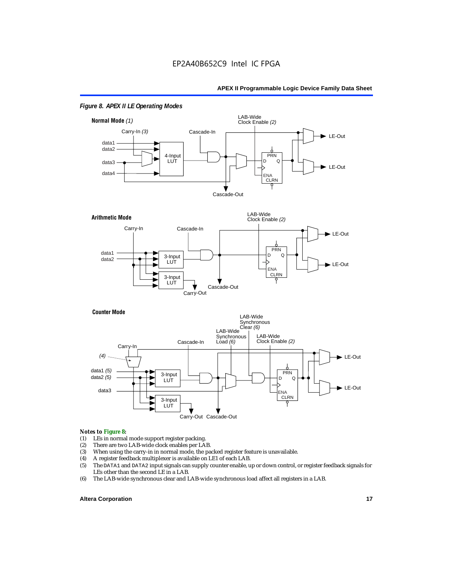

#### *Figure 8. APEX II LE Operating Modes*



#### **Counter Mode**



#### *Notes to Figure 8:*

- (1) LEs in normal mode support register packing.<br>(2) There are two LAB-wide clock enables per LA
- (2) There are two LAB-wide clock enables per LAB.<br>(3) When using the carry-in in normal mode, the pa
- (3) When using the carry-in in normal mode, the packed register feature is unavailable.<br>(4) A register feedback multiplexer is available on LE1 of each LAB.
- 
- (4) A register feedback multiplexer is available on LE1 of each LAB.<br>(5) The DATA1 and DATA2 input signals can supply counter enable, u (5) The DATA1 and DATA2 input signals can supply counter enable, up or down control, or register feedback signals for LEs other than the second LE in a LAB.
- (6) The LAB-wide synchronous clear and LAB-wide synchronous load affect all registers in a LAB.

#### **Altera Corporation 17 17**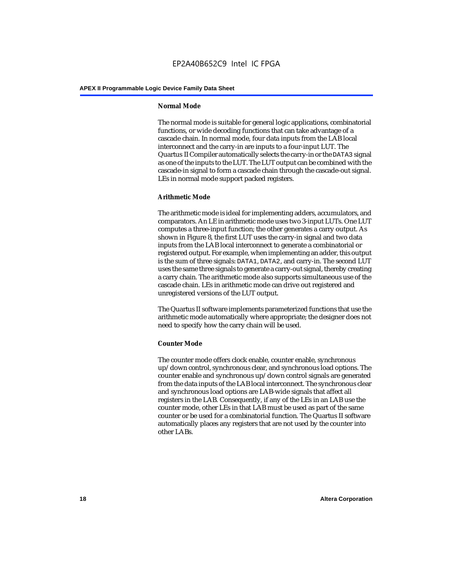#### **Normal Mode**

The normal mode is suitable for general logic applications, combinatorial functions, or wide decoding functions that can take advantage of a cascade chain. In normal mode, four data inputs from the LAB local interconnect and the carry-in are inputs to a four-input LUT. The Quartus II Compiler automatically selects the carry-in or the DATA3 signal as one of the inputs to the LUT. The LUT output can be combined with the cascade-in signal to form a cascade chain through the cascade-out signal. LEs in normal mode support packed registers.

#### **Arithmetic Mode**

The arithmetic mode is ideal for implementing adders, accumulators, and comparators. An LE in arithmetic mode uses two 3-input LUTs. One LUT computes a three-input function; the other generates a carry output. As shown in Figure 8, the first LUT uses the carry-in signal and two data inputs from the LAB local interconnect to generate a combinatorial or registered output. For example, when implementing an adder, this output is the sum of three signals: DATA1, DATA2, and carry-in. The second LUT uses the same three signals to generate a carry-out signal, thereby creating a carry chain. The arithmetic mode also supports simultaneous use of the cascade chain. LEs in arithmetic mode can drive out registered and unregistered versions of the LUT output.

The Quartus II software implements parameterized functions that use the arithmetic mode automatically where appropriate; the designer does not need to specify how the carry chain will be used.

#### **Counter Mode**

The counter mode offers clock enable, counter enable, synchronous up/down control, synchronous clear, and synchronous load options. The counter enable and synchronous up/down control signals are generated from the data inputs of the LAB local interconnect. The synchronous clear and synchronous load options are LAB-wide signals that affect all registers in the LAB. Consequently, if any of the LEs in an LAB use the counter mode, other LEs in that LAB must be used as part of the same counter or be used for a combinatorial function. The Quartus II software automatically places any registers that are not used by the counter into other LABs.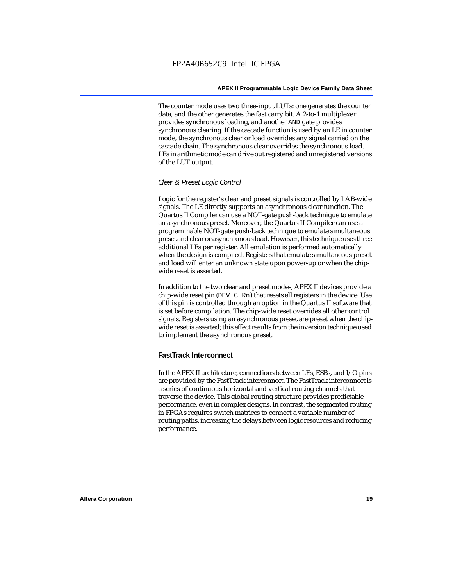The counter mode uses two three-input LUTs: one generates the counter data, and the other generates the fast carry bit. A 2-to-1 multiplexer provides synchronous loading, and another AND gate provides synchronous clearing. If the cascade function is used by an LE in counter mode, the synchronous clear or load overrides any signal carried on the cascade chain. The synchronous clear overrides the synchronous load. LEs in arithmetic mode can drive out registered and unregistered versions of the LUT output.

#### *Clear & Preset Logic Control*

Logic for the register's clear and preset signals is controlled by LAB-wide signals. The LE directly supports an asynchronous clear function. The Quartus II Compiler can use a NOT-gate push-back technique to emulate an asynchronous preset. Moreover, the Quartus II Compiler can use a programmable NOT-gate push-back technique to emulate simultaneous preset and clear or asynchronous load. However, this technique uses three additional LEs per register. All emulation is performed automatically when the design is compiled. Registers that emulate simultaneous preset and load will enter an unknown state upon power-up or when the chipwide reset is asserted.

In addition to the two clear and preset modes, APEX II devices provide a chip-wide reset pin (DEV\_CLRn) that resets all registers in the device. Use of this pin is controlled through an option in the Quartus II software that is set before compilation. The chip-wide reset overrides all other control signals. Registers using an asynchronous preset are preset when the chipwide reset is asserted; this effect results from the inversion technique used to implement the asynchronous preset.

## **FastTrack Interconnect**

In the APEX II architecture, connections between LEs, ESBs, and I/O pins are provided by the FastTrack interconnect. The FastTrack interconnect is a series of continuous horizontal and vertical routing channels that traverse the device. This global routing structure provides predictable performance, even in complex designs. In contrast, the segmented routing in FPGAs requires switch matrices to connect a variable number of routing paths, increasing the delays between logic resources and reducing performance.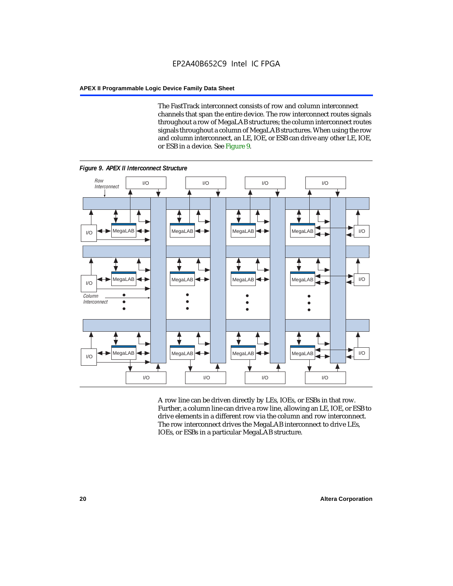The FastTrack interconnect consists of row and column interconnect channels that span the entire device. The row interconnect routes signals throughout a row of MegaLAB structures; the column interconnect routes signals throughout a column of MegaLAB structures. When using the row and column interconnect, an LE, IOE, or ESB can drive any other LE, IOE, or ESB in a device. See Figure 9.



Further, a column line can drive a row line, allowing an LE, IOE, or ESB to drive elements in a different row via the column and row interconnect. The row interconnect drives the MegaLAB interconnect to drive LEs, IOEs, or ESBs in a particular MegaLAB structure.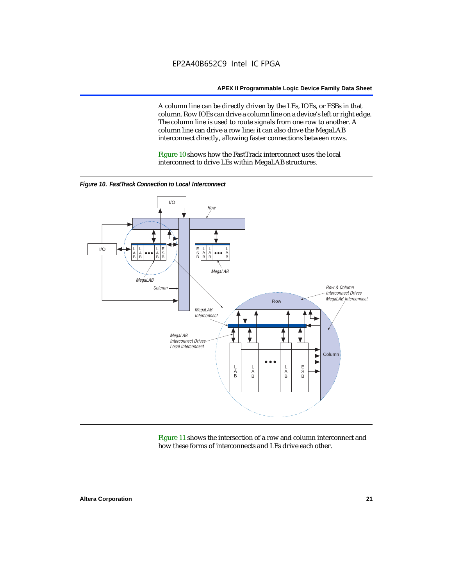A column line can be directly driven by the LEs, IOEs, or ESBs in that column. Row IOEs can drive a column line on a device's left or right edge. The column line is used to route signals from one row to another. A column line can drive a row line; it can also drive the MegaLAB interconnect directly, allowing faster connections between rows.

Figure 10 shows how the FastTrack interconnect uses the local interconnect to drive LEs within MegaLAB structures.



*Figure 10. FastTrack Connection to Local Interconnect*

Figure 11 shows the intersection of a row and column interconnect and how these forms of interconnects and LEs drive each other.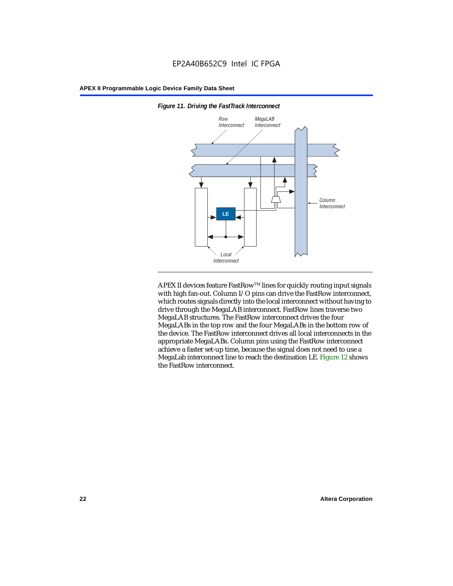

*Figure 11. Driving the FastTrack Interconnect*

APEX II devices feature FastRow™ lines for quickly routing input signals with high fan-out. Column I/O pins can drive the FastRow interconnect, which routes signals directly into the local interconnect without having to drive through the MegaLAB interconnect. FastRow lines traverse two MegaLAB structures. The FastRow interconnect drives the four MegaLABs in the top row and the four MegaLABs in the bottom row of the device. The FastRow interconnect drives all local interconnects in the appropriate MegaLABs. Column pins using the FastRow interconnect achieve a faster set-up time, because the signal does not need to use a MegaLab interconnect line to reach the destination LE. Figure 12 shows the FastRow interconnect.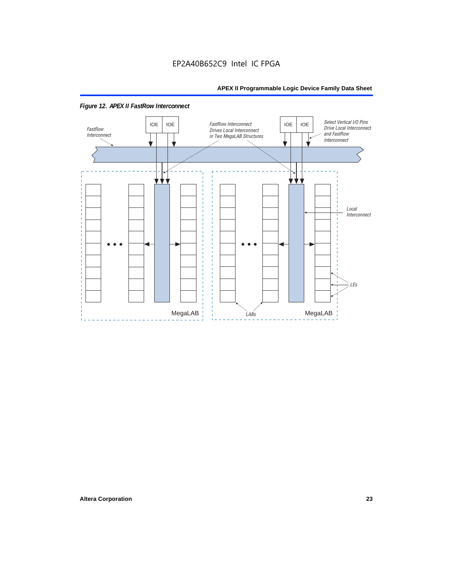

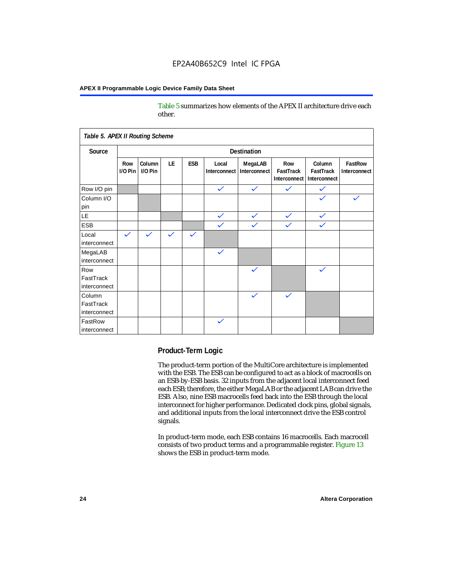Table 5 summarizes how elements of the APEX II architecture drive each other.

| Table 5. APEX II Routing Scheme     |                    |                   |              |              |                       |                         |                                  |                                     |                         |
|-------------------------------------|--------------------|-------------------|--------------|--------------|-----------------------|-------------------------|----------------------------------|-------------------------------------|-------------------------|
| Source                              | <b>Destination</b> |                   |              |              |                       |                         |                                  |                                     |                         |
|                                     | Row<br>$1/0$ Pin   | Column<br>I/O Pin | <b>LE</b>    | ESB          | Local<br>Interconnect | MegaLAB<br>Interconnect | Row<br>FastTrack<br>Interconnect | Column<br>FastTrack<br>Interconnect | FastRow<br>Interconnect |
| Row I/O pin                         |                    |                   |              |              | $\checkmark$          | $\checkmark$            | $\checkmark$                     | $\checkmark$                        |                         |
| Column I/O<br>pin                   |                    |                   |              |              |                       |                         |                                  |                                     |                         |
| <b>LE</b>                           |                    |                   |              |              | $\checkmark$          | $\checkmark$            | $\checkmark$                     | $\checkmark$                        |                         |
| <b>ESB</b>                          |                    |                   |              |              | $\checkmark$          | $\checkmark$            | $\checkmark$                     | $\checkmark$                        |                         |
| Local<br>interconnect               | $\checkmark$       | $\checkmark$      | $\checkmark$ | $\checkmark$ |                       |                         |                                  |                                     |                         |
| MegaLAB<br>interconnect             |                    |                   |              |              | $\checkmark$          |                         |                                  |                                     |                         |
| Row<br>FastTrack<br>interconnect    |                    |                   |              |              |                       | $\checkmark$            |                                  | $\checkmark$                        |                         |
| Column<br>FastTrack<br>interconnect |                    |                   |              |              |                       | $\checkmark$            | $\checkmark$                     |                                     |                         |
| FastRow<br>interconnect             |                    |                   |              |              | $\checkmark$          |                         |                                  |                                     |                         |

#### **Product-Term Logic**

The product-term portion of the MultiCore architecture is implemented with the ESB. The ESB can be configured to act as a block of macrocells on an ESB-by-ESB basis. 32 inputs from the adjacent local interconnect feed each ESB; therefore, the either MegaLAB or the adjacent LAB can drive the ESB. Also, nine ESB macrocells feed back into the ESB through the local interconnect for higher performance. Dedicated clock pins, global signals, and additional inputs from the local interconnect drive the ESB control signals.

In product-term mode, each ESB contains 16 macrocells. Each macrocell consists of two product terms and a programmable register. Figure 13 shows the ESB in product-term mode.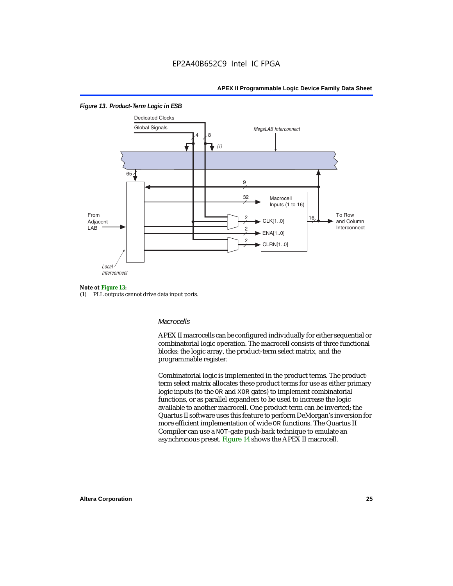

#### *Figure 13. Product-Term Logic in ESB*

#### *Note ot Figure 13:*

(1) PLL outputs cannot drive data input ports.

#### *Macrocells*

APEX II macrocells can be configured individually for either sequential or combinatorial logic operation. The macrocell consists of three functional blocks: the logic array, the product-term select matrix, and the programmable register.

Combinatorial logic is implemented in the product terms. The productterm select matrix allocates these product terms for use as either primary logic inputs (to the OR and XOR gates) to implement combinatorial functions, or as parallel expanders to be used to increase the logic available to another macrocell. One product term can be inverted; the Quartus II software uses this feature to perform DeMorgan's inversion for more efficient implementation of wide OR functions. The Quartus II Compiler can use a NOT-gate push-back technique to emulate an asynchronous preset. Figure 14 shows the APEX II macrocell.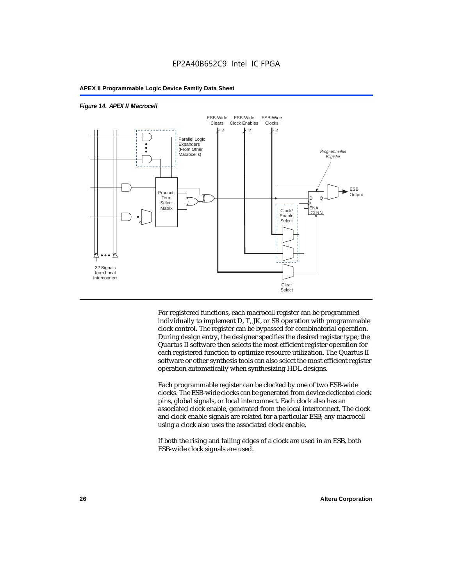



For registered functions, each macrocell register can be programmed individually to implement D, T, JK, or SR operation with programmable clock control. The register can be bypassed for combinatorial operation. During design entry, the designer specifies the desired register type; the Quartus II software then selects the most efficient register operation for each registered function to optimize resource utilization. The Quartus II software or other synthesis tools can also select the most efficient register operation automatically when synthesizing HDL designs.

Each programmable register can be clocked by one of two ESB-wide clocks. The ESB-wide clocks can be generated from device dedicated clock pins, global signals, or local interconnect. Each clock also has an associated clock enable, generated from the local interconnect. The clock and clock enable signals are related for a particular ESB; any macrocell using a clock also uses the associated clock enable.

If both the rising and falling edges of a clock are used in an ESB, both ESB-wide clock signals are used.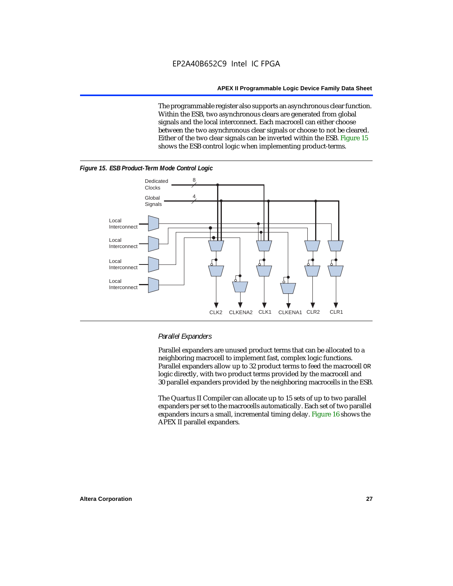The programmable register also supports an asynchronous clear function. Within the ESB, two asynchronous clears are generated from global signals and the local interconnect. Each macrocell can either choose between the two asynchronous clear signals or choose to not be cleared. Either of the two clear signals can be inverted within the ESB. Figure 15 shows the ESB control logic when implementing product-terms.





#### *Parallel Expanders*

Parallel expanders are unused product terms that can be allocated to a neighboring macrocell to implement fast, complex logic functions. Parallel expanders allow up to 32 product terms to feed the macrocell OR logic directly, with two product terms provided by the macrocell and 30 parallel expanders provided by the neighboring macrocells in the ESB.

The Quartus II Compiler can allocate up to 15 sets of up to two parallel expanders per set to the macrocells automatically. Each set of two parallel expanders incurs a small, incremental timing delay. Figure 16 shows the APEX II parallel expanders.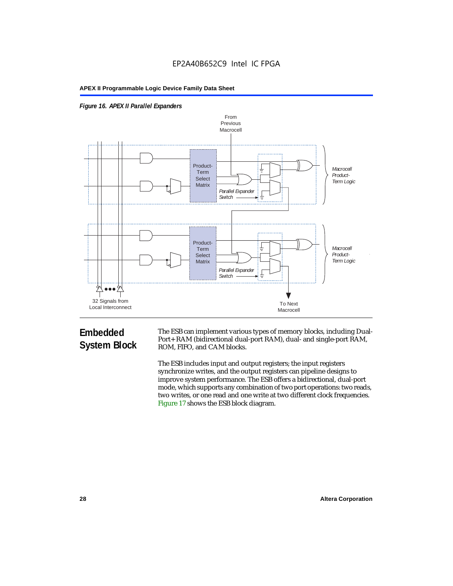



# **Embedded System Block**

The ESB can implement various types of memory blocks, including Dual-Port+ RAM (bidirectional dual-port RAM), dual- and single-port RAM, ROM, FIFO, and CAM blocks.

The ESB includes input and output registers; the input registers synchronize writes, and the output registers can pipeline designs to improve system performance. The ESB offers a bidirectional, dual-port mode, which supports any combination of two port operations: two reads, two writes, or one read and one write at two different clock frequencies. Figure 17 shows the ESB block diagram.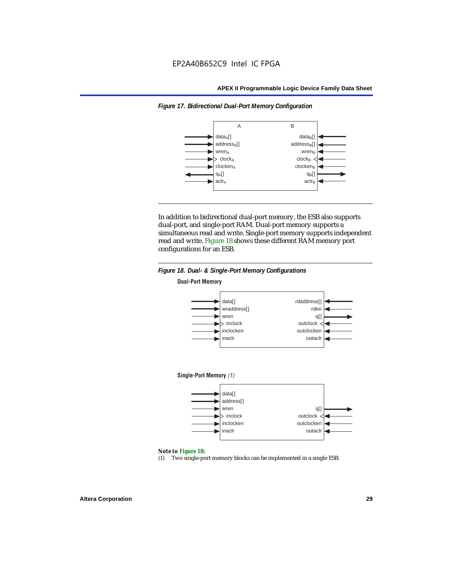

*Figure 17. Bidirectional Dual-Port Memory Configuration*

In addition to bidirectional dual-port memory, the ESB also supports dual-port, and single-port RAM. Dual-port memory supports a simultaneous read and write. Single-port memory supports independent read and write. Figure 18 shows these different RAM memory port configurations for an ESB.



#### *Note to Figure 18:*

(1) Two single-port memory blocks can be implemented in a single ESB.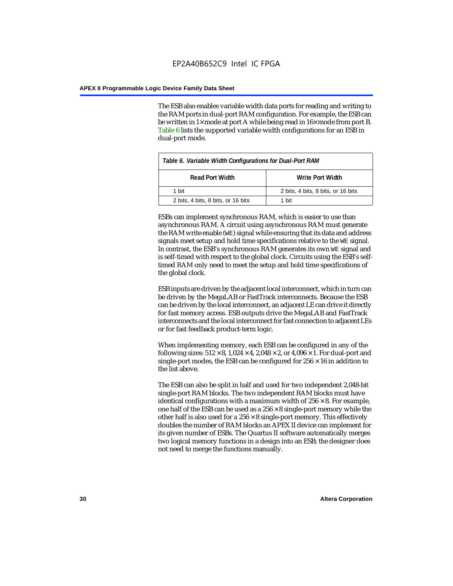The ESB also enables variable width data ports for reading and writing to the RAM ports in dual-port RAM configuration. For example, the ESB can be written in 1× mode at port A while being read in 16× mode from port B. Table 6 lists the supported variable width configurations for an ESB in dual-port mode.

| Table 6. Variable Width Configurations for Dual-Port RAM |                                    |  |  |
|----------------------------------------------------------|------------------------------------|--|--|
| <b>Read Port Width</b>                                   | Write Port Width                   |  |  |
| 1 hit                                                    | 2 bits, 4 bits, 8 bits, or 16 bits |  |  |
| 2 bits, 4 bits, 8 bits, or 16 bits                       | 1 hit                              |  |  |

ESBs can implement synchronous RAM, which is easier to use than asynchronous RAM. A circuit using asynchronous RAM must generate the RAM write enable (WE) signal while ensuring that its data and address signals meet setup and hold time specifications relative to the WE signal. In contrast, the ESB's synchronous RAM generates its own WE signal and is self-timed with respect to the global clock. Circuits using the ESB's selftimed RAM only need to meet the setup and hold time specifications of the global clock.

ESB inputs are driven by the adjacent local interconnect, which in turn can be driven by the MegaLAB or FastTrack interconnects. Because the ESB can be driven by the local interconnect, an adjacent LE can drive it directly for fast memory access. ESB outputs drive the MegaLAB and FastTrack interconnects and the local interconnect for fast connection to adjacent LEs or for fast feedback product-term logic.

When implementing memory, each ESB can be configured in any of the following sizes:  $512 \times 8$ ,  $1,024 \times 4$ ,  $2,048 \times 2$ , or  $4,096 \times 1$ . For dual-port and single-port modes, the ESB can be configured for  $256 \times 16$  in addition to the list above.

The ESB can also be split in half and used for two independent 2,048-bit single-port RAM blocks. The two independent RAM blocks must have identical configurations with a maximum width of  $256 \times 8$ . For example, one half of the ESB can be used as a  $256 \times 8$  single-port memory while the other half is also used for a  $256 \times 8$  single-port memory. This effectively doubles the number of RAM blocks an APEX II device can implement for its given number of ESBs. The Quartus II software automatically merges two logical memory functions in a design into an ESB; the designer does not need to merge the functions manually.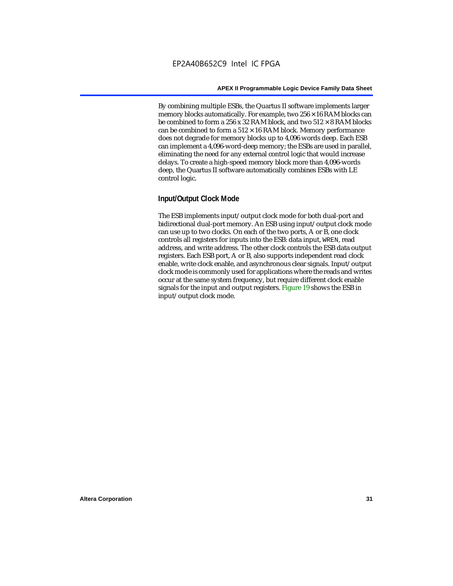By combining multiple ESBs, the Quartus II software implements larger memory blocks automatically. For example, two  $256 \times 16$  RAM blocks can be combined to form a 256 x 32 RAM block, and two  $512 \times 8$  RAM blocks can be combined to form a  $512 \times 16$  RAM block. Memory performance does not degrade for memory blocks up to 4,096 words deep. Each ESB can implement a 4,096-word-deep memory; the ESBs are used in parallel, eliminating the need for any external control logic that would increase delays. To create a high-speed memory block more than 4,096-words deep, the Quartus II software automatically combines ESBs with LE control logic.

### **Input/Output Clock Mode**

The ESB implements input/output clock mode for both dual-port and bidirectional dual-port memory. An ESB using input/output clock mode can use up to two clocks. On each of the two ports, A or B, one clock controls all registers for inputs into the ESB: data input, WREN, read address, and write address. The other clock controls the ESB data output registers. Each ESB port, A or B, also supports independent read clock enable, write clock enable, and asynchronous clear signals. Input/output clock mode is commonly used for applications where the reads and writes occur at the same system frequency, but require different clock enable signals for the input and output registers. Figure 19 shows the ESB in input/output clock mode.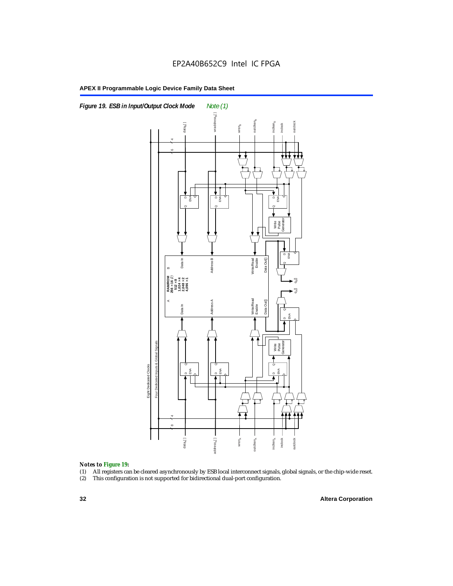



#### *Notes to Figure 19:*

- (1) All registers can be cleared asynchronously by ESB local interconnect signals, global signals, or the chip-wide reset.
-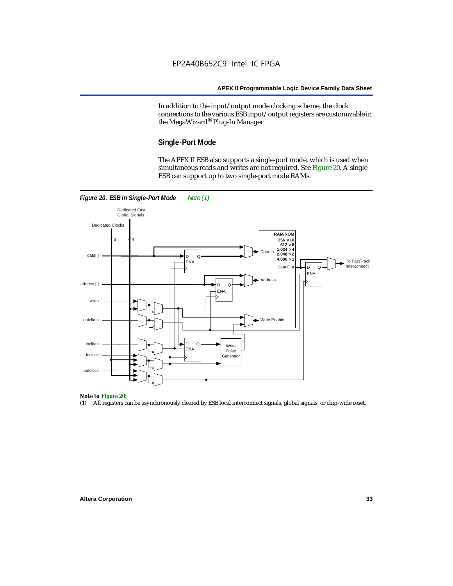In addition to the input/output mode clocking scheme, the clock connections to the various ESB input/output registers are customizable in the MegaWizard® Plug-In Manager.

#### **Single-Port Mode**

The APEX II ESB also supports a single-port mode, which is used when simultaneous reads and writes are not required. See Figure 20. A single ESB can support up to two single-port mode RAMs.



## *Note to Figure 20:*

(1) All registers can be asynchronously cleared by ESB local interconnect signals, global signals, or chip-wide reset.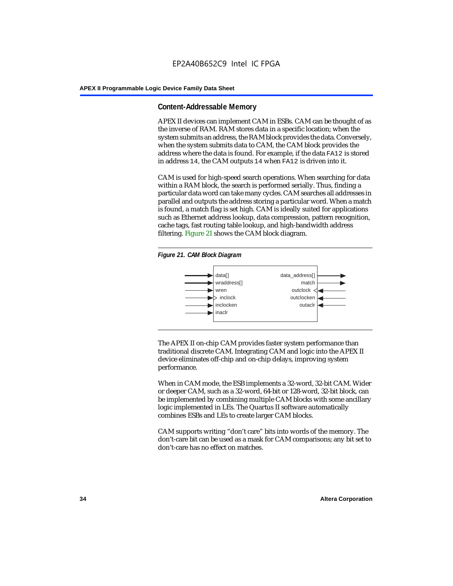#### **Content-Addressable Memory**

APEX II devices can implement CAM in ESBs. CAM can be thought of as the inverse of RAM. RAM stores data in a specific location; when the system submits an address, the RAM block provides the data. Conversely, when the system submits data to CAM, the CAM block provides the address where the data is found. For example, if the data FA12 is stored in address 14, the CAM outputs 14 when FA12 is driven into it.

CAM is used for high-speed search operations. When searching for data within a RAM block, the search is performed serially. Thus, finding a particular data word can take many cycles. CAM searches all addresses in parallel and outputs the address storing a particular word. When a match is found, a match flag is set high. CAM is ideally suited for applications such as Ethernet address lookup, data compression, pattern recognition, cache tags, fast routing table lookup, and high-bandwidth address filtering. Figure 21 shows the CAM block diagram.





The APEX II on-chip CAM provides faster system performance than traditional discrete CAM. Integrating CAM and logic into the APEX II device eliminates off-chip and on-chip delays, improving system performance.

When in CAM mode, the ESB implements a 32-word, 32-bit CAM. Wider or deeper CAM, such as a 32-word, 64-bit or 128-word, 32-bit block, can be implemented by combining multiple CAM blocks with some ancillary logic implemented in LEs. The Quartus II software automatically combines ESBs and LEs to create larger CAM blocks.

CAM supports writing "don't care" bits into words of the memory. The don't-care bit can be used as a mask for CAM comparisons; any bit set to don't-care has no effect on matches.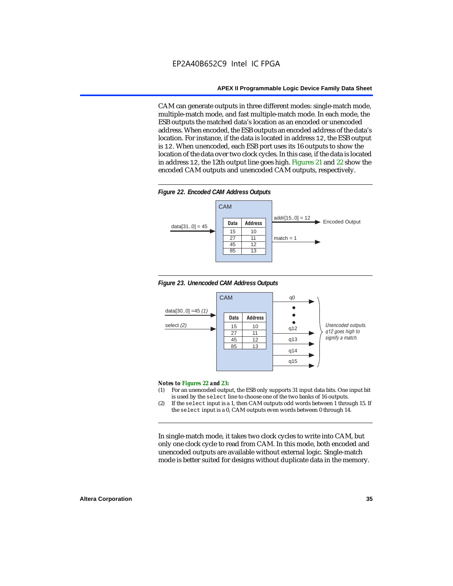CAM can generate outputs in three different modes: single-match mode, multiple-match mode, and fast multiple-match mode. In each mode, the ESB outputs the matched data's location as an encoded or unencoded address. When encoded, the ESB outputs an encoded address of the data's location. For instance, if the data is located in address 12, the ESB output is 12. When unencoded, each ESB port uses its 16 outputs to show the location of the data over two clock cycles. In this case, if the data is located in address 12, the 12th output line goes high. Figures 21 and 22 show the encoded CAM outputs and unencoded CAM outputs, respectively.









#### *Notes to Figures 22 and 23:*

- (1) For an unencoded output, the ESB only supports 31 input data bits. One input bit is used by the select line to choose one of the two banks of 16 outputs.
- (2) If the select input is a 1, then CAM outputs odd words between 1 through 15. If the select input is a 0, CAM outputs even words between 0 through 14.

In single-match mode, it takes two clock cycles to write into CAM, but only one clock cycle to read from CAM. In this mode, both encoded and unencoded outputs are available without external logic. Single-match mode is better suited for designs without duplicate data in the memory.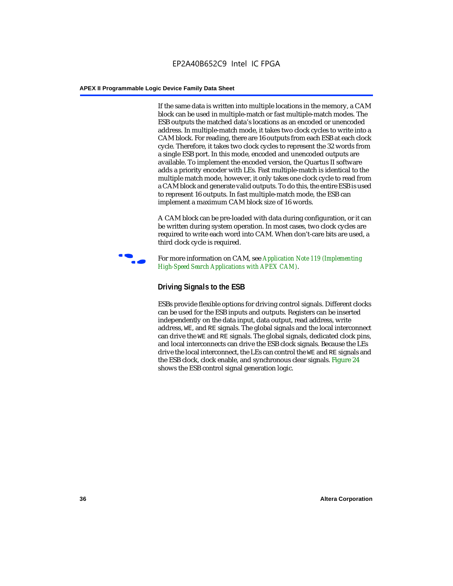If the same data is written into multiple locations in the memory, a CAM block can be used in multiple-match or fast multiple-match modes. The ESB outputs the matched data's locations as an encoded or unencoded address. In multiple-match mode, it takes two clock cycles to write into a CAM block. For reading, there are 16 outputs from each ESB at each clock cycle. Therefore, it takes two clock cycles to represent the 32 words from a single ESB port. In this mode, encoded and unencoded outputs are available. To implement the encoded version, the Quartus II software adds a priority encoder with LEs. Fast multiple-match is identical to the multiple match mode, however, it only takes one clock cycle to read from a CAM block and generate valid outputs. To do this, the entire ESB is used to represent 16 outputs. In fast multiple-match mode, the ESB can implement a maximum CAM block size of 16 words.

A CAM block can be pre-loaded with data during configuration, or it can be written during system operation. In most cases, two clock cycles are required to write each word into CAM. When don't-care bits are used, a third clock cycle is required.



f For more information on CAM, see *Application Note 119 (Implementing High-Speed Search Applications with APEX CAM)*.

# **Driving Signals to the ESB**

ESBs provide flexible options for driving control signals. Different clocks can be used for the ESB inputs and outputs. Registers can be inserted independently on the data input, data output, read address, write address, WE, and RE signals. The global signals and the local interconnect can drive the WE and RE signals. The global signals, dedicated clock pins, and local interconnects can drive the ESB clock signals. Because the LEs drive the local interconnect, the LEs can control the WE and RE signals and the ESB clock, clock enable, and synchronous clear signals. Figure 24 shows the ESB control signal generation logic.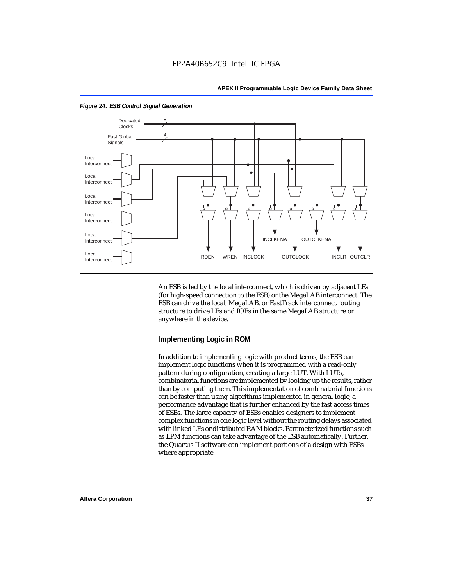

*Figure 24. ESB Control Signal Generation*

An ESB is fed by the local interconnect, which is driven by adjacent LEs (for high-speed connection to the ESB) or the MegaLAB interconnect. The ESB can drive the local, MegaLAB, or FastTrack interconnect routing structure to drive LEs and IOEs in the same MegaLAB structure or anywhere in the device.

## **Implementing Logic in ROM**

In addition to implementing logic with product terms, the ESB can implement logic functions when it is programmed with a read-only pattern during configuration, creating a large LUT. With LUTs, combinatorial functions are implemented by looking up the results, rather than by computing them. This implementation of combinatorial functions can be faster than using algorithms implemented in general logic, a performance advantage that is further enhanced by the fast access times of ESBs. The large capacity of ESBs enables designers to implement complex functions in one logic level without the routing delays associated with linked LEs or distributed RAM blocks. Parameterized functions such as LPM functions can take advantage of the ESB automatically. Further, the Quartus II software can implement portions of a design with ESBs where appropriate.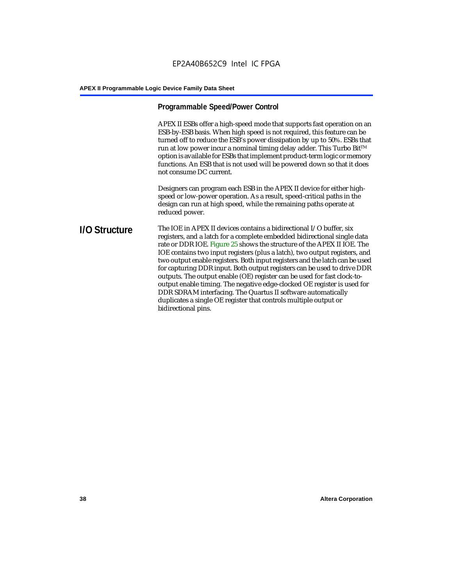# **Programmable Speed/Power Control**

APEX II ESBs offer a high-speed mode that supports fast operation on an ESB-by-ESB basis. When high speed is not required, this feature can be turned off to reduce the ESB's power dissipation by up to 50%. ESBs that run at low power incur a nominal timing delay adder. This Turbo Bit $TM$ option is available for ESBs that implement product-term logic or memory functions. An ESB that is not used will be powered down so that it does not consume DC current.

Designers can program each ESB in the APEX II device for either highspeed or low-power operation. As a result, speed-critical paths in the design can run at high speed, while the remaining paths operate at reduced power.

## **I/O Structure** The IOE in APEX II devices contains a bidirectional I/O buffer, six registers, and a latch for a complete embedded bidirectional single data rate or DDR IOE. Figure 25 shows the structure of the APEX II IOE. The IOE contains two input registers (plus a latch), two output registers, and two output enable registers. Both input registers and the latch can be used for capturing DDR input. Both output registers can be used to drive DDR outputs. The output enable (OE) register can be used for fast clock-tooutput enable timing. The negative edge-clocked OE register is used for DDR SDRAM interfacing. The Quartus II software automatically duplicates a single OE register that controls multiple output or bidirectional pins.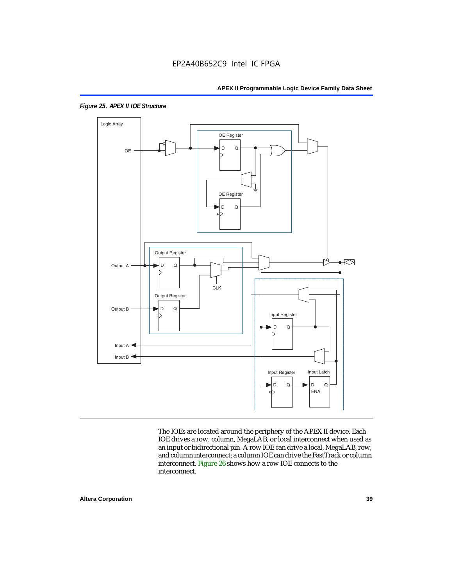

*Figure 25. APEX II IOE Structure*

The IOEs are located around the periphery of the APEX II device. Each IOE drives a row, column, MegaLAB, or local interconnect when used as an input or bidirectional pin. A row IOE can drive a local, MegaLAB, row, and column interconnect; a column IOE can drive the FastTrack or column interconnect. Figure 26 shows how a row IOE connects to the interconnect.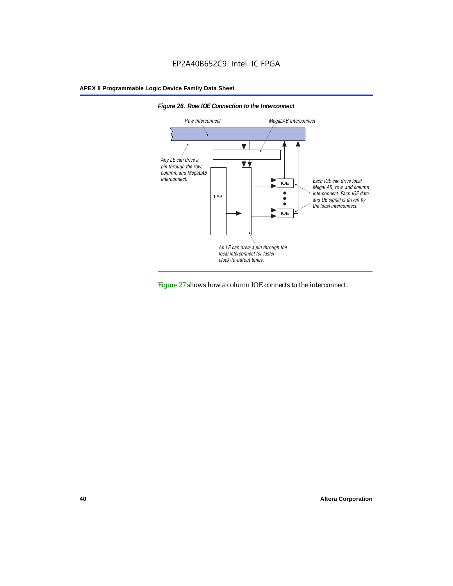



Figure 27 shows how a column IOE connects to the interconnect.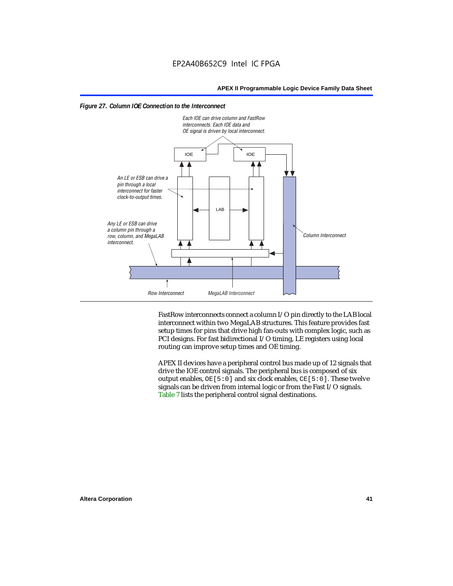



FastRow interconnects connect a column I/O pin directly to the LAB local interconnect within two MegaLAB structures. This feature provides fast setup times for pins that drive high fan-outs with complex logic, such as PCI designs. For fast bidirectional I/O timing, LE registers using local routing can improve setup times and OE timing.

APEX II devices have a peripheral control bus made up of 12 signals that drive the IOE control signals. The peripheral bus is composed of six output enables,  $OE[5:0]$  and six clock enables,  $CE[5:0]$ . These twelve signals can be driven from internal logic or from the Fast I/O signals. Table 7 lists the peripheral control signal destinations.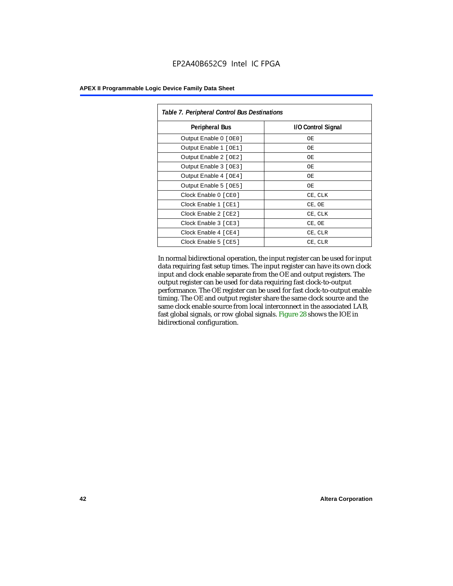| <b>APEX II Programmable Logic Device Family Data Sheet</b> |  |  |  |
|------------------------------------------------------------|--|--|--|
|------------------------------------------------------------|--|--|--|

| Table 7. Peripheral Control Bus Destinations |                    |  |  |  |
|----------------------------------------------|--------------------|--|--|--|
| <b>Peripheral Bus</b>                        | I/O Control Signal |  |  |  |
| Output Enable 0 [OE0]                        | OE.                |  |  |  |
| Output Enable 1 [OE1]                        | OЕ                 |  |  |  |
| Output Enable 2 [OE2]                        | OЕ                 |  |  |  |
| Output Enable 3 [OE3]                        | OЕ                 |  |  |  |
| Output Enable 4 [OE4]                        | OE.                |  |  |  |
| Output Enable 5 [OE5]                        | OЕ                 |  |  |  |
| Clock Enable 0 [ CE0 ]                       | CE, CLK            |  |  |  |
| Clock Enable 1 [CE1]                         | CE, OE             |  |  |  |
| Clock Enable 2 [ CE2 ]                       | CE, CLK            |  |  |  |
| Clock Enable 3 [ CE3 ]                       | CE, OE             |  |  |  |
| Clock Enable 4 [CE4]                         | CE, CLR            |  |  |  |
| Clock Enable 5 [ CE5 ]                       | CE, CLR            |  |  |  |

In normal bidirectional operation, the input register can be used for input data requiring fast setup times. The input register can have its own clock input and clock enable separate from the OE and output registers. The output register can be used for data requiring fast clock-to-output performance. The OE register can be used for fast clock-to-output enable timing. The OE and output register share the same clock source and the same clock enable source from local interconnect in the associated LAB, fast global signals, or row global signals. Figure 28 shows the IOE in bidirectional configuration.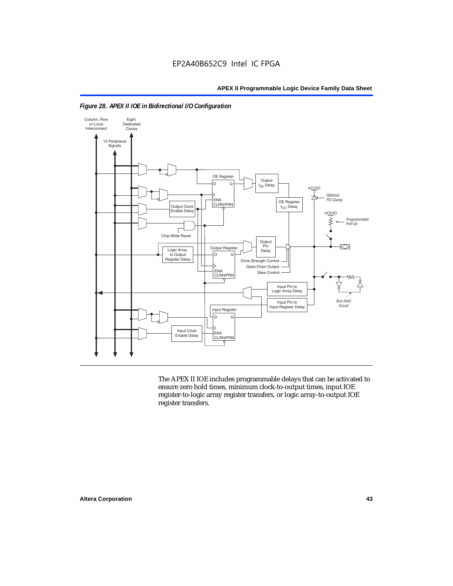



The APEX II IOE includes programmable delays that can be activated to ensure zero hold times, minimum clock-to-output times, input IOE register-to-logic array register transfers, or logic array-to-output IOE register transfers.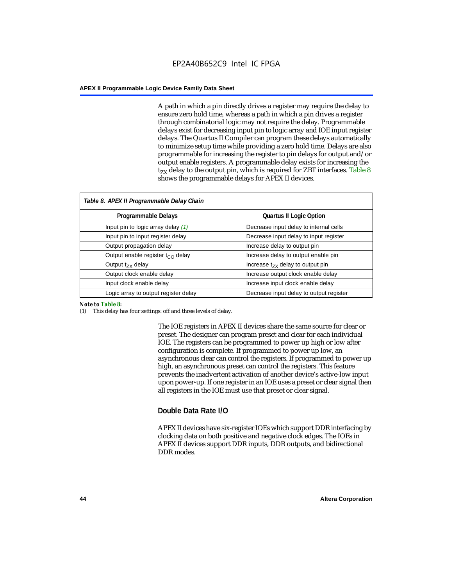A path in which a pin directly drives a register may require the delay to ensure zero hold time, whereas a path in which a pin drives a register through combinatorial logic may not require the delay. Programmable delays exist for decreasing input pin to logic array and IOE input register delays. The Quartus II Compiler can program these delays automatically to minimize setup time while providing a zero hold time. Delays are also programmable for increasing the register to pin delays for output and/or output enable registers. A programmable delay exists for increasing the  $t_{ZX}$  delay to the output pin, which is required for ZBT interfaces. Table 8 shows the programmable delays for APEX II devices.

| Table 8. APEX II Programmable Delay Chain |                                         |
|-------------------------------------------|-----------------------------------------|
| <b>Programmable Delays</b>                | <b>Quartus II Logic Option</b>          |
| Input pin to logic array delay $(1)$      | Decrease input delay to internal cells  |
| Input pin to input register delay         | Decrease input delay to input register  |
| Output propagation delay                  | Increase delay to output pin            |
| Output enable register $t_{\rm CO}$ delay | Increase delay to output enable pin     |
| Output $t_{\rm rx}$ delay                 | Increase $t_{zx}$ delay to output pin   |
| Output clock enable delay                 | Increase output clock enable delay      |
| Input clock enable delay                  | Increase input clock enable delay       |
| Logic array to output register delay      | Decrease input delay to output register |

#### *Note to Table 8:*

(1) This delay has four settings: off and three levels of delay.

The IOE registers in APEX II devices share the same source for clear or preset. The designer can program preset and clear for each individual IOE. The registers can be programmed to power up high or low after configuration is complete. If programmed to power up low, an asynchronous clear can control the registers. If programmed to power up high, an asynchronous preset can control the registers. This feature prevents the inadvertent activation of another device's active-low input upon power-up. If one register in an IOE uses a preset or clear signal then all registers in the IOE must use that preset or clear signal.

## **Double Data Rate I/O**

APEX II devices have six-register IOEs which support DDR interfacing by clocking data on both positive and negative clock edges. The IOEs in APEX II devices support DDR inputs, DDR outputs, and bidirectional DDR modes.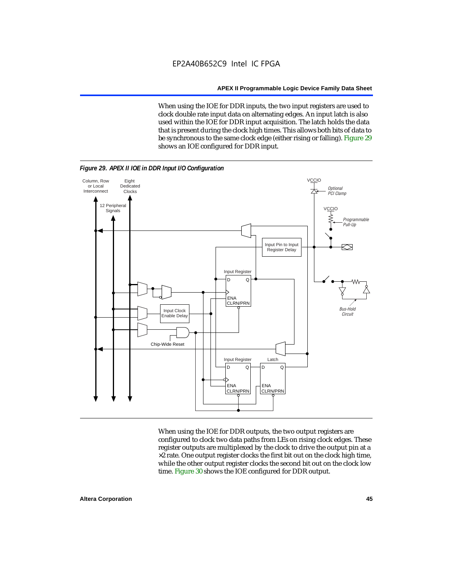When using the IOE for DDR inputs, the two input registers are used to clock double rate input data on alternating edges. An input latch is also used within the IOE for DDR input acquisition. The latch holds the data that is present during the clock high times. This allows both bits of data to be synchronous to the same clock edge (either rising or falling). Figure 29 shows an IOE configured for DDR input.



When using the IOE for DDR outputs, the two output registers are configured to clock two data paths from LEs on rising clock edges. These register outputs are multiplexed by the clock to drive the output pin at a  $\times 2$  rate. One output register clocks the first bit out on the clock high time, while the other output register clocks the second bit out on the clock low time. Figure 30 shows the IOE configured for DDR output.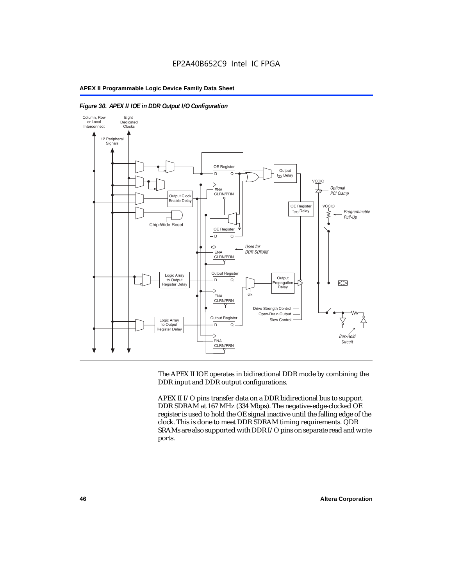

#### *Figure 30. APEX II IOE in DDR Output I/O Configuration*

The APEX II IOE operates in bidirectional DDR mode by combining the DDR input and DDR output configurations.

APEX II I/O pins transfer data on a DDR bidirectional bus to support DDR SDRAM at 167 MHz (334 Mbps). The negative-edge-clocked OE register is used to hold the OE signal inactive until the falling edge of the clock. This is done to meet DDR SDRAM timing requirements. QDR SRAMs are also supported with DDR I/O pins on separate read and write ports.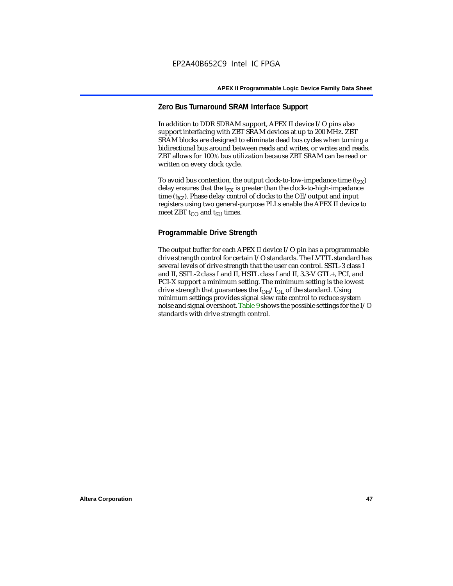# **Zero Bus Turnaround SRAM Interface Support**

In addition to DDR SDRAM support, APEX II device I/O pins also support interfacing with ZBT SRAM devices at up to 200 MHz. ZBT SRAM blocks are designed to eliminate dead bus cycles when turning a bidirectional bus around between reads and writes, or writes and reads. ZBT allows for 100% bus utilization because ZBT SRAM can be read or written on every clock cycle.

To avoid bus contention, the output clock-to-low-impedance time  $(t_{ZX})$ delay ensures that the  $t_{zx}$  is greater than the clock-to-high-impedance time  $(t_{XZ})$ . Phase delay control of clocks to the OE/output and input registers using two general-purpose PLLs enable the APEX II device to meet ZBT  $t_{CO}$  and  $t_{SUI}$  times.

# **Programmable Drive Strength**

The output buffer for each APEX II device I/O pin has a programmable drive strength control for certain I/O standards. The LVTTL standard has several levels of drive strength that the user can control. SSTL-3 class I and II, SSTL-2 class I and II, HSTL class I and II, 3.3-V GTL+, PCI, and PCI-X support a minimum setting. The minimum setting is the lowest drive strength that guarantees the  $I<sub>OH</sub>/I<sub>OL</sub>$  of the standard. Using minimum settings provides signal slew rate control to reduce system noise and signal overshoot. Table 9 shows the possible settings for the I/O standards with drive strength control.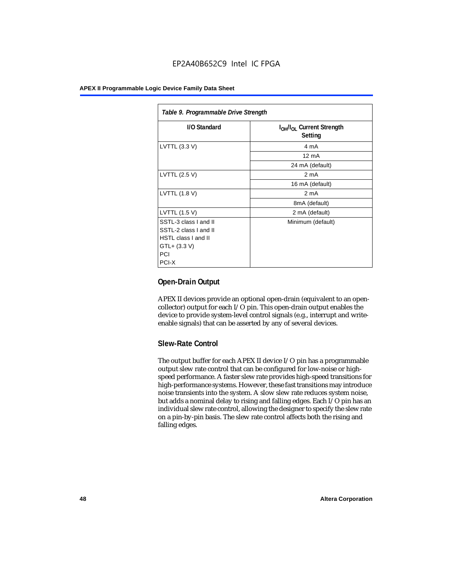| Table 9. Programmable Drive Strength |                                                              |  |  |  |
|--------------------------------------|--------------------------------------------------------------|--|--|--|
| I/O Standard                         | I <sub>OH</sub> /I <sub>OL</sub> Current Strength<br>Setting |  |  |  |
| LVTTL (3.3 V)                        | 4 mA                                                         |  |  |  |
|                                      | $12 \text{ mA}$                                              |  |  |  |
|                                      | 24 mA (default)                                              |  |  |  |
| LVTTL (2.5 V)                        | 2 <sub>m</sub> A                                             |  |  |  |
|                                      | 16 mA (default)                                              |  |  |  |
| LVTTL (1.8 V)                        | 2 mA                                                         |  |  |  |
|                                      | 8mA (default)                                                |  |  |  |
| LVTTL (1.5 V)                        | 2 mA (default)                                               |  |  |  |
| SSTL-3 class I and II                | Minimum (default)                                            |  |  |  |
| SSTL-2 class I and II                |                                                              |  |  |  |
| HSTL class I and II                  |                                                              |  |  |  |
| GTL+ (3.3 V)                         |                                                              |  |  |  |
| PCI                                  |                                                              |  |  |  |
| PCI-X                                |                                                              |  |  |  |

# **Open-Drain Output**

APEX II devices provide an optional open-drain (equivalent to an opencollector) output for each I/O pin. This open-drain output enables the device to provide system-level control signals (e.g., interrupt and writeenable signals) that can be asserted by any of several devices.

# **Slew-Rate Control**

The output buffer for each APEX II device I/O pin has a programmable output slew rate control that can be configured for low-noise or highspeed performance. A faster slew rate provides high-speed transitions for high-performance systems. However, these fast transitions may introduce noise transients into the system. A slow slew rate reduces system noise, but adds a nominal delay to rising and falling edges. Each I/O pin has an individual slew rate control, allowing the designer to specify the slew rate on a pin-by-pin basis. The slew rate control affects both the rising and falling edges.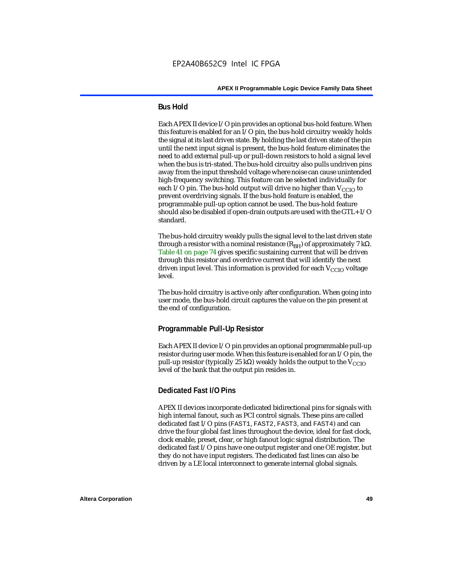# **Bus Hold**

Each APEX II device I/O pin provides an optional bus-hold feature. When this feature is enabled for an I/O pin, the bus-hold circuitry weakly holds the signal at its last driven state. By holding the last driven state of the pin until the next input signal is present, the bus-hold feature eliminates the need to add external pull-up or pull-down resistors to hold a signal level when the bus is tri-stated. The bus-hold circuitry also pulls undriven pins away from the input threshold voltage where noise can cause unintended high-frequency switching. This feature can be selected individually for each I/O pin. The bus-hold output will drive no higher than  $V_{CCIO}$  to prevent overdriving signals. If the bus-hold feature is enabled, the programmable pull-up option cannot be used. The bus-hold feature should also be disabled if open-drain outputs are used with the GTL+ I/O standard.

The bus-hold circuitry weakly pulls the signal level to the last driven state through a resistor with a nominal resistance  $(R_{BH})$  of approximately 7 kΩ. Table 41 on page 74 gives specific sustaining current that will be driven through this resistor and overdrive current that will identify the next driven input level. This information is provided for each  $V_{CCIO}$  voltage level.

The bus-hold circuitry is active only after configuration. When going into user mode, the bus-hold circuit captures the value on the pin present at the end of configuration.

# **Programmable Pull-Up Resistor**

Each APEX II device I/O pin provides an optional programmable pull-up resistor during user mode. When this feature is enabled for an I/O pin, the pull-up resistor (typically 25 kΩ) weakly holds the output to the  $V_{CCIO}$ level of the bank that the output pin resides in.

# **Dedicated Fast I/O Pins**

APEX II devices incorporate dedicated bidirectional pins for signals with high internal fanout, such as PCI control signals. These pins are called dedicated fast I/O pins (FAST1, FAST2, FAST3, and FAST4) and can drive the four global fast lines throughout the device, ideal for fast clock, clock enable, preset, clear, or high fanout logic signal distribution. The dedicated fast I/O pins have one output register and one OE register, but they do not have input registers. The dedicated fast lines can also be driven by a LE local interconnect to generate internal global signals.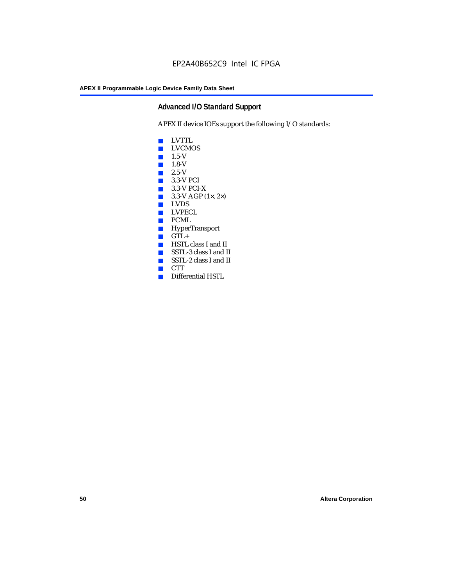# **Advanced I/O Standard Support**

APEX II device IOEs support the following I/O standards:

- LVTTL
- LVCMOS
- $\blacksquare$  1.5-V
- $\blacksquare$  1.8-V
- 2.5-V
- 3.3-V PCI
- 3.3-V PCI-X
- $\blacksquare$  3.3-V AGP (1 $\times$ , 2 $\times$ )
- LVDS<br>■ LVPE
- LVPECL
- PCML
- HyperTransport
- GTL+<br>■ HSTL
- HSTL class I and II
- SSTL-3 class I and II
- SSTL-2 class I and II
- CTT
- Differential HSTL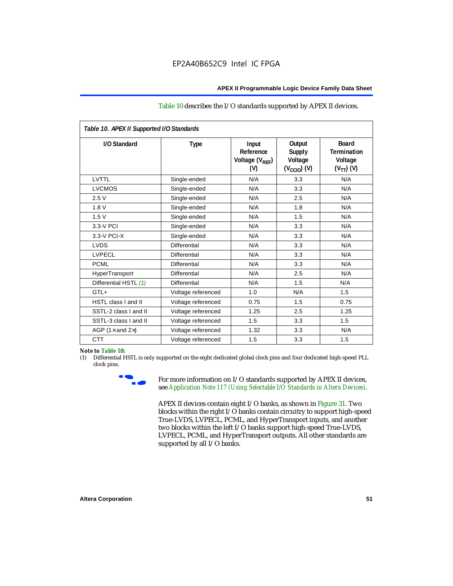#### Table 10 describes the I/O standards supported by APEX II devices.

| Table 10. APEX II Supported I/O Standards |                     |                                                  |                                                               |                                                                   |
|-------------------------------------------|---------------------|--------------------------------------------------|---------------------------------------------------------------|-------------------------------------------------------------------|
| I/O Standard                              | <b>Type</b>         | Input<br>Reference<br>Voltage $(V_{RFF})$<br>(V) | Output<br><b>Supply</b><br>Voltage<br>$(V_{\text{CCIO}})$ (V) | <b>Board</b><br><b>Termination</b><br>Voltage<br>$(V_{TT})$ $(V)$ |
| LVTTL                                     | Single-ended        | N/A                                              | 3.3                                                           | N/A                                                               |
| <b>LVCMOS</b>                             | Single-ended        | N/A                                              | 3.3                                                           | N/A                                                               |
| 2.5V                                      | Single-ended        | N/A                                              | 2.5                                                           | N/A                                                               |
| 1.8V                                      | Single-ended        | N/A                                              | 1.8                                                           | N/A                                                               |
| 1.5V                                      | Single-ended        | N/A                                              | 1.5                                                           | N/A                                                               |
| 3.3-V PCI                                 | Single-ended        | N/A                                              | 3.3                                                           | N/A                                                               |
| $3.3-V$ PCI-X                             | Single-ended        | N/A                                              | 3.3                                                           | N/A                                                               |
| <b>LVDS</b>                               | <b>Differential</b> | N/A                                              | 3.3                                                           | N/A                                                               |
| <b>LVPECL</b>                             | Differential        | N/A                                              | 3.3                                                           | N/A                                                               |
| <b>PCML</b>                               | <b>Differential</b> | N/A                                              | 3.3                                                           | N/A                                                               |
| HyperTransport                            | Differential        | N/A                                              | 2.5                                                           | N/A                                                               |
| Differential HSTL (1)                     | Differential        | N/A                                              | 1.5                                                           | N/A                                                               |
| $GTL+$                                    | Voltage referenced  | 1.0                                              | N/A                                                           | 1.5                                                               |
| HSTL class I and II                       | Voltage referenced  | 0.75                                             | 1.5                                                           | 0.75                                                              |
| SSTL-2 class I and II                     | Voltage referenced  | 1.25                                             | 2.5                                                           | 1.25                                                              |
| SSTL-3 class I and II                     | Voltage referenced  | 1.5                                              | 3.3                                                           | 1.5                                                               |
| AGP (1 $\times$ and 2 $\times$ )          | Voltage referenced  | 1.32                                             | 3.3                                                           | N/A                                                               |
| <b>CTT</b>                                | Voltage referenced  | 1.5                                              | 3.3                                                           | 1.5                                                               |

#### *Note to Table 10:*

(1) Differential HSTL is only supported on the eight dedicated global clock pins and four dedicated high-speed PLL clock pins.



For more information on I/O standards supported by APEX II devices, see *Application Note 117 (Using Selectable I/O Standards in Altera Devices)*.

APEX II devices contain eight I/O banks, as shown in Figure 31. Two blocks within the right I/O banks contain circuitry to support high-speed True-LVDS, LVPECL, PCML, and HyperTransport inputs, and another two blocks within the left I/O banks support high-speed True-LVDS, LVPECL, PCML, and HyperTransport outputs. All other standards are supported by all I/O banks.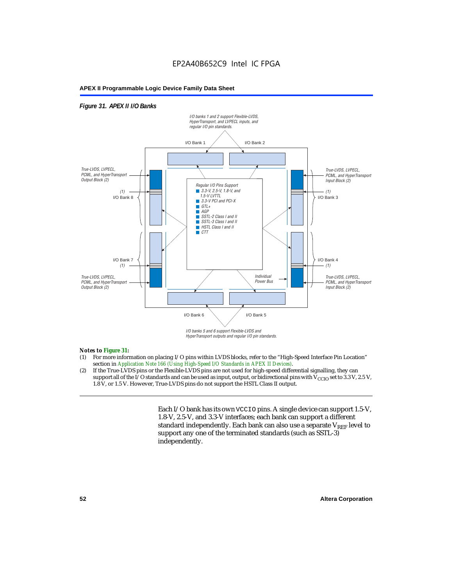# EP2A40B652C9 Intel IC FPGA

#### **APEX II Programmable Logic Device Family Data Sheet**

#### *Figure 31. APEX II I/O Banks*



HyperTransport outputs and regular I/O pin standards.

#### *Notes to Figure 31:*

- (1) For more information on placing I/O pins within LVDS blocks, refer to the "High-Speed Interface Pin Location" section in *Application Note 166 (Using High-Speed I/O Standards in APEX II Devices)*.
- (2) If the True-LVDS pins or the Flexible-LVDS pins are not used for high-speed differential signalling, they can support all of the I/O standards and can be used as input, output, or bidirectional pins with  $V_{CCIO}$  set to 3.3 V, 2.5 V, 1.8 V, or 1.5 V. However, True-LVDS pins do not support the HSTL Class II output.

Each I/O bank has its own VCCIO pins. A single device can support 1.5-V, 1.8-V, 2.5-V, and 3.3-V interfaces; each bank can support a different standard independently. Each bank can also use a separate  $V_{REF}$  level to support any one of the terminated standards (such as SSTL-3) independently.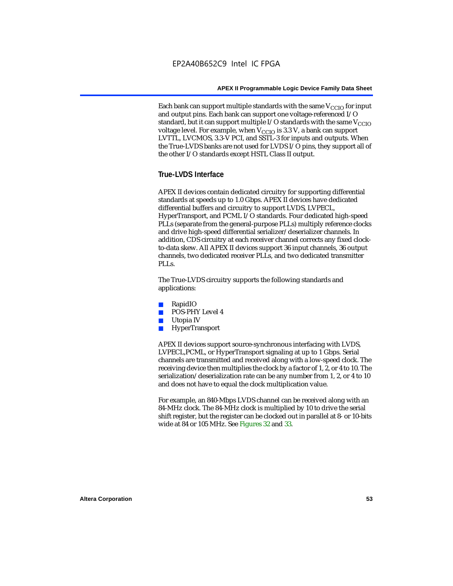Each bank can support multiple standards with the same  $V_{\text{CCIO}}$  for input and output pins. Each bank can support one voltage-referenced I/O standard, but it can support multiple I/O standards with the same  $V_{CCIO}$ voltage level. For example, when  $V_{CCIO}$  is 3.3 V, a bank can support LVTTL, LVCMOS, 3.3-V PCI, and SSTL-3 for inputs and outputs. When the True-LVDS banks are not used for LVDS I/O pins, they support all of the other I/O standards except HSTL Class II output.

# **True-LVDS Interface**

APEX II devices contain dedicated circuitry for supporting differential standards at speeds up to 1.0 Gbps. APEX II devices have dedicated differential buffers and circuitry to support LVDS, LVPECL, HyperTransport, and PCML I/O standards. Four dedicated high-speed PLLs (separate from the general-purpose PLLs) multiply reference clocks and drive high-speed differential serializer/deserializer channels. In addition, CDS circuitry at each receiver channel corrects any fixed clockto-data skew. All APEX II devices support 36 input channels, 36 output channels, two dedicated receiver PLLs, and two dedicated transmitter PLL<sub>s</sub>.

The True-LVDS circuitry supports the following standards and applications:

- RapidIO
- POS-PHY Level 4
- Utopia IV
- HyperTransport

APEX II devices support source-synchronous interfacing with LVDS, LVPECL,PCML, or HyperTransport signaling at up to 1 Gbps. Serial channels are transmitted and received along with a low-speed clock. The receiving device then multiplies the clock by a factor of 1, 2, or 4 to 10. The serialization/deserialization rate can be any number from 1, 2, or 4 to 10 and does not have to equal the clock multiplication value.

For example, an 840-Mbps LVDS channel can be received along with an 84-MHz clock. The 84-MHz clock is multiplied by 10 to drive the serial shift register, but the register can be clocked out in parallel at 8- or 10-bits wide at 84 or 105 MHz. See Figures 32 and 33.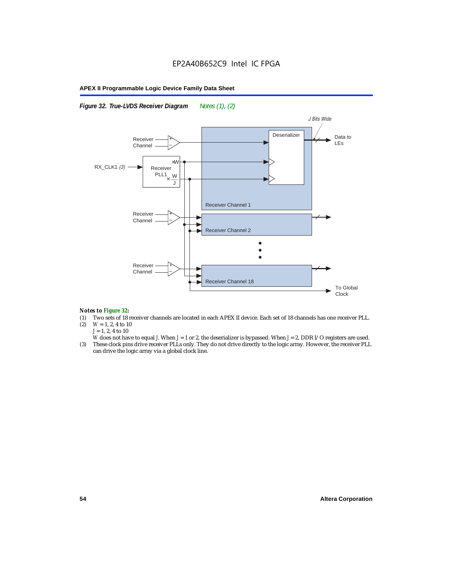*Figure 32. True-LVDS Receiver Diagram Notes (1), (2)*



#### *Notes to Figure 32:*

- (1) Two sets of 18 receiver channels are located in each APEX II device. Each set of 18 channels has one receiver PLL.<br>(2)  $W = 1, 2, 4$  to 10
- $W = 1, 2, 4$  to 10 *J* = 1, 2, 4 to 10
- *W* does not have to equal *J*. When *J* = 1 or 2, the deserializer is bypassed. When *J* = 2, DDR I/O registers are used.
- (3) These clock pins drive receiver PLLs only. They do not drive directly to the logic array. However, the receiver PLL can drive the logic array via a global clock line.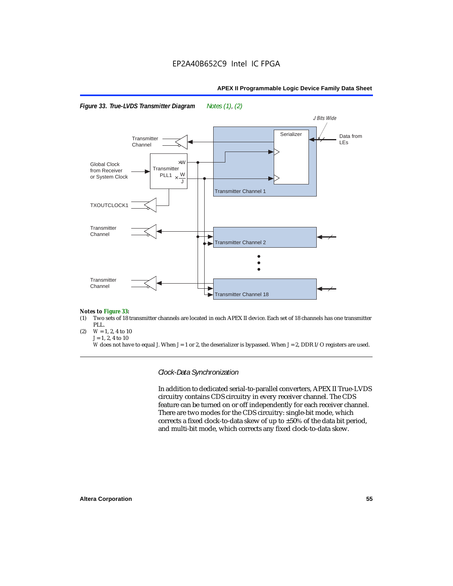



#### *Notes to Figure 33:*

- (1) Two sets of 18 transmitter channels are located in each APEX II device. Each set of 18 channels has one transmitter PLL.
- (2)  $W = 1, 2, 4$  to 10  $J = 1, 2, 4$  to 10

*W* does not have to equal *J*. When *J* = 1 or 2, the deserializer is bypassed. When *J* = 2, DDR I/O registers are used.

*Clock-Data Synchronization*

In addition to dedicated serial-to-parallel converters, APEX II True-LVDS circuitry contains CDS circuitry in every receiver channel. The CDS feature can be turned on or off independently for each receiver channel. There are two modes for the CDS circuitry: single-bit mode, which corrects a fixed clock-to-data skew of up to ±50% of the data bit period, and multi-bit mode, which corrects any fixed clock-to-data skew.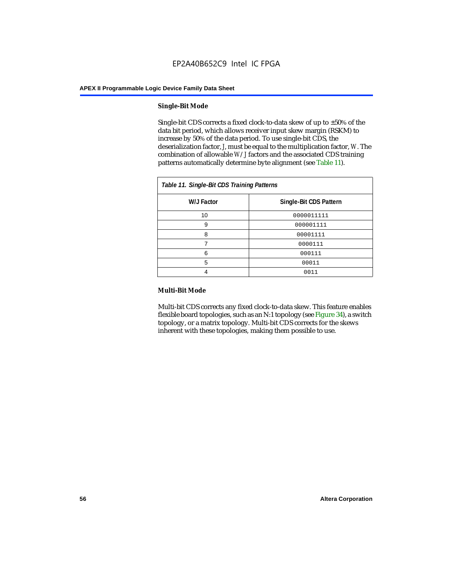#### **Single-Bit Mode**

Single-bit CDS corrects a fixed clock-to-data skew of up to  $\pm 50\%$  of the data bit period, which allows receiver input skew margin (RSKM) to increase by 50% of the data period. To use single-bit CDS, the deserialization factor, *J*, must be equal to the multiplication factor, *W*. The combination of allowable *W*/*J* factors and the associated CDS training patterns automatically determine byte alignment (see Table 11).

| Table 11. Single-Bit CDS Training Patterns |                        |  |
|--------------------------------------------|------------------------|--|
| W/J Factor                                 | Single-Bit CDS Pattern |  |
| 10                                         | 0000011111             |  |
| 9                                          | 000001111              |  |
| 8                                          | 00001111               |  |
|                                            | 0000111                |  |
| 6                                          | 000111                 |  |
| 5                                          | 00011                  |  |
|                                            | 0011                   |  |

#### **Multi-Bit Mode**

Multi-bit CDS corrects any fixed clock-to-data skew. This feature enables flexible board topologies, such as an N:1 topology (see Figure 34), a switch topology, or a matrix topology. Multi-bit CDS corrects for the skews inherent with these topologies, making them possible to use.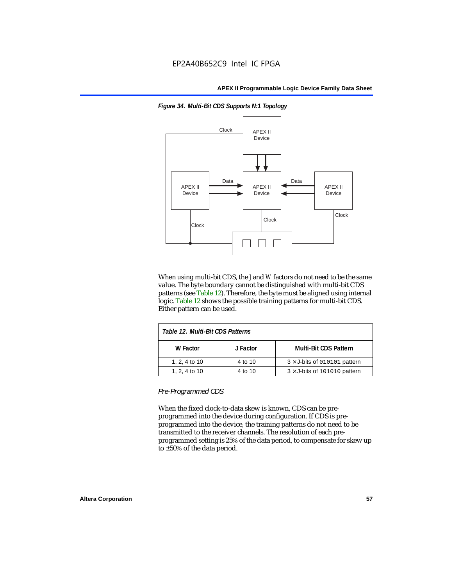

*Figure 34. Multi-Bit CDS Supports N:1 Topology*

When using multi-bit CDS, the *J* and *W* factors do not need to be the same value. The byte boundary cannot be distinguished with multi-bit CDS patterns (see Table 12). Therefore, the byte must be aligned using internal logic. Table 12 shows the possible training patterns for multi-bit CDS. Either pattern can be used.

| Table 12. Multi-Bit CDS Patterns |          |                                     |
|----------------------------------|----------|-------------------------------------|
| W Factor                         | J Factor | <b>Multi-Bit CDS Pattern</b>        |
| 1, 2, 4 to 10                    | 4 to 10  | $3 \times$ J-bits of 010101 pattern |
| 1, 2, 4 to 10                    | 4 to 10  | $3 \times$ J-bits of 101010 pattern |

*Pre-Programmed CDS*

When the fixed clock-to-data skew is known, CDS can be preprogrammed into the device during configuration. If CDS is preprogrammed into the device, the training patterns do not need to be transmitted to the receiver channels. The resolution of each preprogrammed setting is 25% of the data period, to compensate for skew up to ±50% of the data period.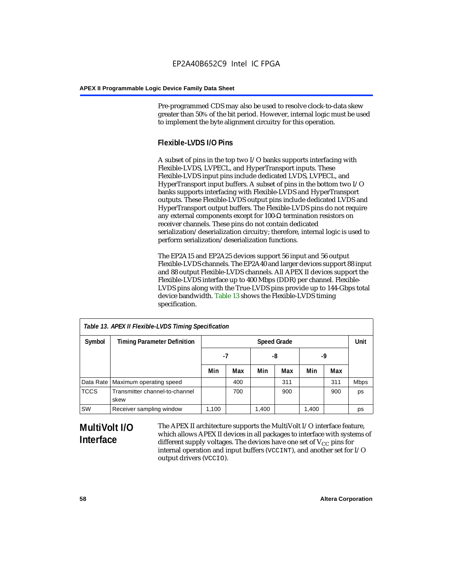Pre-programmed CDS may also be used to resolve clock-to-data skew greater than 50% of the bit period. However, internal logic must be used to implement the byte alignment circuitry for this operation.

# **Flexible-LVDS I/O Pins**

A subset of pins in the top two I/O banks supports interfacing with Flexible-LVDS, LVPECL, and HyperTransport inputs. These Flexible-LVDS input pins include dedicated LVDS, LVPECL, and HyperTransport input buffers. A subset of pins in the bottom two I/O banks supports interfacing with Flexible-LVDS and HyperTransport outputs. These Flexible-LVDS output pins include dedicated LVDS and HyperTransport output buffers. The Flexible-LVDS pins do not require any external components except for 100-Ω termination resistors on receiver channels. These pins do not contain dedicated serialization/deserialization circuitry; therefore, internal logic is used to perform serialization/deserialization functions.

The EP2A15 and EP2A25 devices support 56 input and 56 output Flexible-LVDS channels. The EP2A40 and larger devices support 88 input and 88 output Flexible-LVDS channels. All APEX II devices support the Flexible-LVDS interface up to 400 Mbps (DDR) per channel. Flexible-LVDS pins along with the True-LVDS pins provide up to 144-Gbps total device bandwidth. Table 13 shows the Flexible-LVDS timing specification.

| Table 13. APEX II Flexible-LVDS Timing Specification |                                        |                    |     |       |     |       |      |             |
|------------------------------------------------------|----------------------------------------|--------------------|-----|-------|-----|-------|------|-------------|
| Symbol                                               | <b>Timing Parameter Definition</b>     | <b>Speed Grade</b> |     |       |     |       | Unit |             |
|                                                      |                                        | -7                 |     | -8    |     |       | -9   |             |
|                                                      |                                        | Min                | Max | Min   | Max | Min   | Max  |             |
|                                                      | Data Rate   Maximum operating speed    |                    | 400 |       | 311 |       | 311  | <b>Mbps</b> |
| <b>TCCS</b>                                          | Transmitter channel-to-channel<br>skew |                    | 700 |       | 900 |       | 900  | ps          |
| SW                                                   | Receiver sampling window               | 1,100              |     | 1,400 |     | 1,400 |      | ps          |

# **MultiVolt I/O Interface**

The APEX II architecture supports the MultiVolt I/O interface feature, which allows APEX II devices in all packages to interface with systems of different supply voltages. The devices have one set of  $V_{CC}$  pins for internal operation and input buffers (VCCINT), and another set for I/O output drivers (VCCIO).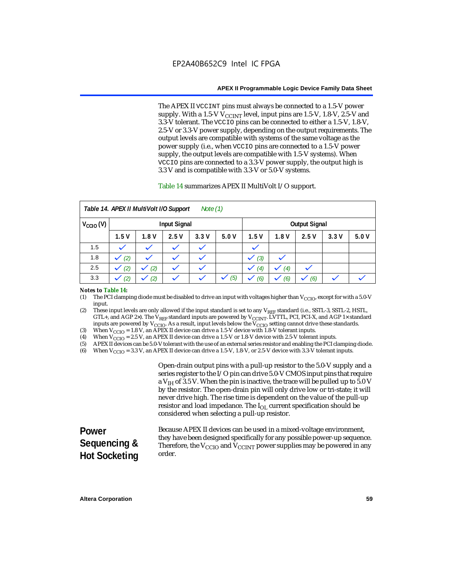The APEX II VCCINT pins must always be connected to a 1.5-V power supply. With a 1.5-V  $V_{\text{CCINT}}$  level, input pins are 1.5-V, 1.8-V, 2.5-V and 3.3-V tolerant. The VCCIO pins can be connected to either a 1.5-V, 1.8-V, 2.5-V or 3.3-V power supply, depending on the output requirements. The output levels are compatible with systems of the same voltage as the power supply (i.e., when VCCIO pins are connected to a 1.5-V power supply, the output levels are compatible with 1.5-V systems). When VCCIO pins are connected to a 3.3-V power supply, the output high is 3.3 V and is compatible with 3.3-V or 5.0-V systems.

#### Table 14 summarizes APEX II MultiVolt I/O support.

|                      |      | Table 14. APEX II MultiVolt I/O Support |                     | Note $(1)$ |      |       |      |                      |      |      |
|----------------------|------|-----------------------------------------|---------------------|------------|------|-------|------|----------------------|------|------|
| $V_{\text{CCIO}}(V)$ |      |                                         | <b>Input Signal</b> |            |      |       |      | <b>Output Signal</b> |      |      |
|                      | 1.5V | 1.8V                                    | 2.5V                | 3.3V       | 5.0V | 1.5V  | 1.8V | 2.5V                 | 3.3V | 5.0V |
| 1.5                  |      |                                         |                     |            |      |       |      |                      |      |      |
| 1.8                  | (2)  |                                         |                     |            |      | $(3)$ |      |                      |      |      |
| 2.5                  | (2)  | (2)                                     |                     | k.         |      | (4)   | (4)  |                      |      |      |
| 3.3                  | (2)  | (2)                                     |                     |            | (5)  | (6)   | (6)  | (6)                  |      |      |

#### *Notes to Table 14:*

(1) The PCI clamping diode must be disabled to drive an input with voltages higher than  $V_{\rm CClO}$ , except for with a 5.0-V input.

(2) These input levels are only allowed if the input standard is set to any V<sub>REF</sub> standard (i.e., SSTL-3, SSTL-2, HSTL, GTL+, and AGP 2×). The V<sub>REF</sub> standard inputs are powered by V<sub>CCINT</sub>. LVTTL, PCI, PCI-X, and AGP 1× standard inputs are powered by  $V_{\text{CCIO}}$ . As a result, input levels below the  $V_{\text{CCIO}}$  setting cannot drive these standards.

(3) When  $V_{\text{CCIO}} = 1.8$  V, an APEX II device can drive a 1.5-V device with 1.8-V tolerant inputs.<br>(4) When  $V_{\text{CCIO}} = 2.5$  V, an APEX II device can drive a 1.5-V or 1.8-V device with 2.5-V toleran

(4) When  $V_{\text{CCIO}} = 2.5$  V, an APEX II device can drive a 1.5-V or 1.8-V device with 2.5-V tolerant inputs.<br>(5) APEX II devices can be 5.0-V tolerant with the use of an external series resistor and enabling the PCI cl

APEX II devices can be 5.0-V tolerant with the use of an external series resistor and enabling the PCI clamping diode.

(6) When  $V_{\text{CCIO}} = 3.3$  V, an APEX II device can drive a 1.5-V, 1.8-V, or 2.5-V device with 3.3-V tolerant inputs.

Open-drain output pins with a pull-up resistor to the 5.0-V supply and a series register to the I/O pin can drive 5.0-V CMOS input pins that require a  $V<sub>IH</sub>$  of 3.5 V. When the pin is inactive, the trace will be pulled up to 5.0 V by the resistor. The open-drain pin will only drive low or tri-state; it will never drive high. The rise time is dependent on the value of the pull-up resistor and load impedance. The  $I_{OL}$  current specification should be considered when selecting a pull-up resistor.

| <b>Power</b>         | Because APEX II devices can be used in a mixed-voltage environment.                                                                                                      |
|----------------------|--------------------------------------------------------------------------------------------------------------------------------------------------------------------------|
| Sequencing &         | they have been designed specifically for any possible power-up sequence.<br>Therefore, the $V_{\text{CCIO}}$ and $V_{\text{CCINT}}$ power supplies may be powered in any |
| <b>Hot Socketing</b> | order.                                                                                                                                                                   |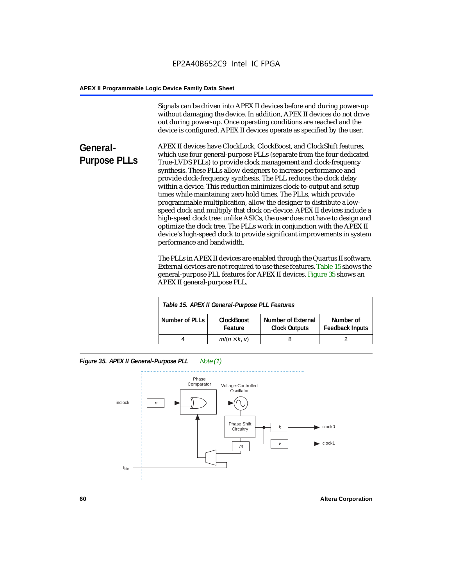Signals can be driven into APEX II devices before and during power-up without damaging the device. In addition, APEX II devices do not drive out during power-up. Once operating conditions are reached and the device is configured, APEX II devices operate as specified by the user.

**General-Purpose PLLs** APEX II devices have ClockLock, ClockBoost, and ClockShift features, which use four general-purpose PLLs (separate from the four dedicated True-LVDS PLLs) to provide clock management and clock-frequency synthesis. These PLLs allow designers to increase performance and provide clock-frequency synthesis. The PLL reduces the clock delay within a device. This reduction minimizes clock-to-output and setup times while maintaining zero hold times. The PLLs, which provide programmable multiplication, allow the designer to distribute a lowspeed clock and multiply that clock on-device. APEX II devices include a high-speed clock tree: unlike ASICs, the user does not have to design and optimize the clock tree. The PLLs work in conjunction with the APEX II device's high-speed clock to provide significant improvements in system performance and bandwidth.

> The PLLs in APEX II devices are enabled through the Quartus II software. External devices are not required to use these features. Table 15 shows the general-purpose PLL features for APEX II devices. Figure 35 shows an APEX II general-purpose PLL.

|                | Table 15. APEX II General-Purpose PLL Features |                                                   |                                     |
|----------------|------------------------------------------------|---------------------------------------------------|-------------------------------------|
| Number of PLLs | <b>ClockBoost</b><br>Feature                   | <b>Number of External</b><br><b>Clock Outputs</b> | Number of<br><b>Feedback Inputs</b> |
|                | $m/(n \times k, v)$                            |                                                   |                                     |

*Figure 35. APEX II General-Purpose PLL Note (1)*

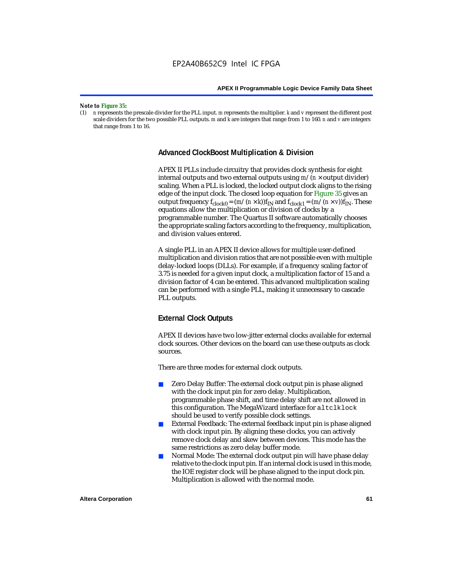#### *Note to Figure 35:*

(1) *n* represents the prescale divider for the PLL input. *m* represents the multiplier. *k* and *v* represent the different post scale dividers for the two possible PLL outputs. *m* and *k* are integers that range from 1 to 160. *n* and *v* are integers that range from 1 to 16.

#### **Advanced ClockBoost Multiplication & Division**

APEX II PLLs include circuitry that provides clock synthesis for eight internal outputs and two external outputs using  $m/(n \times$  output divider) scaling. When a PLL is locked, the locked output clock aligns to the rising edge of the input clock. The closed loop equation for Figure 35 gives an output frequency  $f_{clock0} = (m/(n \times k))f_{IN}$  and  $f_{clock1} = (m/(n \times v))f_{IN}$ . These equations allow the multiplication or division of clocks by a programmable number. The Quartus II software automatically chooses the appropriate scaling factors according to the frequency, multiplication, and division values entered.

A single PLL in an APEX II device allows for multiple user-defined multiplication and division ratios that are not possible even with multiple delay-locked loops (DLLs). For example, if a frequency scaling factor of 3.75 is needed for a given input clock, a multiplication factor of 15 and a division factor of 4 can be entered. This advanced multiplication scaling can be performed with a single PLL, making it unnecessary to cascade PLL outputs.

## **External Clock Outputs**

APEX II devices have two low-jitter external clocks available for external clock sources. Other devices on the board can use these outputs as clock sources.

There are three modes for external clock outputs.

- Zero Delay Buffer: The external clock output pin is phase aligned with the clock input pin for zero delay. Multiplication, programmable phase shift, and time delay shift are not allowed in this configuration. The MegaWizard interface for altclklock should be used to verify possible clock settings.
- External Feedback: The external feedback input pin is phase aligned with clock input pin. By aligning these clocks, you can actively remove clock delay and skew between devices. This mode has the same restrictions as zero delay buffer mode.
- Normal Mode: The external clock output pin will have phase delay relative to the clock input pin. If an internal clock is used in this mode, the IOE register clock will be phase aligned to the input clock pin. Multiplication is allowed with the normal mode.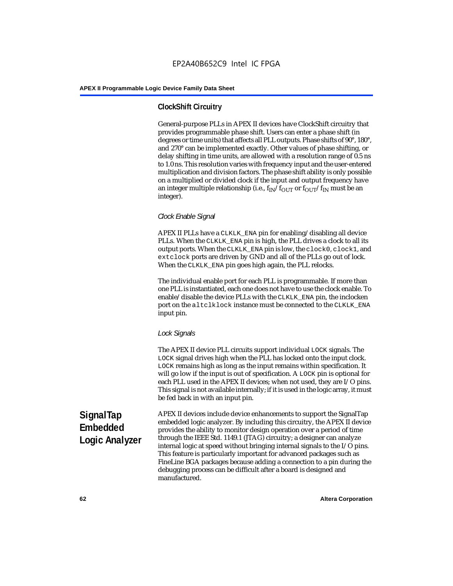# **ClockShift Circuitry**

General-purpose PLLs in APEX II devices have ClockShift circuitry that provides programmable phase shift. Users can enter a phase shift (in degrees or time units) that affects all PLL outputs. Phase shifts of 90°, 180°, and 270° can be implemented exactly. Other values of phase shifting, or delay shifting in time units, are allowed with a resolution range of 0.5 ns to 1.0 ns. This resolution varies with frequency input and the user-entered multiplication and division factors. The phase shift ability is only possible on a multiplied or divided clock if the input and output frequency have an integer multiple relationship (i.e.,  $f_{IN}/f_{OUT}$  or  $f_{OUT}/f_{IN}$  must be an integer).

# *Clock Enable Signal*

APEX II PLLs have a CLKLK\_ENA pin for enabling/disabling all device PLLs. When the CLKLK\_ENA pin is high, the PLL drives a clock to all its output ports. When the CLKLK\_ENA pin is low, the clock0, clock1, and extclock ports are driven by GND and all of the PLLs go out of lock. When the CLKLK\_ENA pin goes high again, the PLL relocks.

The individual enable port for each PLL is programmable. If more than one PLL is instantiated, each one does not have to use the clock enable. To enable/disable the device PLLs with the CLKLK\_ENA pin, the inclocken port on the altclklock instance must be connected to the CLKLK\_ENA input pin.

## *Lock Signals*

The APEX II device PLL circuits support individual LOCK signals. The LOCK signal drives high when the PLL has locked onto the input clock. LOCK remains high as long as the input remains within specification. It will go low if the input is out of specification. A LOCK pin is optional for each PLL used in the APEX II devices; when not used, they are I/O pins. This signal is not available internally; if it is used in the logic array, it must be fed back in with an input pin.

**SignalTap Embedded Logic Analyzer** APEX II devices include device enhancements to support the SignalTap embedded logic analyzer. By including this circuitry, the APEX II device provides the ability to monitor design operation over a period of time through the IEEE Std. 1149.1 (JTAG) circuitry; a designer can analyze internal logic at speed without bringing internal signals to the I/O pins. This feature is particularly important for advanced packages such as FineLine BGA packages because adding a connection to a pin during the debugging process can be difficult after a board is designed and manufactured.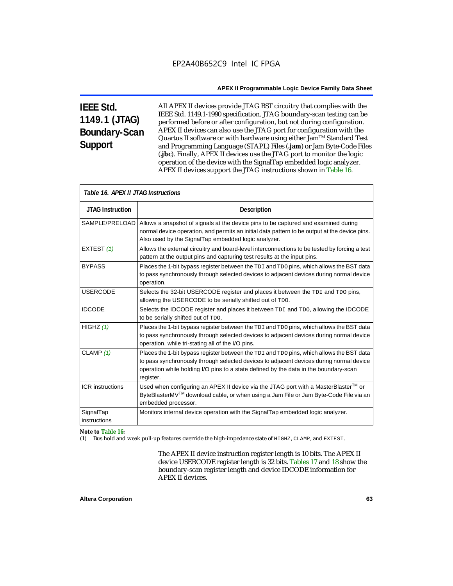# **IEEE Std. 1149.1 (JTAG) Boundary-Scan Support**

All APEX II devices provide JTAG BST circuitry that complies with the IEEE Std. 1149.1-1990 specification. JTAG boundary-scan testing can be performed before or after configuration, but not during configuration. APEX II devices can also use the JTAG port for configuration with the Quartus II software or with hardware using either Jam<sup>TM</sup> Standard Test and Programming Language (STAPL) Files (**.jam**) or Jam Byte-Code Files (**.jbc**). Finally, APEX II devices use the JTAG port to monitor the logic operation of the device with the SignalTap embedded logic analyzer. APEX II devices support the JTAG instructions shown in Table 16.

| Table 16. APEX II JTAG Instructions |                                                                                                                                                                                                                                                                                          |  |  |
|-------------------------------------|------------------------------------------------------------------------------------------------------------------------------------------------------------------------------------------------------------------------------------------------------------------------------------------|--|--|
| <b>JTAG Instruction</b>             | <b>Description</b>                                                                                                                                                                                                                                                                       |  |  |
| SAMPLE/PRELOAD                      | Allows a snapshot of signals at the device pins to be captured and examined during<br>normal device operation, and permits an initial data pattern to be output at the device pins.<br>Also used by the SignalTap embedded logic analyzer.                                               |  |  |
| EXTEST (1)                          | Allows the external circuitry and board-level interconnections to be tested by forcing a test<br>pattern at the output pins and capturing test results at the input pins.                                                                                                                |  |  |
| <b>BYPASS</b>                       | Places the 1-bit bypass register between the TDI and TDO pins, which allows the BST data<br>to pass synchronously through selected devices to adjacent devices during normal device<br>operation.                                                                                        |  |  |
| <b>USERCODE</b>                     | Selects the 32-bit USERCODE register and places it between the TDI and TDO pins,<br>allowing the USERCODE to be serially shifted out of TDO.                                                                                                                                             |  |  |
| <b>IDCODE</b>                       | Selects the IDCODE register and places it between TDI and TDO, allowing the IDCODE<br>to be serially shifted out of TDO.                                                                                                                                                                 |  |  |
| HIGHZ $(1)$                         | Places the 1-bit bypass register between the TDI and TDO pins, which allows the BST data<br>to pass synchronously through selected devices to adjacent devices during normal device<br>operation, while tri-stating all of the I/O pins.                                                 |  |  |
| CLAMP $(1)$                         | Places the 1-bit bypass register between the TDI and TDO pins, which allows the BST data<br>to pass synchronously through selected devices to adjacent devices during normal device<br>operation while holding I/O pins to a state defined by the data in the boundary-scan<br>register. |  |  |
| <b>ICR</b> instructions             | Used when configuring an APEX II device via the JTAG port with a MasterBlaster™ or<br>ByteBlasterMV <sup>TM</sup> download cable, or when using a Jam File or Jam Byte-Code File via an<br>embedded processor.                                                                           |  |  |
| SignalTap<br>instructions           | Monitors internal device operation with the SignalTap embedded logic analyzer.                                                                                                                                                                                                           |  |  |

## *Note to Table 16:*

(1) Bus hold and weak pull-up features override the high-impedance state of HIGHZ, CLAMP, and EXTEST.

The APEX II device instruction register length is 10 bits. The APEX II device USERCODE register length is 32 bits. Tables 17 and 18 show the boundary-scan register length and device IDCODE information for APEX II devices.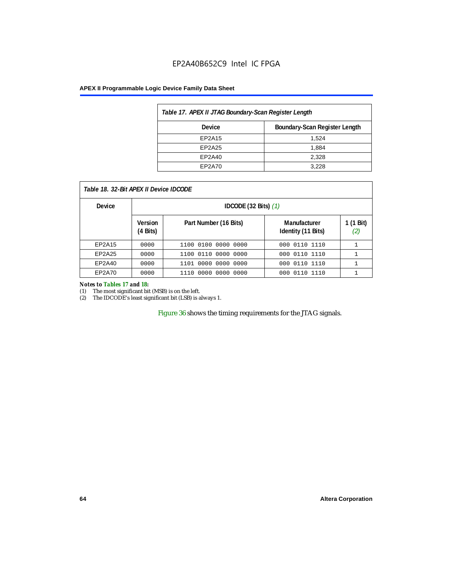# EP2A40B652C9 Intel IC FPGA

#### **APEX II Programmable Logic Device Family Data Sheet**

| Table 17. APEX II JTAG Boundary-Scan Register Length |       |  |  |  |  |
|------------------------------------------------------|-------|--|--|--|--|
| Boundary-Scan Register Length<br>Device              |       |  |  |  |  |
| EP2A15                                               | 1,524 |  |  |  |  |
| EP2A25                                               | 1,884 |  |  |  |  |
| EP2A40                                               | 2,328 |  |  |  |  |
| EP2A70                                               | 3.228 |  |  |  |  |

| Table 18. 32-Bit APEX II Device IDCODE |                     |                                  |                                    |                  |  |  |
|----------------------------------------|---------------------|----------------------------------|------------------------------------|------------------|--|--|
| <b>Device</b>                          |                     | IDCODE $(32 \text{ Bits})$ $(1)$ |                                    |                  |  |  |
|                                        | Version<br>(4 Bits) | Part Number (16 Bits)            | Manufacturer<br>Identity (11 Bits) | 1 (1 Bit)<br>(2) |  |  |
| EP2A15                                 | 0000                | 1100 0100 0000 0000              | 000 0110 1110                      |                  |  |  |
| EP2A25                                 | 0000                | 1100 0110<br>0000 0000           | 0110 1110<br>000                   |                  |  |  |
| EP2A40                                 | 0000                | 1101 0000 0000 0000              | 000 0110 1110                      |                  |  |  |
| EP2A70                                 | 0000                | . 0000 0000 0000<br>1110         | 0110 1110<br>000                   |                  |  |  |

#### *Notes to Tables 17 and 18:*

(1) The most significant bit (MSB) is on the left.

(2) The IDCODE's least significant bit (LSB) is always 1.

Figure 36 shows the timing requirements for the JTAG signals.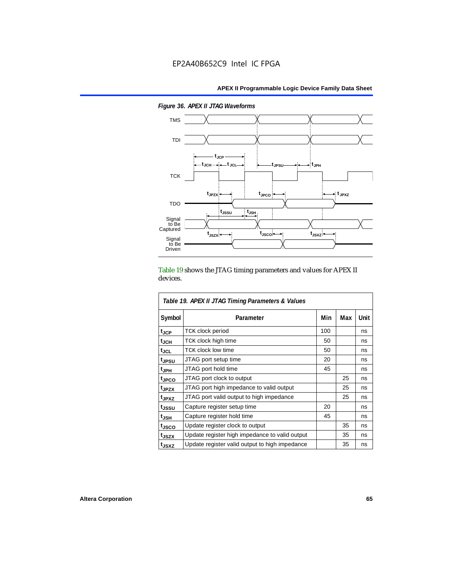

*Figure 36. APEX II JTAG Waveforms*

Table 19 shows the JTAG timing parameters and values for APEX II devices.

| Table 19. APEX II JTAG Timing Parameters & Values |                                                |     |     |      |  |  |
|---------------------------------------------------|------------------------------------------------|-----|-----|------|--|--|
| Symbol                                            | Parameter                                      | Min | Max | Unit |  |  |
| $t_{\rm JCP}$                                     | <b>TCK clock period</b>                        | 100 |     | ns   |  |  |
| $t_{JCH}$                                         | TCK clock high time                            | 50  |     | ns   |  |  |
| tjcl                                              | TCK clock low time                             | 50  |     | ns   |  |  |
| t <sub>JPSU</sub>                                 | JTAG port setup time                           | 20  |     | ns   |  |  |
| t <sub>JPH</sub>                                  | JTAG port hold time                            | 45  |     | ns   |  |  |
| <sup>t</sup> JPCO                                 | JTAG port clock to output                      |     | 25  | ns   |  |  |
| t <sub>JPZX</sub>                                 | JTAG port high impedance to valid output       |     | 25  | ns   |  |  |
| t <sub>JPXZ</sub>                                 | JTAG port valid output to high impedance       |     | 25  | ns   |  |  |
| tjssu                                             | Capture register setup time                    | 20  |     | ns   |  |  |
| $t_{\mathsf{JSH}}$                                | Capture register hold time                     | 45  |     | ns   |  |  |
| tjsco                                             | Update register clock to output                |     | 35  | ns   |  |  |
| t <sub>JSZX</sub>                                 | Update register high impedance to valid output |     | 35  | ns   |  |  |
| t <sub>JSXZ</sub>                                 | Update register valid output to high impedance |     | 35  | ns   |  |  |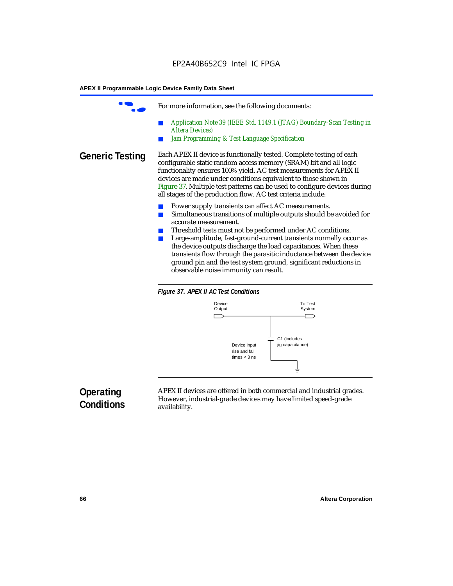For more information, see the following documents: ■ *Application Note 39 (IEEE Std. 1149.1 (JTAG) Boundary-Scan Testing in Altera Devices) Jam Programming & Test Language Specification* **Generic Testing** Each APEX II device is functionally tested. Complete testing of each configurable static random access memory (SRAM) bit and all logic functionality ensures 100% yield. AC test measurements for APEX II devices are made under conditions equivalent to those shown in Figure 37. Multiple test patterns can be used to configure devices during all stages of the production flow. AC test criteria include: Power supply transients can affect AC measurements. ■ Simultaneous transitions of multiple outputs should be avoided for accurate measurement. Threshold tests must not be performed under AC conditions. ■ Large-amplitude, fast-ground-current transients normally occur as the device outputs discharge the load capacitances. When these transients flow through the parasitic inductance between the device ground pin and the test system ground, significant reductions in

observable noise immunity can result.





# **Operating Conditions**

APEX II devices are offered in both commercial and industrial grades. However, industrial-grade devices may have limited speed-grade availability.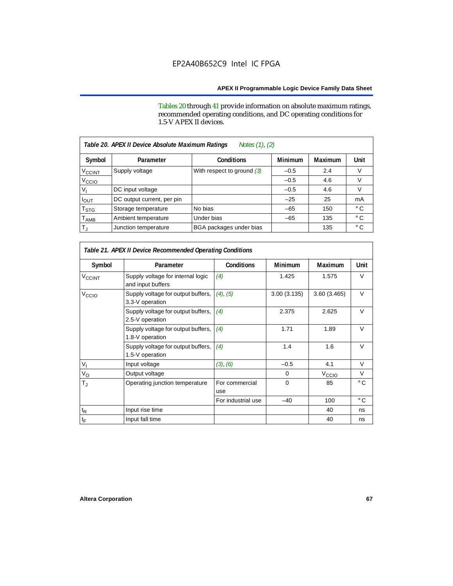Tables 20 through 41 provide information on absolute maximum ratings, recommended operating conditions, and DC operating conditions for 1.5-V APEX II devices.

| Notes (1), (2)<br>Table 20. APEX II Device Absolute Maximum Ratings |                            |                              |                |         |              |  |  |
|---------------------------------------------------------------------|----------------------------|------------------------------|----------------|---------|--------------|--|--|
| Symbol                                                              | Parameter                  | <b>Conditions</b>            | <b>Minimum</b> | Maximum | Unit         |  |  |
| $V_{\text{CCINT}}$                                                  | Supply voltage             | With respect to ground $(3)$ | $-0.5$         | 2.4     | V            |  |  |
| V <sub>CCIO</sub>                                                   |                            |                              | $-0.5$         | 4.6     | V            |  |  |
| v,                                                                  | DC input voltage           |                              | $-0.5$         | 4.6     | V            |  |  |
| <b>POUT</b>                                                         | DC output current, per pin |                              | $-25$          | 25      | mA           |  |  |
| T <sub>STG</sub>                                                    | Storage temperature        | No bias                      | $-65$          | 150     | $^{\circ}$ C |  |  |
| $\mathsf{T}_{\mathsf{AMB}}$                                         | Ambient temperature        | Under bias                   | $-65$          | 135     | $^{\circ}$ C |  |  |
| $T_{\rm J}$                                                         | Junction temperature       | BGA packages under bias      |                | 135     | $^{\circ}$ C |  |  |

| Table 21. APEX II Device Recommended Operating Conditions |                                                        |                       |             |                   |              |  |
|-----------------------------------------------------------|--------------------------------------------------------|-----------------------|-------------|-------------------|--------------|--|
| Symbol                                                    | Parameter                                              | <b>Conditions</b>     | Minimum     | <b>Maximum</b>    | Unit         |  |
| <b>V<sub>CCINT</sub></b>                                  | Supply voltage for internal logic<br>and input buffers | (4)                   | 1.425       | 1.575             | $\vee$       |  |
| V <sub>CCIO</sub>                                         | Supply voltage for output buffers,<br>3.3-V operation  | $(4)$ , $(5)$         | 3.00(3.135) | 3.60(3.465)       | $\vee$       |  |
|                                                           | Supply voltage for output buffers,<br>2.5-V operation  | (4)                   | 2.375       | 2.625             | $\vee$       |  |
|                                                           | Supply voltage for output buffers,<br>1.8-V operation  | (4)                   | 1.71        | 1.89              | $\vee$       |  |
|                                                           | Supply voltage for output buffers,<br>1.5-V operation  | (4)                   | 1.4         | 1.6               | $\vee$       |  |
| $V_{\parallel}$                                           | Input voltage                                          | (3), (6)              | $-0.5$      | 4.1               | V            |  |
| $V_{\rm O}$                                               | Output voltage                                         |                       | 0           | V <sub>CCIO</sub> | V            |  |
| $T_{\rm J}$                                               | Operating junction temperature                         | For commercial<br>use | $\Omega$    | 85                | $^{\circ}$ C |  |
|                                                           |                                                        | For industrial use    | $-40$       | 100               | $^{\circ}$ C |  |
| $\mathfrak{t}_{\mathsf{R}}$                               | Input rise time                                        |                       |             | 40                | ns           |  |
| $t_{\mathsf{F}}$                                          | Input fall time                                        |                       |             | 40                | ns           |  |

Г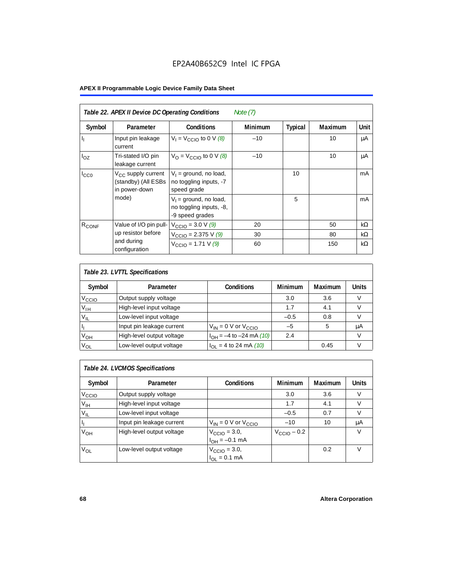| Table 22. APEX II Device DC Operating Conditions<br>Note $(7)$ |                                                                        |                                                                        |                |                |                |           |  |
|----------------------------------------------------------------|------------------------------------------------------------------------|------------------------------------------------------------------------|----------------|----------------|----------------|-----------|--|
| Symbol                                                         | Parameter                                                              | <b>Conditions</b>                                                      | <b>Minimum</b> | <b>Typical</b> | <b>Maximum</b> | Unit      |  |
| $\mathbf{I}_{\mathbf{I}}$                                      | Input pin leakage<br>current                                           | $V_1 = V_{\text{CCIO}}$ to 0 V $(8)$                                   | $-10$          |                | 10             | μA        |  |
| $I_{OZ}$                                                       | Tri-stated I/O pin<br>leakage current                                  | $V_{\text{O}} = V_{\text{CCIO}}$ to 0 V (8)                            | $-10$          |                | 10             | μA        |  |
| $I_{CC0}$                                                      | V <sub>CC</sub> supply current<br>(standby) (All ESBs<br>in power-down | $V_1$ = ground, no load,<br>no toggling inputs, -7<br>speed grade      |                | 10             |                | mA        |  |
|                                                                | mode)                                                                  | $V_1$ = ground, no load,<br>no toggling inputs, -8,<br>-9 speed grades |                | 5              |                | mA        |  |
| $R_{CONF}$                                                     | Value of I/O pin pull-                                                 | $V_{\text{CCIO}} = 3.0 \text{ V } (9)$                                 | 20             |                | 50             | $k\Omega$ |  |
|                                                                | up resistor before                                                     | $V_{\text{CCIO}} = 2.375 \text{ V} (9)$                                | 30             |                | 80             | $k\Omega$ |  |
|                                                                | and during<br>configuration                                            | $V_{\text{CCIO}} = 1.71 V (9)$                                         | 60             |                | 150            | $k\Omega$ |  |

| Table 23. LVTTL Specifications |                           |                                |         |         |       |  |
|--------------------------------|---------------------------|--------------------------------|---------|---------|-------|--|
| Symbol                         | Parameter                 | <b>Conditions</b>              | Minimum | Maximum | Units |  |
| V <sub>CCIO</sub>              | Output supply voltage     |                                | 3.0     | 3.6     |       |  |
| $V_{IH}$                       | High-level input voltage  |                                | 1.7     | 4.1     |       |  |
| $V_{IL}$                       | Low-level input voltage   |                                | $-0.5$  | 0.8     |       |  |
| H                              | Input pin leakage current | $V_{IN} = 0$ V or $V_{CCIO}$   | $-5$    | 5       | μA    |  |
| $V_{OH}$                       | High-level output voltage | $I_{OH} = -4$ to $-24$ mA (10) | 2.4     |         | v     |  |
| $V_{OL}$                       | Low-level output voltage  | $I_{OL}$ = 4 to 24 mA (10)     |         | 0.45    |       |  |

| Table 24. LVCMOS Specifications |                           |                                                               |                         |                |        |  |  |
|---------------------------------|---------------------------|---------------------------------------------------------------|-------------------------|----------------|--------|--|--|
| Symbol                          | Parameter                 | <b>Conditions</b>                                             | Minimum                 | <b>Maximum</b> | Units  |  |  |
| V <sub>CCIO</sub>               | Output supply voltage     |                                                               | 3.0                     | 3.6            | v      |  |  |
| $V_{\text{IH}}$                 | High-level input voltage  |                                                               | 1.7                     | 4.1            | $\vee$ |  |  |
| $V_{IL}$                        | Low-level input voltage   |                                                               | $-0.5$                  | 0.7            | V      |  |  |
| H,                              | Input pin leakage current | $V_{IN}$ = 0 V or $V_{CCIO}$                                  | $-10$                   | 10             | μA     |  |  |
| $V_{OH}$                        | High-level output voltage | $V_{\text{CCIO}} = 3.0,$<br>$I_{\text{OH}} = -0.1 \text{ mA}$ | $V_{\text{CCIO}} - 0.2$ |                | v      |  |  |
| $V_{OL}$                        | Low-level output voltage  | $V_{\text{CCIO}} = 3.0,$<br>$I_{OL} = 0.1$ mA                 |                         | 0.2            | V      |  |  |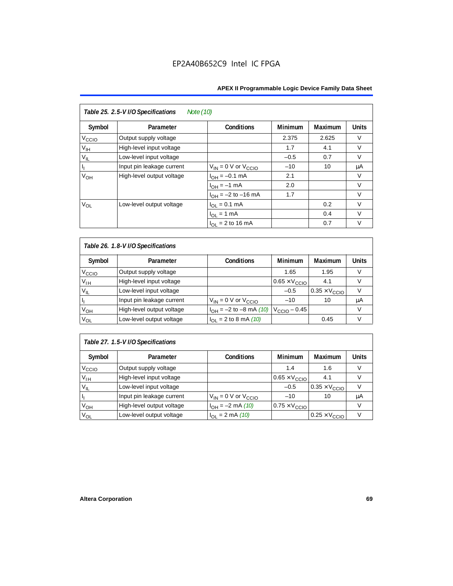| Table 25. 2.5-V I/O Specifications<br>Note (10) |                           |                              |                |         |              |  |
|-------------------------------------------------|---------------------------|------------------------------|----------------|---------|--------------|--|
| Symbol                                          | Parameter                 | <b>Conditions</b>            | <b>Minimum</b> | Maximum | <b>Units</b> |  |
| V <sub>ccio</sub>                               | Output supply voltage     |                              | 2.375          | 2.625   | $\vee$       |  |
| $V_{\text{IH}}$                                 | High-level input voltage  |                              | 1.7            | 4.1     | $\vee$       |  |
| $V_{IL}$                                        | Low-level input voltage   |                              | $-0.5$         | 0.7     | $\vee$       |  |
| $\mathsf{I}_\mathrm{L}$                         | Input pin leakage current | $V_{IN} = 0$ V or $V_{CCIO}$ | $-10$          | 10      | μA           |  |
| V <sub>OH</sub>                                 | High-level output voltage | $I_{OH} = -0.1$ mA           | 2.1            |         | V            |  |
|                                                 |                           | $I_{OH} = -1$ mA             | 2.0            |         | $\vee$       |  |
|                                                 |                           | $I_{OH} = -2$ to $-16$ mA    | 1.7            |         | $\vee$       |  |
| $V_{OL}$                                        | Low-level output voltage  | $I_{OL} = 0.1$ mA            |                | 0.2     | $\vee$       |  |
|                                                 |                           | $I_{OL}$ = 1 mA              |                | 0.4     | $\vee$       |  |
|                                                 |                           | $I_{\Omega I}$ = 2 to 16 mA  |                | 0.7     | v            |  |

| Table 26. 1.8-V I/O Specifications |                           |                               |                               |                               |              |  |  |
|------------------------------------|---------------------------|-------------------------------|-------------------------------|-------------------------------|--------------|--|--|
| Symbol                             | Parameter                 | <b>Conditions</b>             | <b>Minimum</b>                | Maximum                       | <b>Units</b> |  |  |
| V <sub>ccio</sub>                  | Output supply voltage     |                               | 1.65                          | 1.95                          | V            |  |  |
| $V_{IH}$                           | High-level input voltage  |                               | $0.65 \times V_{\text{CCIO}}$ | 4.1                           | V            |  |  |
| $V_{IL}$                           | Low-level input voltage   |                               | $-0.5$                        | $0.35 \times V_{\text{CCIO}}$ |              |  |  |
| Пŗ                                 | Input pin leakage current | $V_{IN} = 0$ V or $V_{CCIO}$  | $-10$                         | 10                            | μA           |  |  |
| $V_{OH}$                           | High-level output voltage | $I_{OH} = -2$ to $-8$ mA (10) | $V_{\text{CCIO}} - 0.45$      |                               | V            |  |  |
| $V_{OL}$                           | Low-level output voltage  | $I_{OL}$ = 2 to 8 mA (10)     |                               | 0.45                          | V            |  |  |

# *Table 27. 1.5-V I/O Specifications*

| Symbol            | Parameter                 | <b>Conditions</b>            | <b>Minimum</b>                | <b>Maximum</b>                | <b>Units</b> |
|-------------------|---------------------------|------------------------------|-------------------------------|-------------------------------|--------------|
| V <sub>CCIO</sub> | Output supply voltage     |                              | 1.4                           | 1.6                           |              |
| $V_{\text{IH}}$   | High-level input voltage  |                              | $0.65 \times V_{\text{CCIO}}$ | 4.1                           |              |
| $V_{IL}$          | Low-level input voltage   |                              | $-0.5$                        | $0.35 \times V_{\text{CCIO}}$ |              |
| П                 | Input pin leakage current | $V_{IN} = 0$ V or $V_{CCIO}$ | $-10$                         | 10                            | μA           |
| V <sub>OH</sub>   | High-level output voltage | $I_{OH} = -2$ mA (10)        | $0.75 \times V_{\text{CCIO}}$ |                               |              |
| $V_{OL}$          | Low-level output voltage  | $I_{OL} = 2 \text{ mA} (10)$ |                               | $0.25 \times V_{\text{CCIO}}$ |              |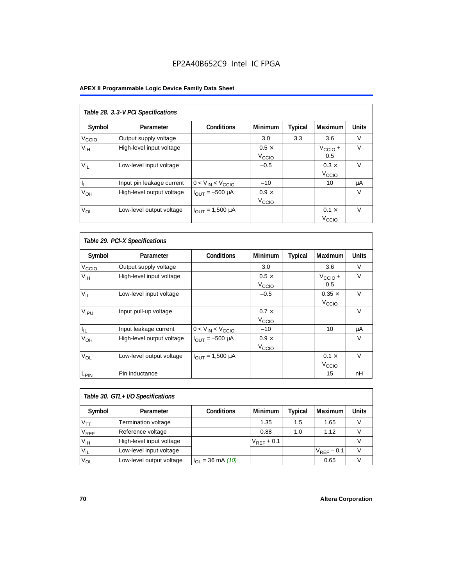# EP2A40B652C9 Intel IC FPGA

# **APEX II Programmable Logic Device Family Data Sheet**

| Table 28. 3.3-V PCI Specifications |                           |                                |                   |         |                     |              |
|------------------------------------|---------------------------|--------------------------------|-------------------|---------|---------------------|--------------|
| Symbol                             | Parameter                 | <b>Conditions</b>              | Minimum           | Typical | Maximum             | <b>Units</b> |
| V <sub>ccio</sub>                  | Output supply voltage     |                                | 3.0               | 3.3     | 3.6                 | V            |
| V <sub>IH</sub>                    | High-level input voltage  |                                | $0.5 \times$      |         | $V_{\text{CCIO}} +$ | V            |
|                                    |                           |                                | V <sub>CCIO</sub> |         | 0.5                 |              |
| $V_{IL}$                           | Low-level input voltage   |                                | $-0.5$            |         | $0.3 \times$        | $\vee$       |
|                                    |                           |                                |                   |         | V <sub>CCIO</sub>   |              |
| h                                  | Input pin leakage current | $0 < V_{IN} < V_{CCIO}$        | $-10$             |         | 10                  | μA           |
| $V_{OH}$                           | High-level output voltage | $I_{OUIT} = -500 \mu A$        | $0.9 \times$      |         |                     | $\vee$       |
|                                    |                           |                                | V <sub>CCIO</sub> |         |                     |              |
| $V_{OL}$                           | Low-level output voltage  | $I_{\text{OUT}} = 1,500 \mu A$ |                   |         | $0.1 \times$        | $\vee$       |
|                                    |                           |                                |                   |         | V <sub>ccio</sub>   |              |

| Table 29. PCI-X Specifications |                           |                                |                                   |         |                                    |              |  |
|--------------------------------|---------------------------|--------------------------------|-----------------------------------|---------|------------------------------------|--------------|--|
| Symbol                         | Parameter                 | <b>Conditions</b>              | <b>Minimum</b>                    | Typical | Maximum                            | <b>Units</b> |  |
| V <sub>CCIO</sub>              | Output supply voltage     |                                | 3.0                               |         | 3.6                                | $\vee$       |  |
| $V_{\text{IH}}$                | High-level input voltage  |                                | $0.5 \times$<br>V <sub>CCIO</sub> |         | $V_{\text{CCIO}} +$<br>0.5         | $\vee$       |  |
| $V_{IL}$                       | Low-level input voltage   |                                | $-0.5$                            |         | $0.35 \times$<br>V <sub>CCIO</sub> | $\vee$       |  |
| V <sub>IPU</sub>               | Input pull-up voltage     |                                | $0.7 \times$<br>V <sub>CCIO</sub> |         |                                    | $\vee$       |  |
| $I_{\rm IL}$                   | Input leakage current     | $0 < V_{IN} < V_{CCIO}$        | $-10$                             |         | 10                                 | μA           |  |
| $V_{OH}$                       | High-level output voltage | $I_{\text{OUT}} = -500 \mu A$  | $0.9 \times$<br>V <sub>CCIO</sub> |         |                                    | $\vee$       |  |
| $V_{OL}$                       | Low-level output voltage  | $I_{\text{OUT}} = 1,500 \mu A$ |                                   |         | $0.1 \times$<br>V <sub>CCIO</sub>  | $\vee$       |  |
| L <sub>PIN</sub>               | Pin inductance            |                                |                                   |         | 15                                 | nH           |  |

| Table 30. GTL+ I/O Specifications |                          |                             |                 |         |                 |       |
|-----------------------------------|--------------------------|-----------------------------|-----------------|---------|-----------------|-------|
| Symbol                            | Parameter                | <b>Conditions</b>           | <b>Minimum</b>  | Typical | <b>Maximum</b>  | Units |
| V <sub>TT</sub>                   | Termination voltage      |                             | 1.35            | 1.5     | 1.65            |       |
| $V_{REF}$                         | Reference voltage        |                             | 0.88            | 1.0     | 1.12            |       |
| V <sub>IH</sub>                   | High-level input voltage |                             | $V_{REF}$ + 0.1 |         |                 |       |
| $V_{IL}$                          | Low-level input voltage  |                             |                 |         | $V_{REF}$ – 0.1 |       |
| $V_{OL}$                          | Low-level output voltage | $I_{\Omega I}$ = 36 mA (10) |                 |         | 0.65            |       |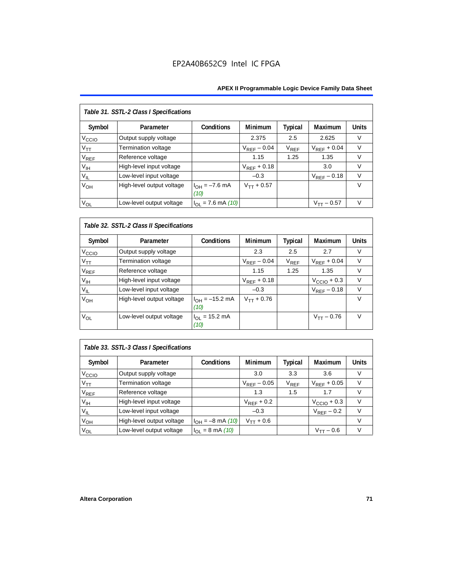| Table 31. SSTL-2 Class I Specifications |                           |                            |                  |           |                  |              |  |
|-----------------------------------------|---------------------------|----------------------------|------------------|-----------|------------------|--------------|--|
| Symbol                                  | Parameter                 | <b>Conditions</b>          | <b>Minimum</b>   | Typical   | Maximum          | <b>Units</b> |  |
| V <sub>ccio</sub>                       | Output supply voltage     |                            | 2.375            | 2.5       | 2.625            | $\vee$       |  |
| $V_{TT}$                                | Termination voltage       |                            | $V_{RFF}$ – 0.04 | $V_{REF}$ | $V_{RFF}$ + 0.04 | $\vee$       |  |
| <b>V<sub>REF</sub></b>                  | Reference voltage         |                            | 1.15             | 1.25      | 1.35             | $\vee$       |  |
| V <sub>IH</sub>                         | High-level input voltage  |                            | $V_{RFF}$ + 0.18 |           | 3.0              | $\vee$       |  |
| $V_{IL}$                                | Low-level input voltage   |                            | $-0.3$           |           | $V_{RFF}$ – 0.18 | $\vee$       |  |
| V <sub>OH</sub>                         | High-level output voltage | $I_{OH} = -7.6$ mA<br>(10) | $V_{TT} + 0.57$  |           |                  | $\vee$       |  |
| $V_{OL}$                                | Low-level output voltage  | $I_{OL}$ = 7.6 mA (10)     |                  |           | $V_{TT}$ – 0.57  | $\vee$       |  |

# *Table 32. SSTL-2 Class II Specifications*

| Symbol            | Parameter                 | <b>Conditions</b>           | <b>Minimum</b>   | Typical   | <b>Maximum</b>          | <b>Units</b> |
|-------------------|---------------------------|-----------------------------|------------------|-----------|-------------------------|--------------|
| V <sub>CCIO</sub> | Output supply voltage     |                             | 2.3              | 2.5       | 2.7                     | V            |
| $V_{TT}$          | Termination voltage       |                             | $V_{RFF}$ – 0.04 | $V_{REF}$ | $V_{RFF}$ + 0.04        | $\vee$       |
| $V_{REF}$         | Reference voltage         |                             | 1.15             | 1.25      | 1.35                    | V            |
| $V_{\text{IH}}$   | High-level input voltage  |                             | $V_{REF}$ + 0.18 |           | $V_{\text{CCIO}} + 0.3$ | v            |
| $V_{IL}$          | Low-level input voltage   |                             | $-0.3$           |           | $V_{REF}$ – 0.18        | $\vee$       |
| V <sub>OH</sub>   | High-level output voltage | $I_{OH} = -15.2$ mA<br>(10) | $V_{TT} + 0.76$  |           |                         | v            |
| Vol               | Low-level output voltage  | $I_{OL}$ = 15.2 mA<br>(10)  |                  |           | $V_{TT} - 0.76$         | $\vee$       |

# *Table 33. SSTL-3 Class I Specifications*

| Symbol            | Parameter                 | <b>Conditions</b>            | <b>Minimum</b>   | Typical                     | Maximum                 | <b>Units</b> |
|-------------------|---------------------------|------------------------------|------------------|-----------------------------|-------------------------|--------------|
| V <sub>ccio</sub> | Output supply voltage     |                              | 3.0              | 3.3                         | 3.6                     |              |
| $V_{TT}$          | Termination voltage       |                              | $V_{REF}$ – 0.05 | $\mathsf{V}_{\mathsf{REF}}$ | $V_{RFF}$ + 0.05        |              |
| $V_{REF}$         | Reference voltage         |                              | 1.3              | 1.5                         | 1.7                     |              |
| V <sub>IH</sub>   | High-level input voltage  |                              | $V_{RFF}$ + 0.2  |                             | $V_{\text{CCIO}} + 0.3$ |              |
| $V_{IL}$          | Low-level input voltage   |                              | $-0.3$           |                             | $V_{REF}$ – 0.2         |              |
| V <sub>OH</sub>   | High-level output voltage | $I_{OH} = -8$ mA (10)        | $V_{TT} + 0.6$   |                             |                         |              |
| $V_{OL}$          | Low-level output voltage  | $I_{OL} = 8 \text{ mA} (10)$ |                  |                             | $V_{TT}$ – 0.6          |              |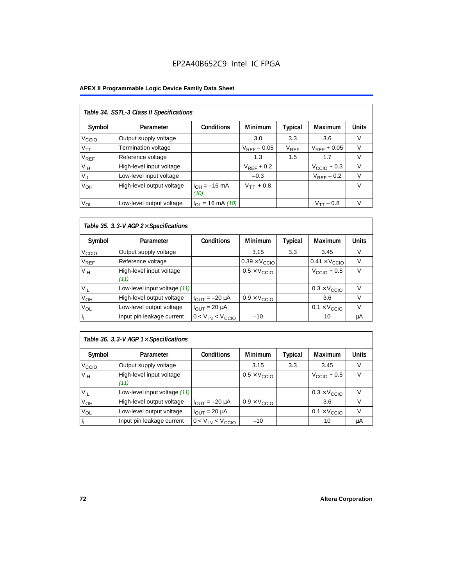## EP2A40B652C9 Intel IC FPGA

### **APEX II Programmable Logic Device Family Data Sheet**

| Table 34. SSTL-3 Class II Specifications |                           |                           |                  |           |                  |              |  |  |  |  |
|------------------------------------------|---------------------------|---------------------------|------------------|-----------|------------------|--------------|--|--|--|--|
| Symbol                                   | Parameter                 | <b>Conditions</b>         | <b>Minimum</b>   | Typical   | Maximum          | <b>Units</b> |  |  |  |  |
| V <sub>CCIO</sub>                        | Output supply voltage     |                           | 3.0              | 3.3       | 3.6              | V            |  |  |  |  |
| $V_{TT}$                                 | Termination voltage       |                           | $V_{RFF}$ – 0.05 | $V_{REF}$ | $V_{RFF}$ + 0.05 | $\vee$       |  |  |  |  |
| <b>V<sub>REF</sub></b>                   | Reference voltage         |                           | 1.3              | 1.5       | 1.7              | V            |  |  |  |  |
| $V_{\text{IH}}$                          | High-level input voltage  |                           | $V_{RFF}$ + 0.2  |           | $VCCIO + 0.3$    | $\vee$       |  |  |  |  |
| $V_{IL}$                                 | Low-level input voltage   |                           | $-0.3$           |           | $V_{RFF}$ – 0.2  | $\vee$       |  |  |  |  |
| V <sub>OH</sub>                          | High-level output voltage | $I_{OH} = -16$ mA<br>(10) | $V_{TT} + 0.8$   |           |                  | $\vee$       |  |  |  |  |
| $V_{OL}$                                 | Low-level output voltage  | $I_{OL}$ = 16 mA (10)     |                  |           | $V_{TT} - 0.8$   | $\vee$       |  |  |  |  |

### *Table 35. 3.3-V AGP 2*× *Specifications*

| Symbol            | Parameter                        | <b>Conditions</b>       | <b>Minimum</b>                | <b>Typical</b> | <b>Maximum</b>                | <b>Units</b> |
|-------------------|----------------------------------|-------------------------|-------------------------------|----------------|-------------------------------|--------------|
| V <sub>CCIO</sub> | Output supply voltage            |                         | 3.15                          | 3.3            | 3.45                          | V            |
| $\rm V_{REF}$     | Reference voltage                |                         | $0.39 \times V_{\text{CCIO}}$ |                | $0.41 \times V_{\text{CCIO}}$ |              |
| V <sub>IH</sub>   | High-level input voltage<br>(11) |                         | $0.5 \times V_{\text{CCIO}}$  |                | $V_{\text{CCIO}} + 0.5$       | $\vee$       |
| $V_{IL}$          | Low-level input voltage (11)     |                         |                               |                | $0.3 \times V_{\text{CCIO}}$  | v            |
| V <sub>OH</sub>   | High-level output voltage        | $I_{OUT} = -20 \mu A$   | $0.9 \times V_{\text{CCIO}}$  |                | 3.6                           | V            |
| V <sub>OL</sub>   | Low-level output voltage         | $I_{OUIT}$ = 20 µA      |                               |                | $0.1 \times V_{\text{CCIO}}$  | V            |
|                   | Input pin leakage current        | $0 < V_{IN} < V_{CCIO}$ | $-10$                         |                | 10                            | μA           |

### *Table 36. 3.3-V AGP 1*× *Specifications*

| Symbol            | Parameter                        | Conditions              | <b>Minimum</b>               | <b>Typical</b> | Maximum                      | <b>Units</b> |
|-------------------|----------------------------------|-------------------------|------------------------------|----------------|------------------------------|--------------|
| V <sub>ccio</sub> | Output supply voltage            |                         | 3.15                         | 3.3            | 3.45                         |              |
| V <sub>IH</sub>   | High-level input voltage<br>(11) |                         | $0.5 \times V_{\text{CCIO}}$ |                | $VCCIO + 0.5$                |              |
| $V_{IL}$          | Low-level input voltage (11)     |                         |                              |                | $0.3 \times V_{\text{CCIO}}$ |              |
| V <sub>ОН</sub>   | High-level output voltage        | $I_{OUT} = -20 \mu A$   | $0.9 \times V_{\text{CCIO}}$ |                | 3.6                          |              |
| $V_{OL}$          | Low-level output voltage         | $IOUT = 20 \mu A$       |                              |                | $0.1 \times V_{\text{CCIO}}$ |              |
|                   | Input pin leakage current        | $0 < V_{IN} < V_{CCIO}$ | $-10$                        |                | 10                           | μA           |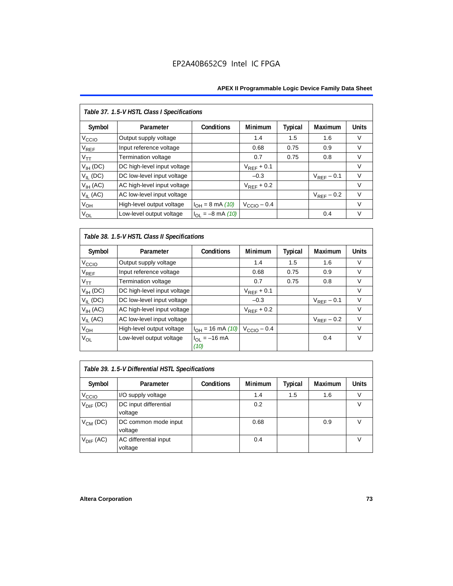| Table 37. 1.5-V HSTL Class I Specifications |                             |                       |                         |                |                 |              |  |  |  |
|---------------------------------------------|-----------------------------|-----------------------|-------------------------|----------------|-----------------|--------------|--|--|--|
| Symbol                                      | Parameter                   | Conditions            | Minimum                 | <b>Typical</b> | Maximum         | <b>Units</b> |  |  |  |
| V <sub>CCIO</sub>                           | Output supply voltage       |                       | 1.4                     | 1.5            | 1.6             | $\vee$       |  |  |  |
| $\rm V_{REF}$                               | Input reference voltage     |                       | 0.68                    | 0.75           | 0.9             | V            |  |  |  |
| $V_{TT}$                                    | Termination voltage         |                       | 0.7                     | 0.75           | 0.8             | V            |  |  |  |
| $V_{IH}$ (DC)                               | DC high-level input voltage |                       | $V_{REF}$ + 0.1         |                |                 | V            |  |  |  |
| $V_{IL}$ (DC)                               | DC low-level input voltage  |                       | $-0.3$                  |                | $V_{RFF}$ – 0.1 | $\vee$       |  |  |  |
| $V_{IH}$ (AC)                               | AC high-level input voltage |                       | $V_{RFF}$ + 0.2         |                |                 | $\vee$       |  |  |  |
| $V_{IL}$ (AC)                               | AC low-level input voltage  |                       |                         |                | $V_{REF}$ – 0.2 | $\vee$       |  |  |  |
| V <sub>OH</sub>                             | High-level output voltage   | $I_{OH} = 8$ mA (10)  | $V_{\text{CCIO}} - 0.4$ |                |                 | $\vee$       |  |  |  |
| $V_{OL}$                                    | Low-level output voltage    | $I_{OL} = -8$ mA (10) |                         |                | 0.4             | $\vee$       |  |  |  |

*Table 38. 1.5-V HSTL Class II Specifications*

| Symbol                      | Parameter                   | Conditions                | <b>Minimum</b>          | Typical | Maximum         | <b>Units</b> |
|-----------------------------|-----------------------------|---------------------------|-------------------------|---------|-----------------|--------------|
| V <sub>CCIO</sub>           | Output supply voltage       |                           | 1.4                     | 1.5     | 1.6             | V            |
| $\mathsf{V}_{\mathsf{REF}}$ | Input reference voltage     |                           | 0.68                    | 0.75    | 0.9             | V            |
| $V_{TT}$                    | Termination voltage         |                           | 0.7                     | 0.75    | 0.8             | $\vee$       |
| $V_{IH}$ (DC)               | DC high-level input voltage |                           | $V_{REF}$ + 0.1         |         |                 | V            |
| $V_{IL}$ (DC)               | DC low-level input voltage  |                           | $-0.3$                  |         | $V_{RFF}$ – 0.1 | $\vee$       |
| $V_{IH}$ (AC)               | AC high-level input voltage |                           | $V_{REF}$ + 0.2         |         |                 | V            |
| $V_{II}$ (AC)               | AC low-level input voltage  |                           |                         |         | $V_{RFF}$ – 0.2 | $\vee$       |
| $V_{OH}$                    | High-level output voltage   | $I_{OH} = 16$ mA (10)     | $V_{\text{CCIO}} - 0.4$ |         |                 | $\vee$       |
| V <sub>OL</sub>             | Low-level output voltage    | $I_{OL} = -16$ mA<br>(10) |                         |         | 0.4             | $\vee$       |

| Table 39. 1.5-V Differential HSTL Specifications |                                  |                   |                |         |                |              |  |  |  |
|--------------------------------------------------|----------------------------------|-------------------|----------------|---------|----------------|--------------|--|--|--|
| Symbol                                           | Parameter                        | <b>Conditions</b> | <b>Minimum</b> | Typical | <b>Maximum</b> | <b>Units</b> |  |  |  |
| V <sub>CCIO</sub>                                | I/O supply voltage               |                   | 1.4            | 1.5     | 1.6            |              |  |  |  |
| $V_{\text{DIF}}$ (DC)                            | DC input differential<br>voltage |                   | 0.2            |         |                | V            |  |  |  |
| $V_{CM}$ (DC)                                    | DC common mode input<br>voltage  |                   | 0.68           |         | 0.9            | v            |  |  |  |
| $V_{\text{DIF}}$ (AC)                            | AC differential input<br>voltage |                   | 0.4            |         |                |              |  |  |  |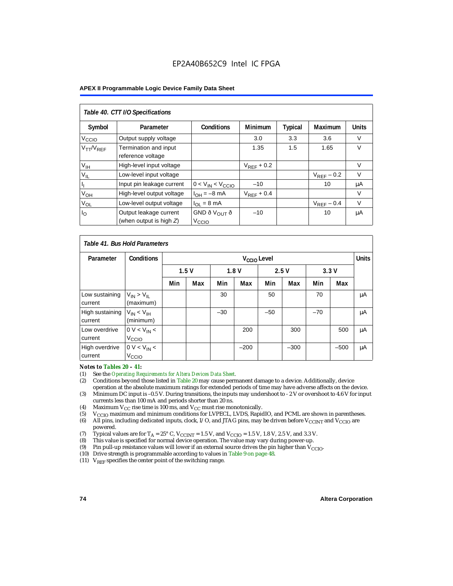| Table 40. CTT I/O Specifications |                                                      |                                               |                 |                |                 |              |  |  |  |
|----------------------------------|------------------------------------------------------|-----------------------------------------------|-----------------|----------------|-----------------|--------------|--|--|--|
| Symbol                           | Parameter                                            | <b>Conditions</b>                             | <b>Minimum</b>  | <b>Typical</b> | Maximum         | <b>Units</b> |  |  |  |
| V <sub>CCIO</sub>                | Output supply voltage                                |                                               | 3.0             | 3.3            | 3.6             | V            |  |  |  |
| $V_{TT}/V_{REF}$                 | Termination and input<br>reference voltage           |                                               | 1.35            | 1.5            | 1.65            | $\vee$       |  |  |  |
| V <sub>IH</sub>                  | High-level input voltage                             |                                               | $V_{RFF}$ + 0.2 |                |                 | V            |  |  |  |
| $V_{IL}$                         | Low-level input voltage                              |                                               |                 |                | $V_{RFF}$ – 0.2 | $\vee$       |  |  |  |
|                                  | Input pin leakage current                            | $0 < V_{IN} < V_{CCIO}$                       | $-10$           |                | 10              | μA           |  |  |  |
| $V_{OH}$                         | High-level output voltage                            | $I_{OH} = -8$ mA                              | $V_{REF}$ + 0.4 |                |                 | V            |  |  |  |
| $V_{OL}$                         | Low-level output voltage                             | $I_{OL} = 8 \text{ mA}$                       |                 |                | $V_{REF}$ – 0.4 | $\vee$       |  |  |  |
| $I_{\rm O}$                      | Output leakage current<br>(when output is high $Z$ ) | GND ð V <sub>OUT</sub> ð<br>V <sub>CCIO</sub> | $-10$           |                | 10              | μA           |  |  |  |

| Table 41, Bus Hold Parameters |                                     |     |                      |       |                         |       |        |       |        |              |
|-------------------------------|-------------------------------------|-----|----------------------|-------|-------------------------|-------|--------|-------|--------|--------------|
| Parameter                     | <b>Conditions</b>                   |     |                      |       | V <sub>CCIO</sub> Level |       |        |       |        | <b>Units</b> |
|                               |                                     |     | 2.5V<br>1.5V<br>1.8V |       |                         | 3.3V  |        |       |        |              |
|                               |                                     | Min | Max                  | Min   | Max                     | Min   | Max    | Min   | Max    |              |
| Low sustaining<br>current     | $V_{IN}$ > $V_{II}$<br>(maximum)    |     |                      | 30    |                         | 50    |        | 70    |        | μA           |
| High sustaining<br>current    | $V_{IN}$ < $V_{IH}$<br>(minimum)    |     |                      | $-30$ |                         | $-50$ |        | $-70$ |        | μA           |
| Low overdrive<br>current      | $0 V < V_{IN}$<br>V <sub>CCIO</sub> |     |                      |       | 200                     |       | 300    |       | 500    | μA           |
| High overdrive<br>current     | $0 V < V_{IN}$<br>V <sub>CCIO</sub> |     |                      |       | $-200$                  |       | $-300$ |       | $-500$ | μA           |

# *Notes to Tables 20 – 41:*<br>(1) See the *Operating Res*

- (1) See the *Operating Requirements for Altera Devices Data Sheet.*
- (2) Conditions beyond those listed in Table 20 may cause permanent damage to a device. Additionally, device operation at the absolute maximum ratings for extended periods of time may have adverse affects on the device.
- (3) Minimum DC input is –0.5 V. During transitions, the inputs may undershoot to 2 V or overshoot to 4.6 V for input currents less than 100 mA and periods shorter than 20 ns.
- (4) Maximum  $V_{CC}$  rise time is 100 ms, and  $V_{CC}$  must rise monotonically.<br>(5)  $V_{CC}$  maximum and minimum conditions for LVPECL, LVDS, Rapic
- V<sub>CCIO</sub> maximum and minimum conditions for LVPECL, LVDS, RapidIO, and PCML are shown in parentheses.
- (6) All pins, including dedicated inputs, clock, I/O, and JTAG pins, may be driven before V<sub>CCINT</sub> and V<sub>CCIO</sub> are powered.
- (7) Typical values are for  $T_A = 25^\circ$  C,  $V_{\text{CCINT}} = 1.5$  V, and  $V_{\text{CCIO}} = 1.5$  V, 1.8 V, 2.5 V, and 3.3 V.<br>(8) This value is specified for normal device operation. The value may vary during power-up.
- This value is specified for normal device operation. The value may vary during power-up.
- (9) Pin pull-up resistance values will lower if an external source drives the pin higher than  $V_{\text{CCIO}}$ .
- (10) Drive strength is programmable according to values in Table 9 on page 48.
- (11)  $V_{REF}$  specifies the center point of the switching range.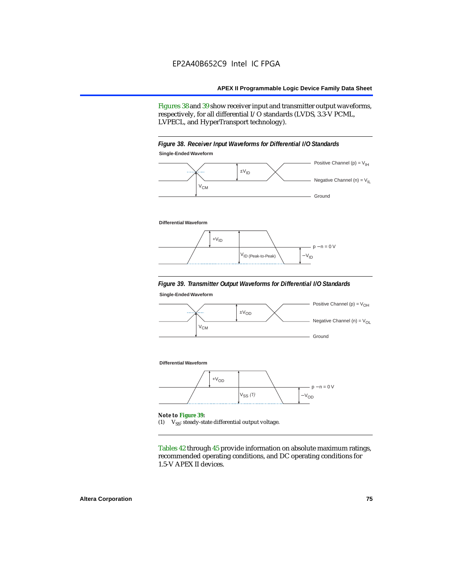Figures 38 and 39 show receiver input and transmitter output waveforms, respectively, for all differential I/O standards (LVDS, 3.3-V PCML, LVPECL, and HyperTransport technology).

### *Figure 38. Receiver Input Waveforms for Differential I/O Standards* **Single-Ended Waveform**



#### **Differential Waveform**



#### *Figure 39. Transmitter Output Waveforms for Differential I/O Standards*

**Single-Ended Waveform**



(1)  $V_{SS}$ : steady-state differential output voltage.

Tables 42 through 45 provide information on absolute maximum ratings, recommended operating conditions, and DC operating conditions for 1.5-V APEX II devices.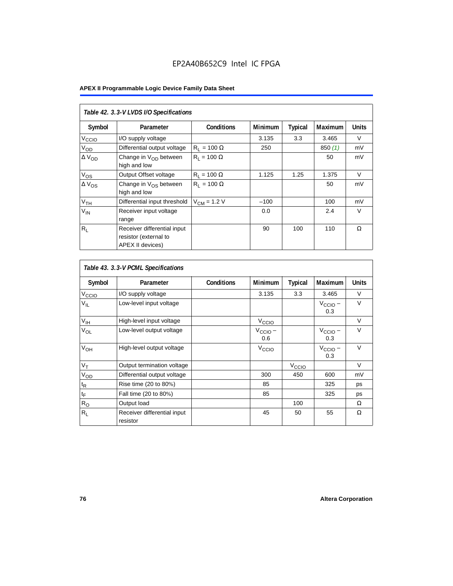|                   | Table 42. 3.3-V LVDS I/O Specifications                                  |                    |         |                |         |              |  |  |  |  |  |
|-------------------|--------------------------------------------------------------------------|--------------------|---------|----------------|---------|--------------|--|--|--|--|--|
| Symbol            | Parameter                                                                | <b>Conditions</b>  | Minimum | <b>Typical</b> | Maximum | <b>Units</b> |  |  |  |  |  |
| V <sub>ccio</sub> | I/O supply voltage                                                       |                    | 3.135   | 3.3            | 3.465   | V            |  |  |  |  |  |
| $V_{OD}$          | Differential output voltage                                              | $R_1 = 100 \Omega$ | 250     |                | 850(1)  | mV           |  |  |  |  |  |
| $\Delta V_{OD}$   | Change in $V_{OD}$ between<br>high and low                               | $R_1 = 100 \Omega$ |         |                | 50      | mV           |  |  |  |  |  |
| $V_{OS}$          | Output Offset voltage                                                    | $R_1 = 100 \Omega$ | 1.125   | 1.25           | 1.375   | $\vee$       |  |  |  |  |  |
| $\Delta V_{OS}$   | Change in $V_{OS}$ between<br>high and low                               | $R_1 = 100 \Omega$ |         |                | 50      | mV           |  |  |  |  |  |
| V <sub>TH</sub>   | Differential input threshold                                             | $V_{CM}$ = 1.2 V   | $-100$  |                | 100     | mV           |  |  |  |  |  |
| $V_{IN}$          | Receiver input voltage<br>range                                          |                    | 0.0     |                | 2.4     | $\vee$       |  |  |  |  |  |
| $R_L$             | Receiver differential input<br>resistor (external to<br>APEX II devices) |                    | 90      | 100            | 110     | Ω            |  |  |  |  |  |

| Table 43. 3.3-V PCML Specifications |                                         |                   |                            |                   |                            |              |  |  |  |  |
|-------------------------------------|-----------------------------------------|-------------------|----------------------------|-------------------|----------------------------|--------------|--|--|--|--|
| Symbol                              | Parameter                               | <b>Conditions</b> | Minimum                    | <b>Typical</b>    | Maximum                    | <b>Units</b> |  |  |  |  |
| $V_{\text{CCIQ}}$                   | I/O supply voltage                      |                   | 3.135                      | 3.3               | 3.465                      | V            |  |  |  |  |
| $V_{IL}$                            | Low-level input voltage                 |                   |                            |                   | $V_{\text{CCIO}}$ –<br>0.3 | $\vee$       |  |  |  |  |
| $V_{\text{IH}}$                     | High-level input voltage                |                   | $V_{\text{CCIO}}$          |                   |                            | $\vee$       |  |  |  |  |
| $V_{OL}$                            | Low-level output voltage                |                   | $V_{\text{CCIO}}$ –<br>0.6 |                   | $V_{\text{CCIO}}$ –<br>0.3 | $\vee$       |  |  |  |  |
| V <sub>OH</sub>                     | High-level output voltage               |                   | V <sub>CCIO</sub>          |                   | $V_{\text{CCIO}}$ –<br>0.3 | $\vee$       |  |  |  |  |
| $V_T$                               | Output termination voltage              |                   |                            | V <sub>CCIO</sub> |                            | V            |  |  |  |  |
| $V_{OD}$                            | Differential output voltage             |                   | 300                        | 450               | 600                        | mV           |  |  |  |  |
| $t_{\mathsf{R}}$                    | Rise time (20 to 80%)                   |                   | 85                         |                   | 325                        | ps           |  |  |  |  |
| $t_{\mathsf{F}}$                    | Fall time (20 to 80%)                   |                   | 85                         |                   | 325                        | ps           |  |  |  |  |
| $R_{O}$                             | Output load                             |                   |                            | 100               |                            | Ω            |  |  |  |  |
| $R_L$                               | Receiver differential input<br>resistor |                   | 45                         | 50                | 55                         | Ω            |  |  |  |  |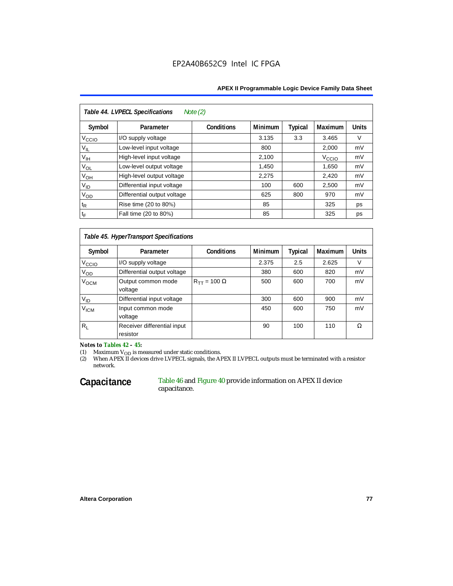| Table 44. LVPECL Specifications<br>Note $(2)$ |                             |                   |                |         |                   |              |  |  |  |  |
|-----------------------------------------------|-----------------------------|-------------------|----------------|---------|-------------------|--------------|--|--|--|--|
| Symbol                                        | Parameter                   | <b>Conditions</b> | <b>Minimum</b> | Typical | Maximum           | <b>Units</b> |  |  |  |  |
| V <sub>CCIO</sub>                             | I/O supply voltage          |                   | 3.135          | 3.3     | 3.465             | V            |  |  |  |  |
| $V_{IL}$                                      | Low-level input voltage     |                   | 800            |         | 2,000             | mV           |  |  |  |  |
| $V_{\text{IH}}$                               | High-level input voltage    |                   | 2,100          |         | V <sub>CCIO</sub> | mV           |  |  |  |  |
| $V_{OL}$                                      | Low-level output voltage    |                   | 1,450          |         | 1,650             | mV           |  |  |  |  |
| $V_{OH}$                                      | High-level output voltage   |                   | 2,275          |         | 2,420             | mV           |  |  |  |  |
| $V_{ID}$                                      | Differential input voltage  |                   | 100            | 600     | 2,500             | mV           |  |  |  |  |
| $V_{OD}$                                      | Differential output voltage |                   | 625            | 800     | 970               | mV           |  |  |  |  |
| $t_{\mathsf{R}}$                              | Rise time (20 to 80%)       |                   | 85             |         | 325               | ps           |  |  |  |  |
| $t_{\mathsf{F}}$                              | Fall time (20 to 80%)       |                   | 85             |         | 325               | ps           |  |  |  |  |

### *Table 45. HyperTransport Specifications*

| Symbol             | Parameter                               | <b>Conditions</b>       | <b>Minimum</b> | <b>Typical</b> | Maximum | <b>Units</b> |
|--------------------|-----------------------------------------|-------------------------|----------------|----------------|---------|--------------|
| V <sub>ccio</sub>  | I/O supply voltage                      |                         | 2.375          | 2.5            | 2.625   | v            |
| V <sub>OD</sub>    | Differential output voltage             |                         | 380            | 600            | 820     | mV           |
| V <sub>OCM</sub>   | Output common mode<br>voltage           | $R_{TT}$ = 100 $\Omega$ | 500            | 600            | 700     | mV           |
| $V_{ID}$           | Differential input voltage              |                         | 300            | 600            | 900     | mV           |
| $V_{\mathsf{ICM}}$ | Input common mode<br>voltage            |                         | 450            | 600            | 750     | mV           |
| $R_L$              | Receiver differential input<br>resistor |                         | 90             | 100            | 110     | Ω            |

*Notes to Tables 42 – 45:*

(1) Maximum V<sub>OD</sub> is measured under static conditions.<br>(2) When APEX II devices drive LVPECL signals, the APEX II LVPECL outputs must be terminated with a resistor network.

### Capacitance Table 46 and Figure 40 provide information on APEX II device capacitance.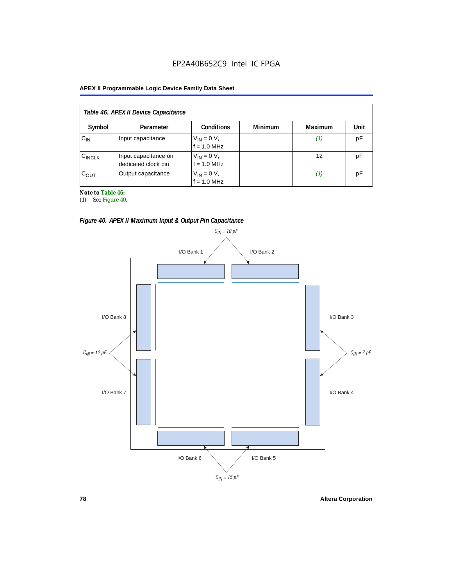## EP2A40B652C9 Intel IC FPGA

### **APEX II Programmable Logic Device Family Data Sheet**

| Table 46. APEX II Device Capacitance |                                             |                                |                |                |      |  |  |
|--------------------------------------|---------------------------------------------|--------------------------------|----------------|----------------|------|--|--|
| Symbol                               | Parameter                                   | <b>Conditions</b>              | <b>Minimum</b> | <b>Maximum</b> | Unit |  |  |
| $C_{IN}$                             | Input capacitance                           | $V_{IN} = 0 V,$<br>f = 1.0 MHz |                | Ί,             | pF   |  |  |
| $C_{\text{INCLK}}$                   | Input capacitance on<br>dedicated clock pin | $V_{IN} = 0 V,$<br>f = 1.0 MHz |                | 12             | рF   |  |  |
| $C_{OUT}$                            | Output capacitance                          | $V_{IN} = 0 V,$<br>f = 1.0 MHz |                | (1)            | рF   |  |  |

*Note to Table 46:*

(1) See Figure 40.





**78 Altera Corporation**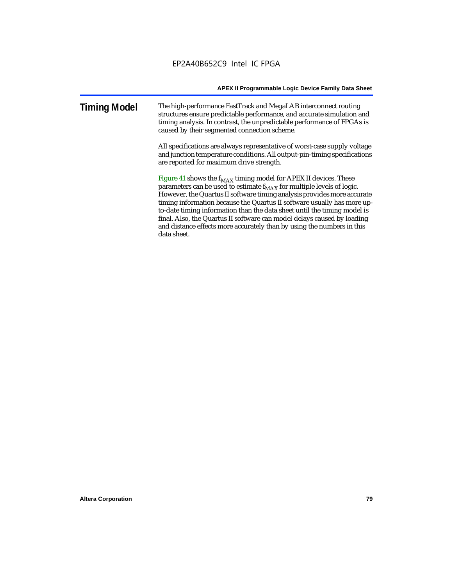### **Timing Model** The high-performance FastTrack and MegaLAB interconnect routing structures ensure predictable performance, and accurate simulation and timing analysis. In contrast, the unpredictable performance of FPGAs is caused by their segmented connection scheme.

All specifications are always representative of worst-case supply voltage and junction temperature conditions. All output-pin-timing specifications are reported for maximum drive strength.

Figure 41 shows the  $f_{MAX}$  timing model for APEX II devices. These parameters can be used to estimate  $f_{MAX}$  for multiple levels of logic. However, the Quartus II software timing analysis provides more accurate timing information because the Quartus II software usually has more upto-date timing information than the data sheet until the timing model is final. Also, the Quartus II software can model delays caused by loading and distance effects more accurately than by using the numbers in this data sheet.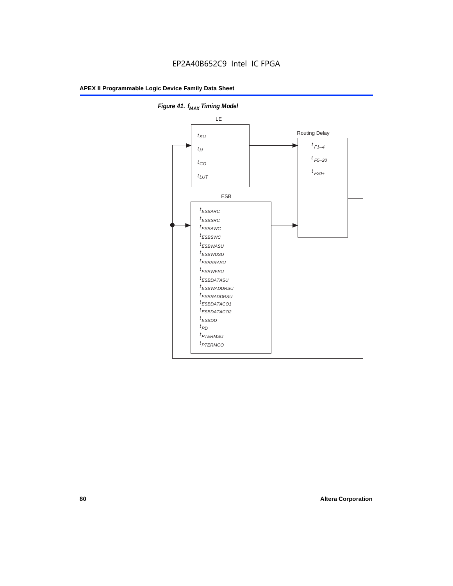

**Figure 41. f**<sub>MAX</sub> Timing Model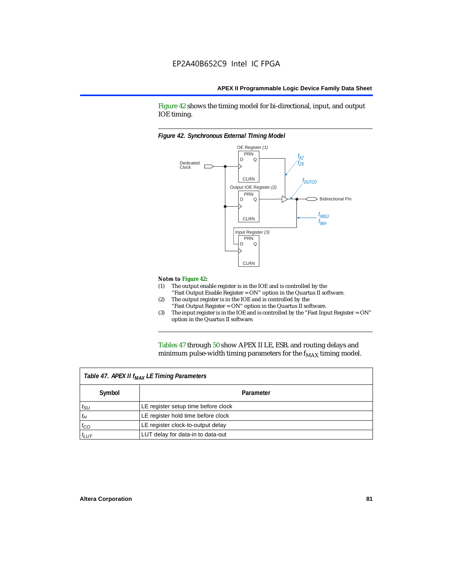Figure 42 shows the timing model for bi-directional, input, and output IOE timing.

### *Figure 42. Synchronous External TIming Model*



#### *Notes to Figure 42:*

- (1) The output enable register is in the IOE and is controlled by the "Fast Output Enable Register = ON" option in the Quartus II software.
- (2) The output register is in the IOE and is controlled by the "Fast Output Register = ON" option in the Quartus II software.
- (3) The input register is in the IOE and is controlled by the "Fast Input Register = ON" option in the Quartus II software.

Tables 47 through 50 show APEX II LE, ESB, and routing delays and minimum pulse-width timing parameters for the  $f_{MAX}$  timing model.

| Table 47. APEX II f <sub>MAX</sub> LE Timing Parameters |                                     |  |  |
|---------------------------------------------------------|-------------------------------------|--|--|
| Symbol                                                  | Parameter                           |  |  |
| $t_{\text{SU}}$                                         | LE register setup time before clock |  |  |
| $t_H$                                                   | LE register hold time before clock  |  |  |
| $t_{CO}$                                                | LE register clock-to-output delay   |  |  |
| $t_{LUT}$                                               | LUT delay for data-in to data-out   |  |  |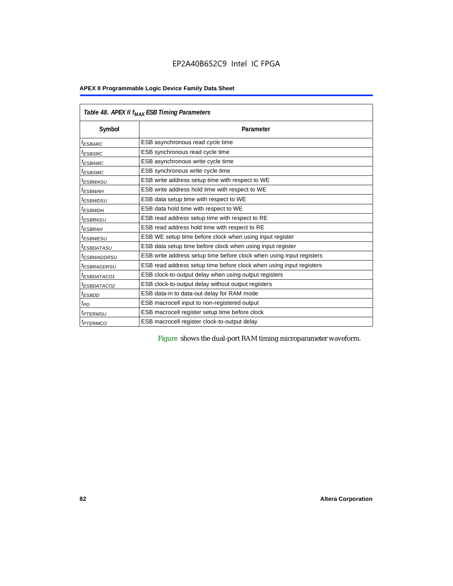| Table 48. APEX II f <sub>MAX</sub> ESB Timing Parameters |                                                                      |  |  |  |
|----------------------------------------------------------|----------------------------------------------------------------------|--|--|--|
| Symbol                                                   | Parameter                                                            |  |  |  |
| <sup>t</sup> ESBARC                                      | ESB asynchronous read cycle time                                     |  |  |  |
| <sup>t</sup> ESBSRC                                      | ESB synchronous read cycle time                                      |  |  |  |
| <sup>t</sup> ESBAWC                                      | ESB asynchronous write cycle time                                    |  |  |  |
| <sup>t</sup> ESBSWC                                      | ESB synchronous write cycle time                                     |  |  |  |
| <sup>t</sup> ESBWASU                                     | ESB write address setup time with respect to WE                      |  |  |  |
| <sup>t</sup> ESBWАН                                      | ESB write address hold time with respect to WE                       |  |  |  |
| <sup>t</sup> ESBWDSU                                     | ESB data setup time with respect to WE                               |  |  |  |
| <sup>t</sup> ESBWDH                                      | ESB data hold time with respect to WE                                |  |  |  |
| <sup>t</sup> ESBRASU                                     | ESB read address setup time with respect to RE                       |  |  |  |
| <sup>t</sup> ESBRAH                                      | ESB read address hold time with respect to RE                        |  |  |  |
| <sup>t</sup> ESBWESU                                     | ESB WE setup time before clock when using input register             |  |  |  |
| <sup>I</sup> ESBDATASU                                   | ESB data setup time before clock when using input register           |  |  |  |
| <sup>t</sup> ESBWADDRSU                                  | ESB write address setup time before clock when using input registers |  |  |  |
| <sup>t</sup> ESBRADDRSU                                  | ESB read address setup time before clock when using input registers  |  |  |  |
| <sup>t</sup> ESBDATACO1                                  | ESB clock-to-output delay when using output registers                |  |  |  |
| <sup>t</sup> ESBDATACO2                                  | ESB clock-to-output delay without output registers                   |  |  |  |
| <sup>t</sup> ESBDD                                       | ESB data-in to data-out delay for RAM mode                           |  |  |  |
| t <sub>PD</sub>                                          | ESB macrocell input to non-registered output                         |  |  |  |
| <i><b>TPTERMSU</b></i>                                   | ESB macrocell register setup time before clock                       |  |  |  |
| <sup>t</sup> PTERMCO                                     | ESB macrocell register clock-to-output delay                         |  |  |  |

Figure shows the dual-port RAM timing microparameter waveform.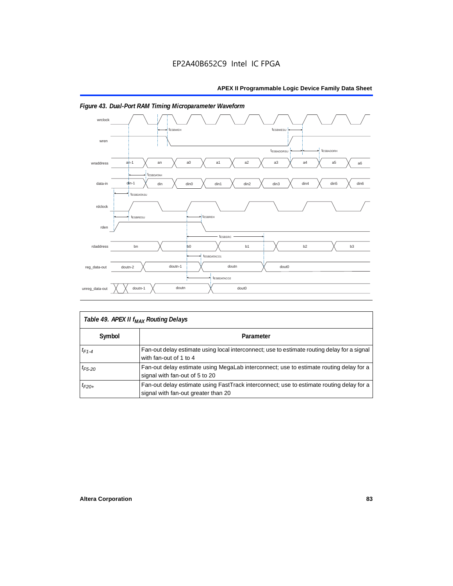

## *Figure 43. Dual-Port RAM Timing Microparameter Waveform*

| Table 49. APEX II f <sub>MAX</sub> Routing Delays |                                                                                                                                 |  |  |  |
|---------------------------------------------------|---------------------------------------------------------------------------------------------------------------------------------|--|--|--|
| Symbol                                            | Parameter                                                                                                                       |  |  |  |
| $t_{F1-4}$                                        | Fan-out delay estimate using local interconnect; use to estimate routing delay for a signal<br>with fan-out of 1 to 4           |  |  |  |
| $t_{F5-20}$                                       | Fan-out delay estimate using MegaLab interconnect; use to estimate routing delay for a<br>signal with fan-out of 5 to 20        |  |  |  |
| $t_{F20+}$                                        | Fan-out delay estimate using FastTrack interconnect; use to estimate routing delay for a<br>signal with fan-out greater than 20 |  |  |  |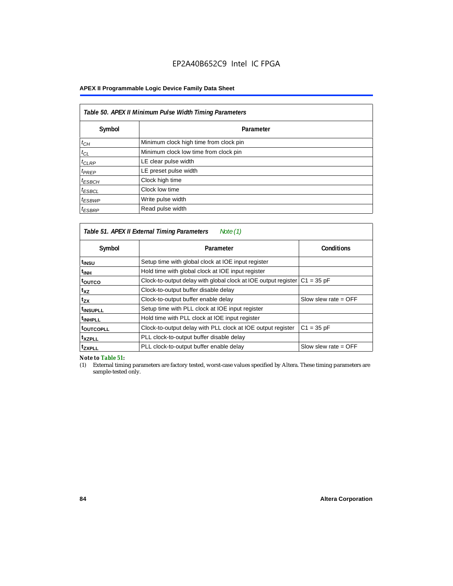| Table 50. APEX II Minimum Pulse Width Timing Parameters |                                        |  |  |
|---------------------------------------------------------|----------------------------------------|--|--|
| Symbol                                                  | Parameter                              |  |  |
| $t_{CH}$                                                | Minimum clock high time from clock pin |  |  |
| $t_{CL}$                                                | Minimum clock low time from clock pin  |  |  |
| $t_{CLRP}$                                              | LE clear pulse width                   |  |  |
| $t_{PREF}$                                              | LE preset pulse width                  |  |  |
| <sup>t</sup> ESBCH                                      | Clock high time                        |  |  |
| <sup>t</sup> ESBCL                                      | Clock low time                         |  |  |
| $t_{ESBWP}$                                             | Write pulse width                      |  |  |
| <sup>t</sup> ESBRP                                      | Read pulse width                       |  |  |

| Table 51. APEX II External Timing Parameters<br>Note (1) |                                                                                |                        |  |  |  |  |
|----------------------------------------------------------|--------------------------------------------------------------------------------|------------------------|--|--|--|--|
| Symbol                                                   | Parameter                                                                      | <b>Conditions</b>      |  |  |  |  |
| t <sub>INSU</sub>                                        | Setup time with global clock at IOE input register                             |                        |  |  |  |  |
| $t_{\rm INH}$                                            | Hold time with global clock at IOE input register                              |                        |  |  |  |  |
| toutco                                                   | Clock-to-output delay with global clock at IOE output register<br>$C1 = 35 pF$ |                        |  |  |  |  |
| t <sub>XZ</sub>                                          | Clock-to-output buffer disable delay                                           |                        |  |  |  |  |
| t <sub>ΖΧ</sub>                                          | Clock-to-output buffer enable delay                                            | Slow slew rate $=$ OFF |  |  |  |  |
| <sup>t</sup> INSUPLL                                     | Setup time with PLL clock at IOE input register                                |                        |  |  |  |  |
| <sup>t</sup> INHPLL                                      | Hold time with PLL clock at IOE input register                                 |                        |  |  |  |  |
| <b>toutcopll</b>                                         | Clock-to-output delay with PLL clock at IOE output register                    | $C1 = 35 pF$           |  |  |  |  |
| <sup>t</sup> xzpll                                       | PLL clock-to-output buffer disable delay                                       |                        |  |  |  |  |
| <sup>t</sup> zxpll                                       | PLL clock-to-output buffer enable delay                                        | Slow slew rate $=$ OFF |  |  |  |  |

*Note to Table 51:*

(1) External timing parameters are factory tested, worst-case values specified by Altera. These timing parameters are sample-tested only.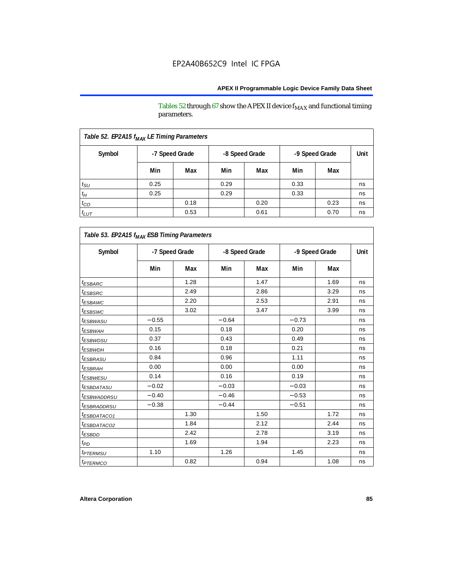Tables 52 through 67 show the APEX II device  $\rm f_{MAX}$  and functional timing parameters.

| Table 52. EP2A15 f <sub>MAX</sub> LE Timing Parameters |      |                |      |                |      |                |    |
|--------------------------------------------------------|------|----------------|------|----------------|------|----------------|----|
| Symbol                                                 |      | -7 Speed Grade |      | -8 Speed Grade |      | -9 Speed Grade |    |
|                                                        | Min  | Max            | Min  | Max            | Min  | Max            |    |
| $t_{\rm SU}$                                           | 0.25 |                | 0.29 |                | 0.33 |                | ns |
| $t_H$                                                  | 0.25 |                | 0.29 |                | 0.33 |                | ns |
| $t_{CO}$                                               |      | 0.18           |      | 0.20           |      | 0.23           | ns |
| $t_{LUT}$                                              |      | 0.53           |      | 0.61           |      | 0.70           | ns |

| Table 53. EP2A15 f <sub>MAX</sub> ESB Timing Parameters |                |      |                |      |                |      |             |
|---------------------------------------------------------|----------------|------|----------------|------|----------------|------|-------------|
| Symbol                                                  | -7 Speed Grade |      | -8 Speed Grade |      | -9 Speed Grade |      | <b>Unit</b> |
|                                                         | Min            | Max  | Min            | Max  | Min            | Max  |             |
| <sup>t</sup> ESBARC                                     |                | 1.28 |                | 1.47 |                | 1.69 | ns          |
| t <sub>ESB<u>SRC</u></sub>                              |                | 2.49 |                | 2.86 |                | 3.29 | ns          |
| <sup>t</sup> ESBAWC                                     |                | 2.20 |                | 2.53 |                | 2.91 | ns          |
| <sup>t</sup> ESBSWC                                     |                | 3.02 |                | 3.47 |                | 3.99 | ns          |
| <i>t<sub>ESBWASU</sub></i>                              | $-0.55$        |      | $-0.64$        |      | $-0.73$        |      | ns          |
| t <sub>ESBWAH</sub>                                     | 0.15           |      | 0.18           |      | 0.20           |      | ns          |
| <sup>t</sup> ESBWDSU                                    | 0.37           |      | 0.43           |      | 0.49           |      | ns          |
| t <sub>ESBWDH</sub>                                     | 0.16           |      | 0.18           |      | 0.21           |      | ns          |
| <sup>t</sup> ESBRASU                                    | 0.84           |      | 0.96           |      | 1.11           |      | ns          |
| <sup>t</sup> ESBRAH                                     | 0.00           |      | 0.00           |      | 0.00           |      | ns          |
| <sup>t</sup> ESBWESU                                    | 0.14           |      | 0.16           |      | 0.19           |      | ns          |
| <sup>t</sup> ESBDATASU                                  | $-0.02$        |      | $-0.03$        |      | $-0.03$        |      | ns          |
| <sup>t</sup> ESBWADDRSU                                 | $-0.40$        |      | $-0.46$        |      | $-0.53$        |      | ns          |
| <sup>t</sup> ESBRADDRSU                                 | $-0.38$        |      | $-0.44$        |      | $-0.51$        |      | ns          |
| <sup>t</sup> ESBDATACO1                                 |                | 1.30 |                | 1.50 |                | 1.72 | ns          |
| <i>ESBDATACO2</i>                                       |                | 1.84 |                | 2.12 |                | 2.44 | ns          |
| <sup>t</sup> ESBDD                                      |                | 2.42 |                | 2.78 |                | 3.19 | ns          |
| t <sub>PD</sub>                                         |                | 1.69 |                | 1.94 |                | 2.23 | ns          |
| <i><b><i>FTERMSU</i></b></i>                            | 1.10           |      | 1.26           |      | 1.45           |      | ns          |
| <i><b>IPTERMCO</b></i>                                  |                | 0.82 |                | 0.94 |                | 1.08 | ns          |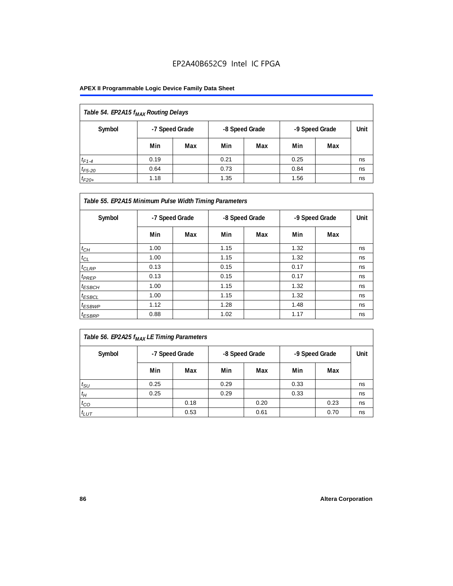## EP2A40B652C9 Intel IC FPGA

### **APEX II Programmable Logic Device Family Data Sheet**

| Table 54. EP2A15 f <sub>MAX</sub> Routing Delays |      |                |                |     |                |     |      |
|--------------------------------------------------|------|----------------|----------------|-----|----------------|-----|------|
| Symbol                                           |      | -7 Speed Grade | -8 Speed Grade |     | -9 Speed Grade |     | Unit |
|                                                  | Min  | Max            | Min            | Max | Min            | Max |      |
| $t_{F1-4}$                                       | 0.19 |                | 0.21           |     | 0.25           |     | ns   |
| $t_{F5-20}$                                      | 0.64 |                | 0.73           |     | 0.84           |     | ns   |
| $t_{F20+}$                                       | 1.18 |                | 1.35           |     | 1.56           |     | ns   |

| Table 55. EP2A15 Minimum Pulse Width Timing Parameters |                |     |                |     |                |     |      |
|--------------------------------------------------------|----------------|-----|----------------|-----|----------------|-----|------|
| Symbol                                                 | -7 Speed Grade |     | -8 Speed Grade |     | -9 Speed Grade |     | Unit |
|                                                        | Min            | Max | Min            | Max | Min            | Max |      |
| $t_{CH}$                                               | 1.00           |     | 1.15           |     | 1.32           |     | ns   |
| $t_{CL}$                                               | 1.00           |     | 1.15           |     | 1.32           |     | ns   |
| $t_{CLRP}$                                             | 0.13           |     | 0.15           |     | 0.17           |     | ns   |
| $t_{PREF}$                                             | 0.13           |     | 0.15           |     | 0.17           |     | ns   |
| $t_{ESBCH}$                                            | 1.00           |     | 1.15           |     | 1.32           |     | ns   |
| $t_{ESBCL}$                                            | 1.00           |     | 1.15           |     | 1.32           |     | ns   |
| <sup>t</sup> ESBWP                                     | 1.12           |     | 1.28           |     | 1.48           |     | ns   |
| $t_{ESBRP}$                                            | 0.88           |     | 1.02           |     | 1.17           |     | ns   |

| Table 56. EP2A25 f <sub>MAX</sub> LE Timing Parameters |        |                      |               |
|--------------------------------------------------------|--------|----------------------|---------------|
|                                                        | Cumbol | <b>7 Chood Crodo</b> | $0$ Crood $C$ |

| Symbol          |      | -7 Speed Grade | -8 Speed Grade |      | -9 Speed Grade |      | Unit |
|-----------------|------|----------------|----------------|------|----------------|------|------|
|                 | Min  | Max            | Min            | Max  | Min            | Max  |      |
| $t_{\text{SU}}$ | 0.25 |                | 0.29           |      | 0.33           |      | ns   |
| $t_H$           | 0.25 |                | 0.29           |      | 0.33           |      | ns   |
| $t_{CO}$        |      | 0.18           |                | 0.20 |                | 0.23 | ns   |
| $t_{LUT}$       |      | 0.53           |                | 0.61 |                | 0.70 | ns   |

 $\mathbf{r}$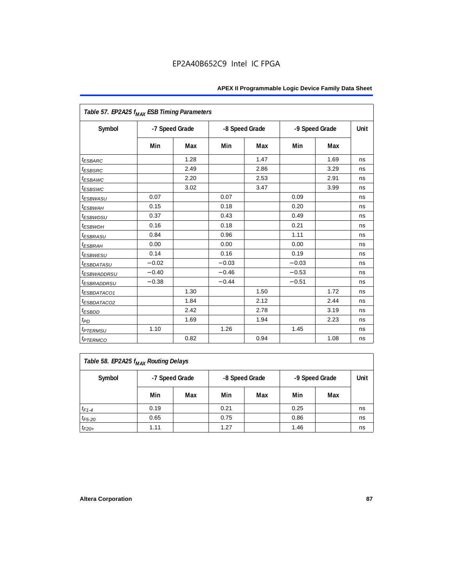| Table 57. EP2A25 f <sub>MAX</sub> ESB Timing Parameters |                |      |         |                |         |                |             |
|---------------------------------------------------------|----------------|------|---------|----------------|---------|----------------|-------------|
| Symbol                                                  | -7 Speed Grade |      |         | -8 Speed Grade |         | -9 Speed Grade | <b>Unit</b> |
|                                                         | Min            | Max  | Min     | Max            | Min     | Max            |             |
| <sup>t</sup> ESBARC                                     |                | 1.28 |         | 1.47           |         | 1.69           | ns          |
| <i>t<sub>ESBSRC</sub></i>                               |                | 2.49 |         | 2.86           |         | 3.29           | ns          |
| <i><b>ESBAWC</b></i>                                    |                | 2.20 |         | 2.53           |         | 2.91           | ns          |
| t <sub>ESBSWC</sub>                                     |                | 3.02 |         | 3.47           |         | 3.99           | ns          |
| <sup>t</sup> ESBWASU                                    | 0.07           |      | 0.07    |                | 0.09    |                | ns          |
| t <sub>ESBWAH</sub>                                     | 0.15           |      | 0.18    |                | 0.20    |                | ns          |
| <i>t<sub>ESBWDSU</sub></i>                              | 0.37           |      | 0.43    |                | 0.49    |                | ns          |
| t <sub>ESBWDH</sub>                                     | 0.16           |      | 0.18    |                | 0.21    |                | ns          |
| <i><b>ESBRASU</b></i>                                   | 0.84           |      | 0.96    |                | 1.11    |                | ns          |
| <sup>t</sup> ESBRAH                                     | 0.00           |      | 0.00    |                | 0.00    |                | ns          |
| <sup>t</sup> ESBWESU                                    | 0.14           |      | 0.16    |                | 0.19    |                | ns          |
| <i>ESBDATASU</i>                                        | $-0.02$        |      | $-0.03$ |                | $-0.03$ |                | ns          |
| <sup>t</sup> ESBWADDRSU                                 | $-0.40$        |      | $-0.46$ |                | $-0.53$ |                | ns          |
| <sup>t</sup> ESBRADDRSU                                 | $-0.38$        |      | $-0.44$ |                | $-0.51$ |                | ns          |
| <sup>t</sup> ESBDATACO1                                 |                | 1.30 |         | 1.50           |         | 1.72           | ns          |
| <sup>t</sup> ESBDATACO2                                 |                | 1.84 |         | 2.12           |         | 2.44           | ns          |
| <sup>t</sup> ESBDD                                      |                | 2.42 |         | 2.78           |         | 3.19           | ns          |
| t <sub>PD</sub>                                         |                | 1.69 |         | 1.94           |         | 2.23           | ns          |
| <i><b>t<sub>PTERMSU</sub></b></i>                       | 1.10           |      | 1.26    |                | 1.45    |                | ns          |
| <i><b>t</b>PTERMCO</i>                                  |                | 0.82 |         | 0.94           |         | 1.08           | ns          |

| Table 58. EP2A25 f <sub>MAX</sub> Routing Delays |      |                                                    |      |     |      |     |    |  |  |
|--------------------------------------------------|------|----------------------------------------------------|------|-----|------|-----|----|--|--|
| Symbol                                           |      | -9 Speed Grade<br>-7 Speed Grade<br>-8 Speed Grade |      |     |      |     |    |  |  |
|                                                  | Min  | Max                                                | Min  | Max | Min  | Max |    |  |  |
| $t_{F1-4}$                                       | 0.19 |                                                    | 0.21 |     | 0.25 |     | ns |  |  |
| $t_{F5-20}$                                      | 0.65 |                                                    | 0.75 |     | 0.86 |     | ns |  |  |
| $t_{F20+}$                                       | 1.11 |                                                    | 1.27 |     | 1.46 |     | ns |  |  |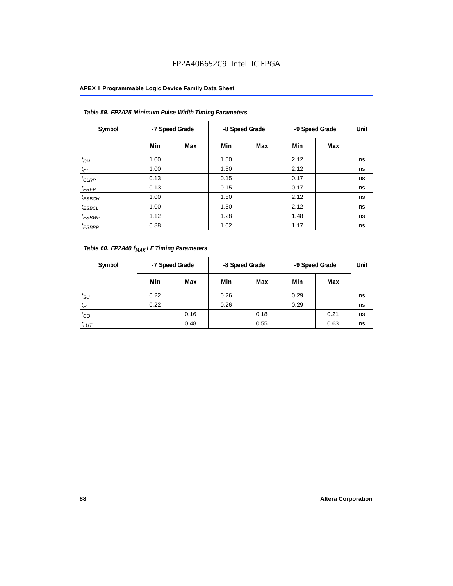## EP2A40B652C9 Intel IC FPGA

| Table 59. EP2A25 Minimum Pulse Width Timing Parameters |                |     |      |                |                |     |      |  |  |  |
|--------------------------------------------------------|----------------|-----|------|----------------|----------------|-----|------|--|--|--|
| Symbol                                                 | -7 Speed Grade |     |      | -8 Speed Grade | -9 Speed Grade |     | Unit |  |  |  |
|                                                        | Min            | Max | Min  | Max            | Min            | Max |      |  |  |  |
| $t_{CH}$                                               | 1.00           |     | 1.50 |                | 2.12           |     | ns   |  |  |  |
| $t_{CL}$                                               | 1.00           |     | 1.50 |                | 2.12           |     | ns   |  |  |  |
| $t_{CLRP}$                                             | 0.13           |     | 0.15 |                | 0.17           |     | ns   |  |  |  |
| t <sub>PREP</sub>                                      | 0.13           |     | 0.15 |                | 0.17           |     | ns   |  |  |  |
| $t_{ESBCH}$                                            | 1.00           |     | 1.50 |                | 2.12           |     | ns   |  |  |  |
| <sup>t</sup> ESBCL                                     | 1.00           |     | 1.50 |                | 2.12           |     | ns   |  |  |  |
| <sup>t</sup> ESBWP                                     | 1.12           |     | 1.28 |                | 1.48           |     | ns   |  |  |  |
| <sup>t</sup> ESBRP                                     | 0.88           |     | 1.02 |                | 1.17           |     | ns   |  |  |  |

| Table 60. EP2A40 f <sub>MAX</sub> LE Timing Parameters |                                  |      |      |      |                |      |    |
|--------------------------------------------------------|----------------------------------|------|------|------|----------------|------|----|
| Symbol                                                 | -7 Speed Grade<br>-8 Speed Grade |      |      |      | -9 Speed Grade |      |    |
|                                                        | Min                              | Max  | Min  | Max  | Min            | Max  |    |
| $t_{\text{SU}}$                                        | 0.22                             |      | 0.26 |      | 0.29           |      | ns |
| $t_H$                                                  | 0.22                             |      | 0.26 |      | 0.29           |      | ns |
| $t_{CO}$                                               |                                  | 0.16 |      | 0.18 |                | 0.21 | ns |
| $t_{LUT}$                                              |                                  | 0.48 |      | 0.55 |                | 0.63 | ns |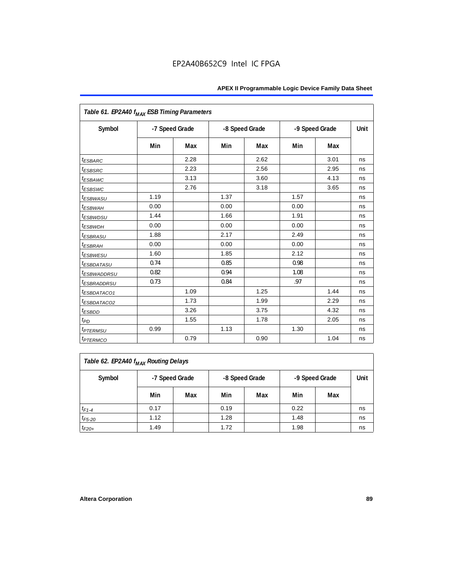| Table 61. EP2A40 f <sub>MAX</sub> ESB Timing Parameters |      |                |      |                |      |                |             |
|---------------------------------------------------------|------|----------------|------|----------------|------|----------------|-------------|
| Symbol                                                  |      | -7 Speed Grade |      | -8 Speed Grade |      | -9 Speed Grade | <b>Unit</b> |
|                                                         | Min  | Max            | Min  | Max            | Min  | Max            |             |
| <i><b>ESBARC</b></i>                                    |      | 2.28           |      | 2.62           |      | 3.01           | ns          |
| <i>t<sub>ESBSRC</sub></i>                               |      | 2.23           |      | 2.56           |      | 2.95           | ns          |
| <i><b>ESBAWC</b></i>                                    |      | 3.13           |      | 3.60           |      | 4.13           | ns          |
| t <sub>ESBSWC</sub>                                     |      | 2.76           |      | 3.18           |      | 3.65           | ns          |
| <sup>t</sup> ESBWASU                                    | 1.19 |                | 1.37 |                | 1.57 |                | ns          |
| t <sub>ESBWAH</sub>                                     | 0.00 |                | 0.00 |                | 0.00 |                | ns          |
| <i>t<sub>ESBWDSU</sub></i>                              | 1.44 |                | 1.66 |                | 1.91 |                | ns          |
| t <sub>ESBWDH</sub>                                     | 0.00 |                | 0.00 |                | 0.00 |                | ns          |
| <i><b>ESBRASU</b></i>                                   | 1.88 |                | 2.17 |                | 2.49 |                | ns          |
| <sup>t</sup> ESBRAH                                     | 0.00 |                | 0.00 |                | 0.00 |                | ns          |
| <sup>t</sup> ESBWESU                                    | 1.60 |                | 1.85 |                | 2.12 |                | ns          |
| <i>ESBDATASU</i>                                        | 0.74 |                | 0.85 |                | 0.98 |                | ns          |
| <sup>t</sup> ESBWADDRSU                                 | 0.82 |                | 0.94 |                | 1.08 |                | ns          |
| <sup>t</sup> ESBRADDRSU                                 | 0.73 |                | 0.84 |                | .97  |                | ns          |
| <sup>t</sup> ESBDATACO1                                 |      | 1.09           |      | 1.25           |      | 1.44           | ns          |
| <sup>t</sup> ESBDATACO2                                 |      | 1.73           |      | 1.99           |      | 2.29           | ns          |
| <sup>t</sup> ESBDD                                      |      | 3.26           |      | 3.75           |      | 4.32           | ns          |
| $t_{PD}$                                                |      | 1.55           |      | 1.78           |      | 2.05           | ns          |
| <i><b>t<sub>PTERMSU</sub></b></i>                       | 0.99 |                | 1.13 |                | 1.30 |                | ns          |
| <i><b>t</b>PTERMCO</i>                                  |      | 0.79           |      | 0.90           |      | 1.04           | ns          |

| Table 62. EP2A40 f <sub>MAX</sub> Routing Delays |                                                    |     |      |     |      |     |    |  |  |
|--------------------------------------------------|----------------------------------------------------|-----|------|-----|------|-----|----|--|--|
| Symbol                                           | -8 Speed Grade<br>-9 Speed Grade<br>-7 Speed Grade |     |      |     |      |     |    |  |  |
|                                                  | Min                                                | Max | Min  | Max | Min  | Max |    |  |  |
| $t_{F1-4}$                                       | 0.17                                               |     | 0.19 |     | 0.22 |     | ns |  |  |
| $t_{F5-20}$                                      | 1.12                                               |     | 1.28 |     | 1.48 |     | ns |  |  |
| $t_{F20+}$                                       | 1.49                                               |     | 1.72 |     | 1.98 |     | ns |  |  |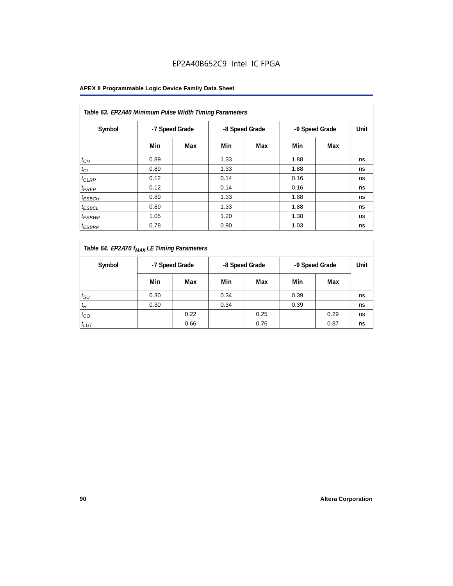## EP2A40B652C9 Intel IC FPGA

| Table 63. EP2A40 Minimum Pulse Width Timing Parameters |                |     |      |                |      |                |      |  |  |  |  |
|--------------------------------------------------------|----------------|-----|------|----------------|------|----------------|------|--|--|--|--|
| Symbol                                                 | -7 Speed Grade |     |      | -8 Speed Grade |      | -9 Speed Grade | Unit |  |  |  |  |
|                                                        | Min            | Max | Min  | Max            | Min  | Max            |      |  |  |  |  |
| $t_{CH}$                                               | 0.89           |     | 1.33 |                | 1.88 |                | ns   |  |  |  |  |
| $t_{CL}$                                               | 0.89           |     | 1.33 |                | 1.88 |                | ns   |  |  |  |  |
| $t_{CLRP}$                                             | 0.12           |     | 0.14 |                | 0.16 |                | ns   |  |  |  |  |
| t <sub>PREP</sub>                                      | 0.12           |     | 0.14 |                | 0.16 |                | ns   |  |  |  |  |
| $t_{ESBCH}$                                            | 0.89           |     | 1.33 |                | 1.88 |                | ns   |  |  |  |  |
| <sup>t</sup> ESBCL                                     | 0.89           |     | 1.33 |                | 1.88 |                | ns   |  |  |  |  |
| <sup>t</sup> ESBWP                                     | 1.05           |     | 1.20 |                | 1.38 |                | ns   |  |  |  |  |
| <sup>t</sup> ESBRP                                     | 0.78           |     | 0.90 |                | 1.03 |                | ns   |  |  |  |  |

| Table 64. EP2A70 f <sub>MAX</sub> LE Timing Parameters |                |      |                |      |                |      |      |
|--------------------------------------------------------|----------------|------|----------------|------|----------------|------|------|
| Symbol                                                 | -7 Speed Grade |      | -8 Speed Grade |      | -9 Speed Grade |      | Unit |
|                                                        | Min            | Max  | Min            | Max  | Min            | Max  |      |
| $t_{\text{SU}}$                                        | 0.30           |      | 0.34           |      | 0.39           |      | ns   |
| $t_H$                                                  | 0.30           |      | 0.34           |      | 0.39           |      | ns   |
| $t_{CO}$                                               |                | 0.22 |                | 0.25 |                | 0.29 | ns   |
| $t_{LUT}$                                              |                | 0.66 |                | 0.76 |                | 0.87 | ns   |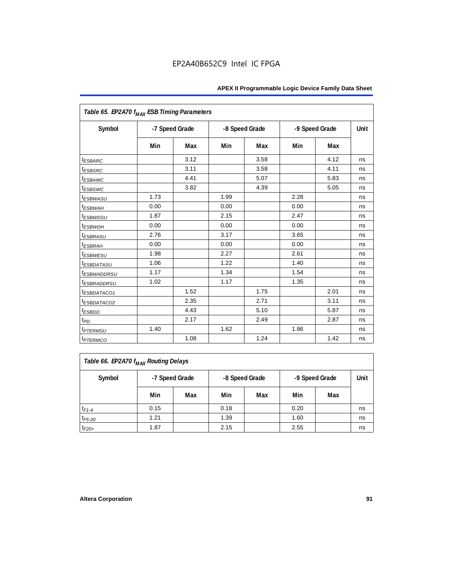| Table 65. EP2A70 f <sub>MAX</sub> ESB Timing Parameters |                |      |                |      |                |      |      |
|---------------------------------------------------------|----------------|------|----------------|------|----------------|------|------|
| Symbol                                                  | -7 Speed Grade |      | -8 Speed Grade |      | -9 Speed Grade |      | Unit |
|                                                         | Min            | Max  | Min            | Max  | Min            | Max  |      |
| <i><b>ESBARC</b></i>                                    |                | 3.12 |                | 3.58 |                | 4.12 | ns   |
| <sup>t</sup> ESBSRC                                     |                | 3.11 |                | 3.58 |                | 4.11 | ns   |
| <sup>t</sup> ESBAWC                                     |                | 4.41 |                | 5.07 |                | 5.83 | ns   |
| <sup>t</sup> ESBSWC                                     |                | 3.82 |                | 4.39 |                | 5.05 | ns   |
| <sup>t</sup> ESBWASU                                    | 1.73           |      | 1.99           |      | 2.28           |      | ns   |
| t <sub>ESBWAH</sub>                                     | 0.00           |      | 0.00           |      | 0.00           |      | ns   |
| <i>t<sub>ESBWDSU</sub></i>                              | 1.87           |      | 2.15           |      | 2.47           |      | ns   |
| <sup>t</sup> ESBWDH                                     | 0.00           |      | 0.00           |      | 0.00           |      | ns   |
| <i><b>ESBRASU</b></i>                                   | 2.76           |      | 3.17           |      | 3.65           |      | ns   |
| <sup>t</sup> ESBRAH                                     | 0.00           |      | 0.00           |      | 0.00           |      | ns   |
| <sup>t</sup> ESBWESU                                    | 1.98           |      | 2.27           |      | 2.61           |      | ns   |
| <sup>t</sup> ESBDATASU                                  | 1.06           |      | 1.22           |      | 1.40           |      | ns   |
| <sup>t</sup> ESBWADDRSU                                 | 1.17           |      | 1.34           |      | 1.54           |      | ns   |
| <sup>t</sup> ESBRADDRSU                                 | 1.02           |      | 1.17           |      | 1.35           |      | ns   |
| <sup>t</sup> ESBDATACO1                                 |                | 1.52 |                | 1.75 |                | 2.01 | ns   |
| <sup>I</sup> ESBDATACO2                                 |                | 2.35 |                | 2.71 |                | 3.11 | ns   |
| <sup>t</sup> ESBDD                                      |                | 4.43 |                | 5.10 |                | 5.87 | ns   |
| t <sub>PD</sub>                                         |                | 2.17 |                | 2.49 |                | 2.87 | ns   |
| <i><b><sup>t</sup>PTERMSU</b></i>                       | 1.40           |      | 1.62           |      | 1.86           |      | ns   |
| <i><b><i>EPTERMCO</i></b></i>                           |                | 1.08 |                | 1.24 |                | 1.42 | ns   |

| Table 66. EP2A70 f <sub>MAX</sub> Routing Delays |                                                    |     |      |     |      |     |    |  |  |
|--------------------------------------------------|----------------------------------------------------|-----|------|-----|------|-----|----|--|--|
| Symbol                                           | -7 Speed Grade<br>-8 Speed Grade<br>-9 Speed Grade |     |      |     |      |     |    |  |  |
|                                                  | Min                                                | Max | Min  | Max | Min  | Max |    |  |  |
| $t_{F1-4}$                                       | 0.15                                               |     | 0.18 |     | 0.20 |     | ns |  |  |
| $t_{F5-20}$                                      | 1.21                                               |     | 1.39 |     | 1.60 |     | ns |  |  |
| $t_{F20+}$                                       | 1.87                                               |     | 2.15 |     | 2.55 |     | ns |  |  |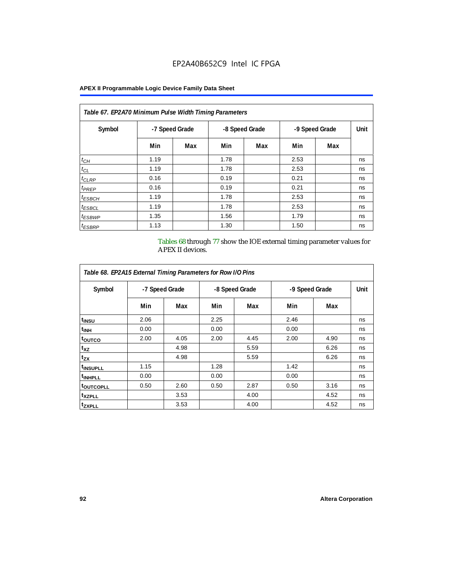| Table 67. EP2A70 Minimum Pulse Width Timing Parameters |                |     |      |                |                |     |      |  |  |  |
|--------------------------------------------------------|----------------|-----|------|----------------|----------------|-----|------|--|--|--|
| Symbol                                                 | -7 Speed Grade |     |      | -8 Speed Grade | -9 Speed Grade |     | Unit |  |  |  |
|                                                        | Min            | Max | Min  | Max            | Min            | Max |      |  |  |  |
| $t_{CH}$                                               | 1.19           |     | 1.78 |                | 2.53           |     | ns   |  |  |  |
| $t_{CL}$                                               | 1.19           |     | 1.78 |                | 2.53           |     | ns   |  |  |  |
| $t_{CLRP}$                                             | 0.16           |     | 0.19 |                | 0.21           |     | ns   |  |  |  |
| t <sub>PREP</sub>                                      | 0.16           |     | 0.19 |                | 0.21           |     | ns   |  |  |  |
| $t_{ESBCH}$                                            | 1.19           |     | 1.78 |                | 2.53           |     | ns   |  |  |  |
| <sup>t</sup> ESBCL                                     | 1.19           |     | 1.78 |                | 2.53           |     | ns   |  |  |  |
| <sup>t</sup> ESBWP                                     | 1.35           |     | 1.56 |                | 1.79           |     | ns   |  |  |  |
| <sup>t</sup> ESBRP                                     | 1.13           |     | 1.30 |                | 1.50           |     | ns   |  |  |  |

Tables 68 through 77 show the IOE external timing parameter values for APEX II devices.

| Table 68. EP2A15 External Timing Parameters for Row I/O Pins |                |      |      |                |      |                |             |  |  |  |  |  |
|--------------------------------------------------------------|----------------|------|------|----------------|------|----------------|-------------|--|--|--|--|--|
| Symbol                                                       | -7 Speed Grade |      |      | -8 Speed Grade |      | -9 Speed Grade | <b>Unit</b> |  |  |  |  |  |
|                                                              | Min            | Max  | Min  | Max            | Min  | Max            |             |  |  |  |  |  |
| t <sub>INSU</sub>                                            | 2.06           |      | 2.25 |                | 2.46 |                | ns          |  |  |  |  |  |
| <sup>t</sup> inh                                             | 0.00           |      | 0.00 |                | 0.00 |                | ns          |  |  |  |  |  |
| <sup>t</sup> outco                                           | 2.00           | 4.05 | 2.00 | 4.45           | 2.00 | 4.90           | ns          |  |  |  |  |  |
| $t_{XZ}$                                                     |                | 4.98 |      | 5.59           |      | 6.26           | ns          |  |  |  |  |  |
| $t_{ZX}$                                                     |                | 4.98 |      | 5.59           |      | 6.26           | ns          |  |  |  |  |  |
| <sup>t</sup> INSUPLL                                         | 1.15           |      | 1.28 |                | 1.42 |                | ns          |  |  |  |  |  |
| <sup>t</sup> INHPLL                                          | 0.00           |      | 0.00 |                | 0.00 |                | ns          |  |  |  |  |  |
| <sup>t</sup> outcopll                                        | 0.50           | 2.60 | 0.50 | 2.87           | 0.50 | 3.16           | ns          |  |  |  |  |  |
| <sup>t</sup> XZPLL                                           |                | 3.53 |      | 4.00           |      | 4.52           | ns          |  |  |  |  |  |
| <sup>t</sup> zxpll                                           |                | 3.53 |      | 4.00           |      | 4.52           | ns          |  |  |  |  |  |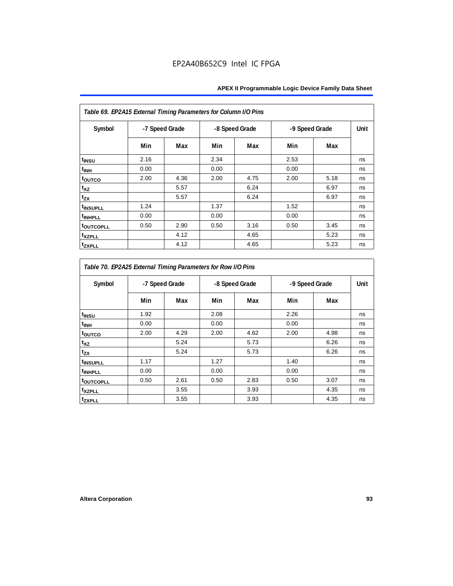| Table 69. EP2A15 External Timing Parameters for Column I/O Pins |                |      |      |                |      |                |    |
|-----------------------------------------------------------------|----------------|------|------|----------------|------|----------------|----|
| Symbol                                                          | -7 Speed Grade |      |      | -8 Speed Grade |      | -9 Speed Grade |    |
|                                                                 | Min            | Max  | Min  | Max            | Min  | Max            |    |
| t <sub>INSU</sub>                                               | 2.16           |      | 2.34 |                | 2.53 |                | ns |
| $t_{\rm INH}$                                                   | 0.00           |      | 0.00 |                | 0.00 |                | ns |
| toutco                                                          | 2.00           | 4.36 | 2.00 | 4.75           | 2.00 | 5.18           | ns |
| t <sub>XZ</sub>                                                 |                | 5.57 |      | 6.24           |      | 6.97           | ns |
| $t_{ZX}$                                                        |                | 5.57 |      | 6.24           |      | 6.97           | ns |
| <sup>t</sup> INSUPLL                                            | 1.24           |      | 1.37 |                | 1.52 |                | ns |
| <sup>t</sup> INHPLL                                             | 0.00           |      | 0.00 |                | 0.00 |                | ns |
| <b>toutcopll</b>                                                | 0.50           | 2.90 | 0.50 | 3.16           | 0.50 | 3.45           | ns |
| t <sub>XZPLL</sub>                                              |                | 4.12 |      | 4.65           |      | 5.23           | ns |
| <sup>t</sup> zxpll                                              |                | 4.12 |      | 4.65           |      | 5.23           | ns |

| Table 70. EP2A25 External Timing Parameters for Row I/O Pins |                |      |      |                |      |                |      |
|--------------------------------------------------------------|----------------|------|------|----------------|------|----------------|------|
| Symbol                                                       | -7 Speed Grade |      |      | -8 Speed Grade |      | -9 Speed Grade | Unit |
|                                                              | Min            | Max  | Min  | Max            | Min  | Max            |      |
| t <sub>INSU</sub>                                            | 1.92           |      | 2.08 |                | 2.26 |                | ns   |
| $t_{\rm INH}$                                                | 0.00           |      | 0.00 |                | 0.00 |                | ns   |
| t <sub>outco</sub>                                           | 2.00           | 4.29 | 2.00 | 4.62           | 2.00 | 4.98           | ns   |
| t <sub>XZ</sub>                                              |                | 5.24 |      | 5.73           |      | 6.26           | ns   |
| $t_{ZX}$                                                     |                | 5.24 |      | 5.73           |      | 6.26           | ns   |
| <i>t</i> INSUPLL                                             | 1.17           |      | 1.27 |                | 1.40 |                | ns   |
| <sup>t</sup> INHPLL                                          | 0.00           |      | 0.00 |                | 0.00 |                | ns   |
| t <sub>outcopll</sub>                                        | 0.50           | 2.61 | 0.50 | 2.83           | 0.50 | 3.07           | ns   |
| <sup>t</sup> xzpll                                           |                | 3.55 |      | 3.93           |      | 4.35           | ns   |
| tzxpll                                                       |                | 3.55 |      | 3.93           |      | 4.35           | ns   |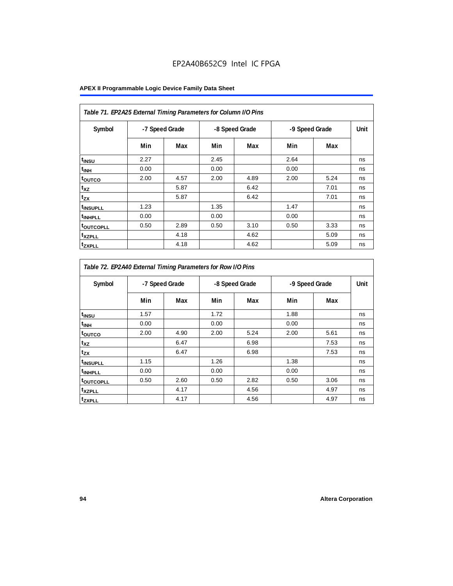| Table 71. EP2A25 External Timing Parameters for Column I/O Pins |                |      |      |                |      |                |      |
|-----------------------------------------------------------------|----------------|------|------|----------------|------|----------------|------|
| Symbol                                                          | -7 Speed Grade |      |      | -8 Speed Grade |      | -9 Speed Grade | Unit |
|                                                                 | Min            | Max  | Min  | Max            | Min  | Max            |      |
| $t_{INSU}$                                                      | 2.27           |      | 2.45 |                | 2.64 |                | ns   |
| t <sub>INH</sub>                                                | 0.00           |      | 0.00 |                | 0.00 |                | ns   |
| toutco                                                          | 2.00           | 4.57 | 2.00 | 4.89           | 2.00 | 5.24           | ns   |
| $t_{XZ}$                                                        |                | 5.87 |      | 6.42           |      | 7.01           | ns   |
| $t_{ZX}$                                                        |                | 5.87 |      | 6.42           |      | 7.01           | ns   |
| <sup>t</sup> INSUPLL                                            | 1.23           |      | 1.35 |                | 1.47 |                | ns   |
| <sup>t</sup> INHPLL                                             | 0.00           |      | 0.00 |                | 0.00 |                | ns   |
| <b>toutcopll</b>                                                | 0.50           | 2.89 | 0.50 | 3.10           | 0.50 | 3.33           | ns   |
| <sup>t</sup> xzpll                                              |                | 4.18 |      | 4.62           |      | 5.09           | ns   |
| <sup>t</sup> ZXPLL                                              |                | 4.18 |      | 4.62           |      | 5.09           | ns   |

| Table 72. EP2A40 External Timing Parameters for Row I/O Pins |                |      |      |                |      |                |      |
|--------------------------------------------------------------|----------------|------|------|----------------|------|----------------|------|
| Symbol                                                       | -7 Speed Grade |      |      | -8 Speed Grade |      | -9 Speed Grade | Unit |
|                                                              | Min            | Max  | Min  | Max            | Min  | Max            |      |
| t <sub>INSU</sub>                                            | 1.57           |      | 1.72 |                | 1.88 |                | ns   |
| t <sub>INH</sub>                                             | 0.00           |      | 0.00 |                | 0.00 |                | ns   |
| toutco                                                       | 2.00           | 4.90 | 2.00 | 5.24           | 2.00 | 5.61           | ns   |
| $t_{XZ}$                                                     |                | 6.47 |      | 6.98           |      | 7.53           | ns   |
| $t_{ZX}$                                                     |                | 6.47 |      | 6.98           |      | 7.53           | ns   |
| <sup>t</sup> INSUPLL                                         | 1.15           |      | 1.26 |                | 1.38 |                | ns   |
| <sup>t</sup> INHPLL                                          | 0.00           |      | 0.00 |                | 0.00 |                | ns   |
| <sup>t</sup> OUTCOPLL                                        | 0.50           | 2.60 | 0.50 | 2.82           | 0.50 | 3.06           | ns   |
| <sup>t</sup> xzpll                                           |                | 4.17 |      | 4.56           |      | 4.97           | ns   |
| tzxpll                                                       |                | 4.17 |      | 4.56           |      | 4.97           | ns   |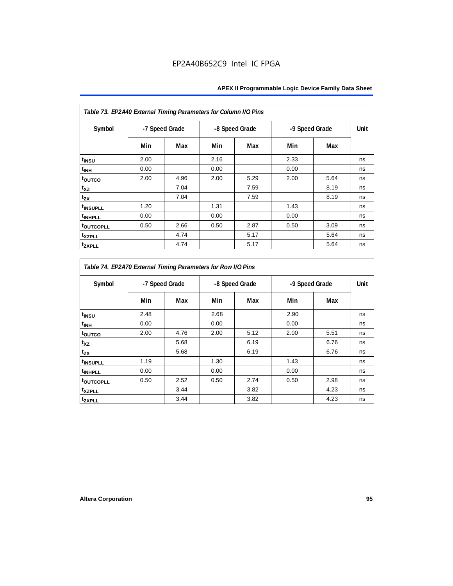| Table 73. EP2A40 External Timing Parameters for Column I/O Pins |                |      |      |                |      |                |    |
|-----------------------------------------------------------------|----------------|------|------|----------------|------|----------------|----|
| Symbol                                                          | -7 Speed Grade |      |      | -8 Speed Grade |      | -9 Speed Grade |    |
|                                                                 | Min            | Max  | Min  | Max            | Min  | Max            |    |
| t <sub>INSU</sub>                                               | 2.00           |      | 2.16 |                | 2.33 |                | ns |
| t <sub>INH</sub>                                                | 0.00           |      | 0.00 |                | 0.00 |                | ns |
| toutco                                                          | 2.00           | 4.96 | 2.00 | 5.29           | 2.00 | 5.64           | ns |
| t <sub>XZ</sub>                                                 |                | 7.04 |      | 7.59           |      | 8.19           | ns |
| $t_{ZX}$                                                        |                | 7.04 |      | 7.59           |      | 8.19           | ns |
| <sup>t</sup> INSUPLL                                            | 1.20           |      | 1.31 |                | 1.43 |                | ns |
| <sup>t</sup> INHPLL                                             | 0.00           |      | 0.00 |                | 0.00 |                | ns |
| <b>toutcopll</b>                                                | 0.50           | 2.66 | 0.50 | 2.87           | 0.50 | 3.09           | ns |
| t <sub>XZPLL</sub>                                              |                | 4.74 |      | 5.17           |      | 5.64           | ns |
| <sup>t</sup> zxpll                                              |                | 4.74 |      | 5.17           |      | 5.64           | ns |

| Table 74. EP2A70 External Timing Parameters for Row I/O Pins |                |      |      |                |      |                |    |
|--------------------------------------------------------------|----------------|------|------|----------------|------|----------------|----|
| Symbol                                                       | -7 Speed Grade |      |      | -8 Speed Grade |      | -9 Speed Grade |    |
|                                                              | Min            | Max  | Min  | Max            | Min  | Max            |    |
| t <sub>INSU</sub>                                            | 2.48           |      | 2.68 |                | 2.90 |                | ns |
| <sup>t</sup> INH                                             | 0.00           |      | 0.00 |                | 0.00 |                | ns |
| toutco                                                       | 2.00           | 4.76 | 2.00 | 5.12           | 2.00 | 5.51           | ns |
| t <sub>XZ</sub>                                              |                | 5.68 |      | 6.19           |      | 6.76           | ns |
| $t_{ZX}$                                                     |                | 5.68 |      | 6.19           |      | 6.76           | ns |
| <sup>t</sup> INSUPLL                                         | 1.19           |      | 1.30 |                | 1.43 |                | ns |
| <sup>t</sup> INHPLL                                          | 0.00           |      | 0.00 |                | 0.00 |                | ns |
| t <sub>outcopll</sub>                                        | 0.50           | 2.52 | 0.50 | 2.74           | 0.50 | 2.98           | ns |
| <sup>t</sup> XZPLL                                           |                | 3.44 |      | 3.82           |      | 4.23           | ns |
| tzxpll                                                       |                | 3.44 |      | 3.82           |      | 4.23           | ns |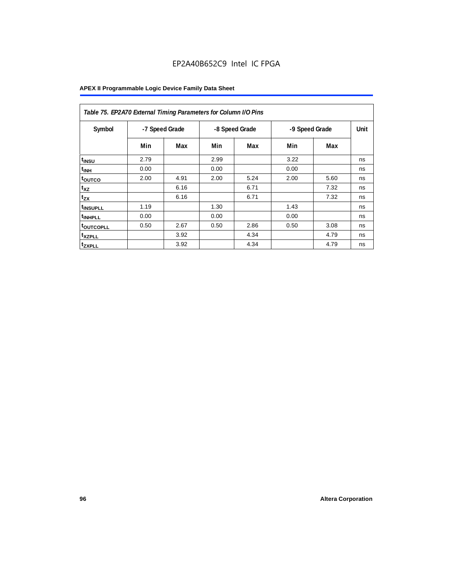| Table 75. EP2A70 External Timing Parameters for Column I/O Pins |                |      |      |                |      |                |    |
|-----------------------------------------------------------------|----------------|------|------|----------------|------|----------------|----|
| Symbol                                                          | -7 Speed Grade |      |      | -8 Speed Grade |      | -9 Speed Grade |    |
|                                                                 | Min            | Max  | Min  | Max            | Min  | Max            |    |
| t <sub>INSU</sub>                                               | 2.79           |      | 2.99 |                | 3.22 |                | ns |
| $t_{\text{INH}}$                                                | 0.00           |      | 0.00 |                | 0.00 |                | ns |
| toutco                                                          | 2.00           | 4.91 | 2.00 | 5.24           | 2.00 | 5.60           | ns |
| t <sub>XZ</sub>                                                 |                | 6.16 |      | 6.71           |      | 7.32           | ns |
| $t_{ZX}$                                                        |                | 6.16 |      | 6.71           |      | 7.32           | ns |
| <sup>t</sup> INSUPLL                                            | 1.19           |      | 1.30 |                | 1.43 |                | ns |
| <sup>t</sup> INHPLL                                             | 0.00           |      | 0.00 |                | 0.00 |                | ns |
| <b>toutcopll</b>                                                | 0.50           | 2.67 | 0.50 | 2.86           | 0.50 | 3.08           | ns |
| <sup>t</sup> xzpll                                              |                | 3.92 |      | 4.34           |      | 4.79           | ns |
| <sup>t</sup> zxpll                                              |                | 3.92 |      | 4.34           |      | 4.79           | ns |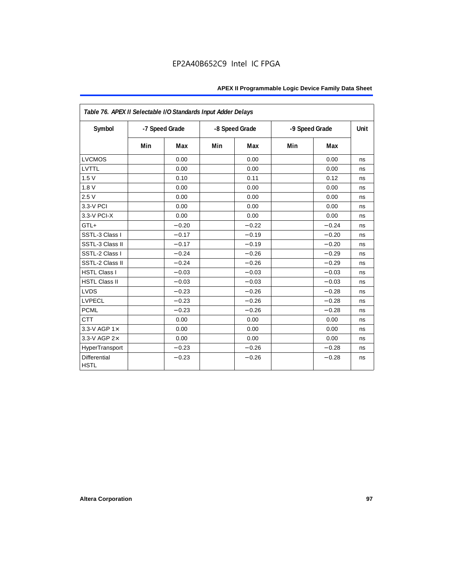| Table 76. APEX II Selectable I/O Standards Input Adder Delays |     |                |     |                |                |         |      |
|---------------------------------------------------------------|-----|----------------|-----|----------------|----------------|---------|------|
| Symbol                                                        |     | -7 Speed Grade |     | -8 Speed Grade | -9 Speed Grade |         | Unit |
|                                                               | Min | Max            | Min | Max            | Min            | Max     |      |
| <b>LVCMOS</b>                                                 |     | 0.00           |     | 0.00           |                | 0.00    | ns   |
| LVTTL                                                         |     | 0.00           |     | 0.00           |                | 0.00    | ns   |
| 1.5V                                                          |     | 0.10           |     | 0.11           |                | 0.12    | ns   |
| 1.8V                                                          |     | 0.00           |     | 0.00           |                | 0.00    | ns   |
| 2.5V                                                          |     | 0.00           |     | 0.00           |                | 0.00    | ns   |
| 3.3-V PCI                                                     |     | 0.00           |     | 0.00           |                | 0.00    | ns   |
| 3.3-V PCI-X                                                   |     | 0.00           |     | 0.00           |                | 0.00    | ns   |
| GTL+                                                          |     | $-0.20$        |     | $-0.22$        |                | $-0.24$ | ns   |
| SSTL-3 Class I                                                |     | $-0.17$        |     | $-0.19$        |                | $-0.20$ | ns   |
| SSTL-3 Class II                                               |     | $-0.17$        |     | $-0.19$        |                | $-0.20$ | ns   |
| SSTL-2 Class I                                                |     | $-0.24$        |     | $-0.26$        |                | $-0.29$ | ns   |
| SSTL-2 Class II                                               |     | $-0.24$        |     | $-0.26$        |                | $-0.29$ | ns   |
| <b>HSTL Class I</b>                                           |     | $-0.03$        |     | $-0.03$        |                | $-0.03$ | ns   |
| <b>HSTL Class II</b>                                          |     | $-0.03$        |     | $-0.03$        |                | $-0.03$ | ns   |
| <b>LVDS</b>                                                   |     | $-0.23$        |     | $-0.26$        |                | $-0.28$ | ns   |
| <b>LVPECL</b>                                                 |     | $-0.23$        |     | $-0.26$        |                | $-0.28$ | ns   |
| <b>PCML</b>                                                   |     | $-0.23$        |     | $-0.26$        |                | $-0.28$ | ns   |
| <b>CTT</b>                                                    |     | 0.00           |     | 0.00           |                | 0.00    | ns   |
| 3.3-V AGP $1\times$                                           |     | 0.00           |     | 0.00           |                | 0.00    | ns   |
| 3.3-V AGP 2×                                                  |     | 0.00           |     | 0.00           |                | 0.00    | ns   |
| HyperTransport                                                |     | $-0.23$        |     | $-0.26$        |                | $-0.28$ | ns   |
| <b>Differential</b><br><b>HSTL</b>                            |     | $-0.23$        |     | $-0.26$        |                | $-0.28$ | ns   |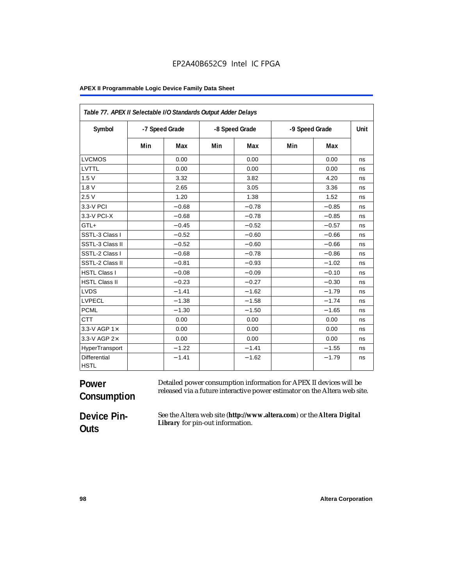| Table 77. APEX II Selectable I/O Standards Output Adder Delays |     |                |     |                |                |         |      |
|----------------------------------------------------------------|-----|----------------|-----|----------------|----------------|---------|------|
| Symbol                                                         |     | -7 Speed Grade |     | -8 Speed Grade | -9 Speed Grade |         | Unit |
|                                                                | Min | Max            | Min | Max            | Min            | Max     |      |
| <b>LVCMOS</b>                                                  |     | 0.00           |     | 0.00           |                | 0.00    | ns   |
| LVTTL                                                          |     | 0.00           |     | 0.00           |                | 0.00    | ns   |
| 1.5V                                                           |     | 3.32           |     | 3.82           |                | 4.20    | ns   |
| 1.8V                                                           |     | 2.65           |     | 3.05           |                | 3.36    | ns   |
| 2.5V                                                           |     | 1.20           |     | 1.38           |                | 1.52    | ns   |
| 3.3-V PCI                                                      |     | $-0.68$        |     | $-0.78$        |                | $-0.85$ | ns   |
| 3.3-V PCI-X                                                    |     | $-0.68$        |     | $-0.78$        |                | $-0.85$ | ns   |
| GTL+                                                           |     | $-0.45$        |     | $-0.52$        |                | $-0.57$ | ns   |
| SSTL-3 Class I                                                 |     | $-0.52$        |     | $-0.60$        |                | $-0.66$ | ns   |
| SSTL-3 Class II                                                |     | $-0.52$        |     | $-0.60$        |                | $-0.66$ | ns   |
| SSTL-2 Class I                                                 |     | $-0.68$        |     | $-0.78$        |                | $-0.86$ | ns   |
| SSTL-2 Class II                                                |     | $-0.81$        |     | $-0.93$        |                | $-1.02$ | ns   |
| <b>HSTL Class I</b>                                            |     | $-0.08$        |     | $-0.09$        |                | $-0.10$ | ns   |
| <b>HSTL Class II</b>                                           |     | $-0.23$        |     | $-0.27$        |                | $-0.30$ | ns   |
| <b>LVDS</b>                                                    |     | $-1.41$        |     | $-1.62$        |                | $-1.79$ | ns   |
| <b>LVPECL</b>                                                  |     | $-1.38$        |     | $-1.58$        |                | $-1.74$ | ns   |
| <b>PCML</b>                                                    |     | $-1.30$        |     | $-1.50$        |                | $-1.65$ | ns   |
| <b>CTT</b>                                                     |     | 0.00           |     | 0.00           |                | 0.00    | ns   |
| 3.3-V AGP 1×                                                   |     | 0.00           |     | 0.00           |                | 0.00    | ns   |
| 3.3-V AGP 2×                                                   |     | 0.00           |     | 0.00           |                | 0.00    | ns   |
| HyperTransport                                                 |     | $-1.22$        |     | $-1.41$        |                | $-1.55$ | ns   |
| Differential<br><b>HSTL</b>                                    |     | $-1.41$        |     | $-1.62$        |                | $-1.79$ | ns   |

### **Power Consumption** Detailed power consumption information for APEX II devices will be released via a future interactive power estimator on the Altera web site.

**Device Pin-Outs**

See the Altera web site (**http://www.altera.com**) or the *Altera Digital Library* for pin-out information.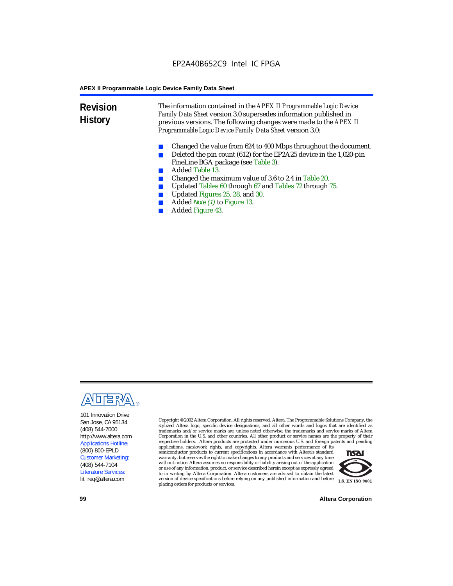**Revision History** The information contained in the *APEX II Programmable Logic Device Family Data Sheet* version 3.0 supersedes information published in previous versions. The following changes were made to the *APEX II Programmable Logic Device Family Data Sheet* version 3.0:

- Changed the value from 624 to 400 Mbps throughout the document.
- Deleted the pin count (612) for the EP2A25 device in the 1,020-pin FineLine BGA package (see Table 3).
- Added Table 13.
- Changed the maximum value of 3.6 to 2.4 in Table 20.
- Updated Tables 60 through 67 and Tables 72 through 75.<br>■ Updated Figures 25, 28, and 30
- Updated Figures 25, 28, and 30.
- Added *Note (1)* to Figure 13.
- Added Figure 43.



101 Innovation Drive San Jose, CA 95134 (408) 544-7000 http://www.altera.com Applications Hotline: (800) 800-EPLD Customer Marketing: (408) 544-7104 Literature Services: lit\_req@altera.com

Copyright © 2002 Altera Corporation. All rights reserved. Altera, The Programmable Solutions Company, the stylized Altera logo, specific device designations, and all other words and logos that are identified as trademarks and/or service marks are, unless noted otherwise, the trademarks and service marks of Altera Corporation in the U.S. and other countries. All other product or service names are the property of their respective holders. Altera products are protected under numerous U.S. and foreign patents and pending

applications, maskwork rights, and copyrights. Altera warrants performance of its semiconductor products to current specifications in accordance with Altera's standard warranty, but reserves the right to make changes to any products and services at any time without notice. Altera assumes no responsibility or liability arising out of the application or use of any information, product, or service described herein except as expressly agreed to in writing by Altera Corporation. Altera customers are advised to obtain the latest version of device specifications before relying on any published information and before placing orders for products or services.



**99 Altera Corporation**